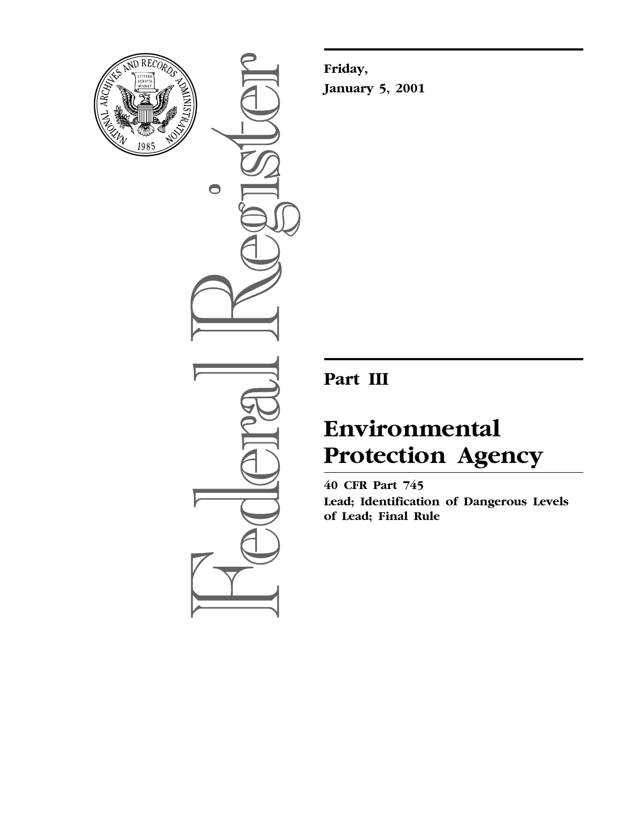

 $\bullet$ 

**Friday, January 5, 2001**

# **Part III**

# **Environmental Protection Agency**

**40 CFR Part 745 Lead; Identification of Dangerous Levels of Lead; Final Rule**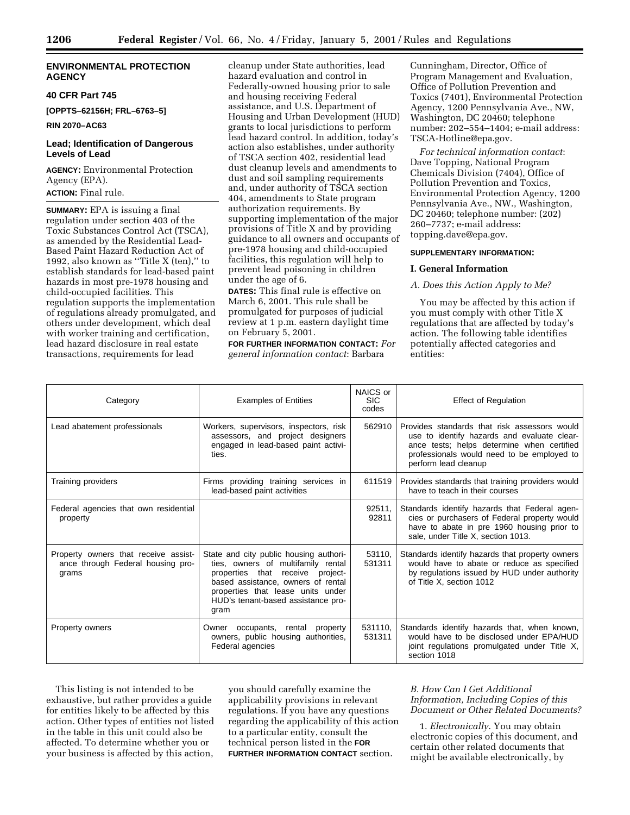# **ENVIRONMENTAL PROTECTION AGENCY**

**40 CFR Part 745**

**[OPPTS–62156H; FRL–6763–5]**

**RIN 2070–AC63**

# **Lead; Identification of Dangerous Levels of Lead**

**AGENCY:** Environmental Protection Agency (EPA). **ACTION:** Final rule.

**SUMMARY:** EPA is issuing a final regulation under section 403 of the Toxic Substances Control Act (TSCA), as amended by the Residential Lead-Based Paint Hazard Reduction Act of 1992, also known as "Title X (ten)," to establish standards for lead-based paint hazards in most pre-1978 housing and child-occupied facilities. This regulation supports the implementation of regulations already promulgated, and others under development, which deal with worker training and certification, lead hazard disclosure in real estate transactions, requirements for lead

cleanup under State authorities, lead hazard evaluation and control in Federally-owned housing prior to sale and housing receiving Federal assistance, and U.S. Department of Housing and Urban Development (HUD) grants to local jurisdictions to perform lead hazard control. In addition, today's action also establishes, under authority of TSCA section 402, residential lead dust cleanup levels and amendments to dust and soil sampling requirements and, under authority of TSCA section 404, amendments to State program authorization requirements. By supporting implementation of the major provisions of Title X and by providing guidance to all owners and occupants of pre-1978 housing and child-occupied facilities, this regulation will help to prevent lead poisoning in children under the age of 6.

**DATES:** This final rule is effective on March 6, 2001. This rule shall be promulgated for purposes of judicial review at 1 p.m. eastern daylight time on February 5, 2001.

**FOR FURTHER INFORMATION CONTACT:** *For general information contact*: Barbara

Cunningham, Director, Office of Program Management and Evaluation, Office of Pollution Prevention and Toxics (7401), Environmental Protection Agency, 1200 Pennsylvania Ave., NW, Washington, DC 20460; telephone number: 202–554–1404; e-mail address: TSCA-Hotline@epa.gov.

*For technical information contact*: Dave Topping, National Program Chemicals Division (7404), Office of Pollution Prevention and Toxics, Environmental Protection Agency, 1200 Pennsylvania Ave., NW., Washington, DC 20460; telephone number: (202) 260–7737; e-mail address: topping.dave@epa.gov.

# **SUPPLEMENTARY INFORMATION:**

# **I. General Information**

# *A. Does this Action Apply to Me?*

You may be affected by this action if you must comply with other Title X regulations that are affected by today's action. The following table identifies potentially affected categories and entities:

| Category                                                                           | <b>Examples of Entities</b>                                                                                                                                                                                                               | NAICS or<br><b>SIC</b><br>codes | <b>Effect of Regulation</b>                                                                                                                                                                                     |
|------------------------------------------------------------------------------------|-------------------------------------------------------------------------------------------------------------------------------------------------------------------------------------------------------------------------------------------|---------------------------------|-----------------------------------------------------------------------------------------------------------------------------------------------------------------------------------------------------------------|
| Lead abatement professionals                                                       | Workers, supervisors, inspectors, risk<br>assessors, and project designers<br>engaged in lead-based paint activi-<br>ties.                                                                                                                | 562910                          | Provides standards that risk assessors would<br>use to identify hazards and evaluate clear-<br>ance tests; helps determine when certified<br>professionals would need to be employed to<br>perform lead cleanup |
| Training providers                                                                 | Firms providing training services in<br>lead-based paint activities                                                                                                                                                                       | 611519                          | Provides standards that training providers would<br>have to teach in their courses                                                                                                                              |
| Federal agencies that own residential<br>property                                  |                                                                                                                                                                                                                                           | 92511.<br>92811                 | Standards identify hazards that Federal agen-<br>cies or purchasers of Federal property would<br>have to abate in pre 1960 housing prior to<br>sale, under Title X, section 1013.                               |
| Property owners that receive assist-<br>ance through Federal housing pro-<br>grams | State and city public housing authori-<br>ties, owners of multifamily rental<br>properties that receive project-<br>based assistance, owners of rental<br>properties that lease units under<br>HUD's tenant-based assistance pro-<br>gram | 53110,<br>531311                | Standards identify hazards that property owners<br>would have to abate or reduce as specified<br>by regulations issued by HUD under authority<br>of Title X, section 1012                                       |
| <b>Property owners</b>                                                             | Owner occupants, rental<br>property<br>owners, public housing authorities,<br>Federal agencies                                                                                                                                            | 531110.<br>531311               | Standards identify hazards that, when known,<br>would have to be disclosed under EPA/HUD<br>joint regulations promulgated under Title X,<br>section 1018                                                        |

This listing is not intended to be exhaustive, but rather provides a guide for entities likely to be affected by this action. Other types of entities not listed in the table in this unit could also be affected. To determine whether you or your business is affected by this action,

you should carefully examine the applicability provisions in relevant regulations. If you have any questions regarding the applicability of this action to a particular entity, consult the technical person listed in the **FOR FURTHER INFORMATION CONTACT** section.

# *B. How Can I Get Additional Information, Including Copies of this Document or Other Related Documents?*

1. *Electronically*. You may obtain electronic copies of this document, and certain other related documents that might be available electronically, by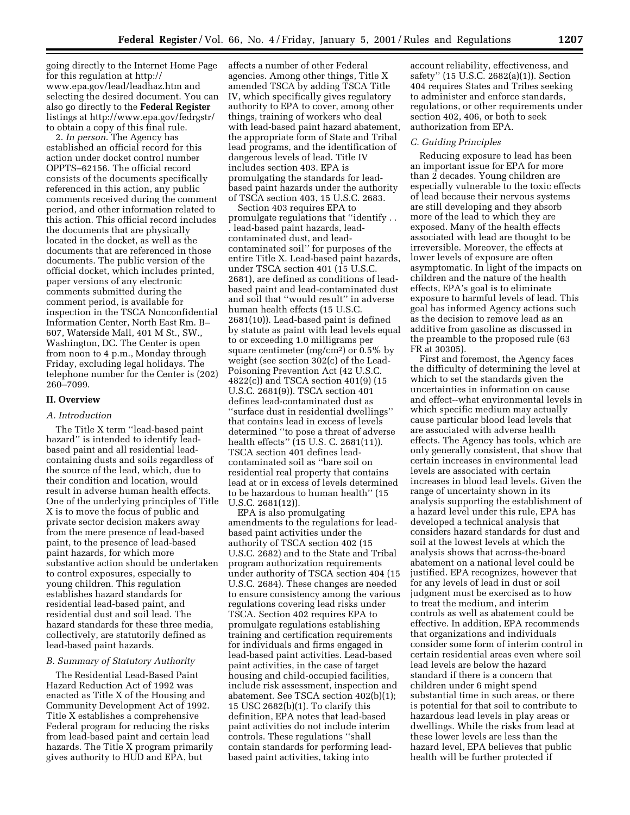going directly to the Internet Home Page for this regulation at http:// www.epa.gov/lead/leadhaz.htm and selecting the desired document. You can also go directly to the **Federal Register** listings at http://www.epa.gov/fedrgstr/ to obtain a copy of this final rule.

2. *In person*. The Agency has established an official record for this action under docket control number OPPTS–62156. The official record consists of the documents specifically referenced in this action, any public comments received during the comment period, and other information related to this action. This official record includes the documents that are physically located in the docket, as well as the documents that are referenced in those documents. The public version of the official docket, which includes printed, paper versions of any electronic comments submitted during the comment period, is available for inspection in the TSCA Nonconfidential Information Center, North East Rm. B– 607, Waterside Mall, 401 M St., SW., Washington, DC. The Center is open from noon to 4 p.m., Monday through Friday, excluding legal holidays. The telephone number for the Center is (202) 260–7099.

#### **II. Overview**

#### *A. Introduction*

The Title X term ''lead-based paint hazard'' is intended to identify leadbased paint and all residential leadcontaining dusts and soils regardless of the source of the lead, which, due to their condition and location, would result in adverse human health effects. One of the underlying principles of Title X is to move the focus of public and private sector decision makers away from the mere presence of lead-based paint, to the presence of lead-based paint hazards, for which more substantive action should be undertaken to control exposures, especially to young children. This regulation establishes hazard standards for residential lead-based paint, and residential dust and soil lead. The hazard standards for these three media, collectively, are statutorily defined as lead-based paint hazards.

# *B. Summary of Statutory Authority*

The Residential Lead-Based Paint Hazard Reduction Act of 1992 was enacted as Title X of the Housing and Community Development Act of 1992. Title X establishes a comprehensive Federal program for reducing the risks from lead-based paint and certain lead hazards. The Title X program primarily gives authority to HUD and EPA, but

affects a number of other Federal agencies. Among other things, Title X amended TSCA by adding TSCA Title IV, which specifically gives regulatory authority to EPA to cover, among other things, training of workers who deal with lead-based paint hazard abatement, the appropriate form of State and Tribal lead programs, and the identification of dangerous levels of lead. Title IV includes section 403. EPA is promulgating the standards for leadbased paint hazards under the authority of TSCA section 403, 15 U.S.C. 2683.

Section 403 requires EPA to promulgate regulations that ''identify . . . lead-based paint hazards, leadcontaminated dust, and leadcontaminated soil'' for purposes of the entire Title X. Lead-based paint hazards, under TSCA section 401 (15 U.S.C. 2681), are defined as conditions of leadbased paint and lead-contaminated dust and soil that ''would result'' in adverse human health effects (15 U.S.C. 2681(10)). Lead-based paint is defined by statute as paint with lead levels equal to or exceeding 1.0 milligrams per square centimeter  $(mg/cm^2)$  or 0.5% by weight (see section 302(c) of the Lead-Poisoning Prevention Act (42 U.S.C. 4822(c)) and TSCA section 401(9) (15 U.S.C. 2681(9)). TSCA section 401 defines lead-contaminated dust as ''surface dust in residential dwellings'' that contains lead in excess of levels determined ''to pose a threat of adverse health effects'' (15 U.S. C. 2681(11)). TSCA section 401 defines leadcontaminated soil as ''bare soil on residential real property that contains lead at or in excess of levels determined to be hazardous to human health'' (15 U.S.C. 2681(12)).

EPA is also promulgating amendments to the regulations for leadbased paint activities under the authority of TSCA section 402 (15 U.S.C. 2682) and to the State and Tribal program authorization requirements under authority of TSCA section 404 (15 U.S.C. 2684). These changes are needed to ensure consistency among the various regulations covering lead risks under TSCA. Section 402 requires EPA to promulgate regulations establishing training and certification requirements for individuals and firms engaged in lead-based paint activities. Lead-based paint activities, in the case of target housing and child-occupied facilities, include risk assessment, inspection and abatement. See TSCA section 402(b)(1); 15 USC 2682(b)(1). To clarify this definition, EPA notes that lead-based paint activities do not include interim controls. These regulations ''shall contain standards for performing leadbased paint activities, taking into

account reliability, effectiveness, and safety'' (15 U.S.C. 2682(a)(1)). Section 404 requires States and Tribes seeking to administer and enforce standards, regulations, or other requirements under section 402, 406, or both to seek authorization from EPA.

#### *C. Guiding Principles*

Reducing exposure to lead has been an important issue for EPA for more than 2 decades. Young children are especially vulnerable to the toxic effects of lead because their nervous systems are still developing and they absorb more of the lead to which they are exposed. Many of the health effects associated with lead are thought to be irreversible. Moreover, the effects at lower levels of exposure are often asymptomatic. In light of the impacts on children and the nature of the health effects, EPA's goal is to eliminate exposure to harmful levels of lead. This goal has informed Agency actions such as the decision to remove lead as an additive from gasoline as discussed in the preamble to the proposed rule (63 FR at 30305).

First and foremost, the Agency faces the difficulty of determining the level at which to set the standards given the uncertainties in information on cause and effect--what environmental levels in which specific medium may actually cause particular blood lead levels that are associated with adverse health effects. The Agency has tools, which are only generally consistent, that show that certain increases in environmental lead levels are associated with certain increases in blood lead levels. Given the range of uncertainty shown in its analysis supporting the establishment of a hazard level under this rule, EPA has developed a technical analysis that considers hazard standards for dust and soil at the lowest levels at which the analysis shows that across-the-board abatement on a national level could be justified. EPA recognizes, however that for any levels of lead in dust or soil judgment must be exercised as to how to treat the medium, and interim controls as well as abatement could be effective. In addition, EPA recommends that organizations and individuals consider some form of interim control in certain residential areas even where soil lead levels are below the hazard standard if there is a concern that children under 6 might spend substantial time in such areas, or there is potential for that soil to contribute to hazardous lead levels in play areas or dwellings. While the risks from lead at these lower levels are less than the hazard level, EPA believes that public health will be further protected if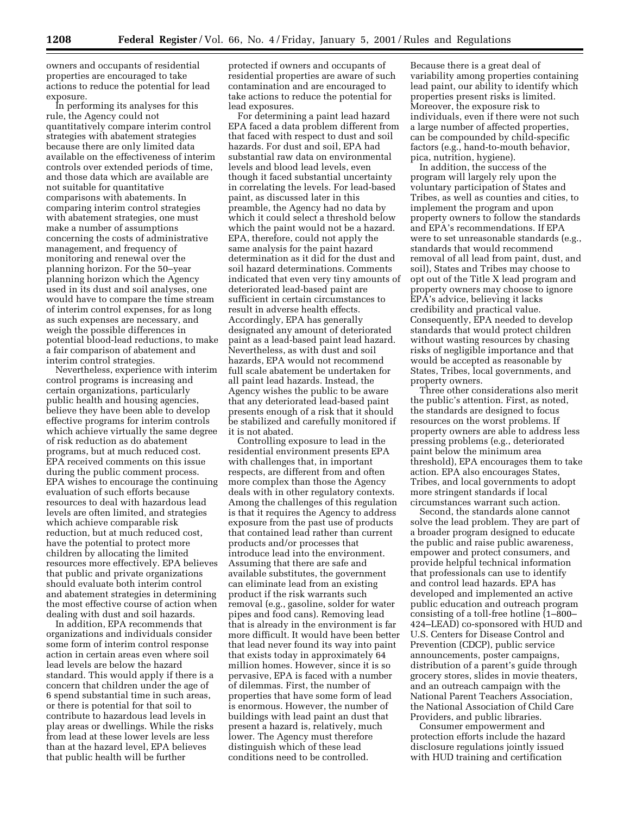owners and occupants of residential properties are encouraged to take actions to reduce the potential for lead exposure.

In performing its analyses for this rule, the Agency could not quantitatively compare interim control strategies with abatement strategies because there are only limited data available on the effectiveness of interim controls over extended periods of time, and those data which are available are not suitable for quantitative comparisons with abatements. In comparing interim control strategies with abatement strategies, one must make a number of assumptions concerning the costs of administrative management, and frequency of monitoring and renewal over the planning horizon. For the 50–year planning horizon which the Agency used in its dust and soil analyses, one would have to compare the time stream of interim control expenses, for as long as such expenses are necessary, and weigh the possible differences in potential blood-lead reductions, to make a fair comparison of abatement and interim control strategies.

Nevertheless, experience with interim control programs is increasing and certain organizations, particularly public health and housing agencies, believe they have been able to develop effective programs for interim controls which achieve virtually the same degree of risk reduction as do abatement programs, but at much reduced cost. EPA received comments on this issue during the public comment process. EPA wishes to encourage the continuing evaluation of such efforts because resources to deal with hazardous lead levels are often limited, and strategies which achieve comparable risk reduction, but at much reduced cost, have the potential to protect more children by allocating the limited resources more effectively. EPA believes that public and private organizations should evaluate both interim control and abatement strategies in determining the most effective course of action when dealing with dust and soil hazards.

In addition, EPA recommends that organizations and individuals consider some form of interim control response action in certain areas even where soil lead levels are below the hazard standard. This would apply if there is a concern that children under the age of 6 spend substantial time in such areas, or there is potential for that soil to contribute to hazardous lead levels in play areas or dwellings. While the risks from lead at these lower levels are less than at the hazard level, EPA believes that public health will be further

protected if owners and occupants of residential properties are aware of such contamination and are encouraged to take actions to reduce the potential for lead exposures.

For determining a paint lead hazard EPA faced a data problem different from that faced with respect to dust and soil hazards. For dust and soil, EPA had substantial raw data on environmental levels and blood lead levels, even though it faced substantial uncertainty in correlating the levels. For lead-based paint, as discussed later in this preamble, the Agency had no data by which it could select a threshold below which the paint would not be a hazard. EPA, therefore, could not apply the same analysis for the paint hazard determination as it did for the dust and soil hazard determinations. Comments indicated that even very tiny amounts of deteriorated lead-based paint are sufficient in certain circumstances to result in adverse health effects. Accordingly, EPA has generally designated any amount of deteriorated paint as a lead-based paint lead hazard. Nevertheless, as with dust and soil hazards, EPA would not recommend full scale abatement be undertaken for all paint lead hazards. Instead, the Agency wishes the public to be aware that any deteriorated lead-based paint presents enough of a risk that it should be stabilized and carefully monitored if it is not abated.

Controlling exposure to lead in the residential environment presents EPA with challenges that, in important respects, are different from and often more complex than those the Agency deals with in other regulatory contexts. Among the challenges of this regulation is that it requires the Agency to address exposure from the past use of products that contained lead rather than current products and/or processes that introduce lead into the environment. Assuming that there are safe and available substitutes, the government can eliminate lead from an existing product if the risk warrants such removal (e.g., gasoline, solder for water pipes and food cans). Removing lead that is already in the environment is far more difficult. It would have been better that lead never found its way into paint that exists today in approximately 64 million homes. However, since it is so pervasive, EPA is faced with a number of dilemmas. First, the number of properties that have some form of lead is enormous. However, the number of buildings with lead paint an dust that present a hazard is, relatively, much lower. The Agency must therefore distinguish which of these lead conditions need to be controlled.

Because there is a great deal of variability among properties containing lead paint, our ability to identify which properties present risks is limited. Moreover, the exposure risk to individuals, even if there were not such a large number of affected properties, can be compounded by child-specific factors (e.g., hand-to-mouth behavior, pica, nutrition, hygiene).

In addition, the success of the program will largely rely upon the voluntary participation of States and Tribes, as well as counties and cities, to implement the program and upon property owners to follow the standards and EPA's recommendations. If EPA were to set unreasonable standards (e.g., standards that would recommend removal of all lead from paint, dust, and soil), States and Tribes may choose to opt out of the Title X lead program and property owners may choose to ignore EPA's advice, believing it lacks credibility and practical value. Consequently, EPA needed to develop standards that would protect children without wasting resources by chasing risks of negligible importance and that would be accepted as reasonable by States, Tribes, local governments, and property owners.

Three other considerations also merit the public's attention. First, as noted, the standards are designed to focus resources on the worst problems. If property owners are able to address less pressing problems (e.g., deteriorated paint below the minimum area threshold), EPA encourages them to take action. EPA also encourages States, Tribes, and local governments to adopt more stringent standards if local circumstances warrant such action.

Second, the standards alone cannot solve the lead problem. They are part of a broader program designed to educate the public and raise public awareness, empower and protect consumers, and provide helpful technical information that professionals can use to identify and control lead hazards. EPA has developed and implemented an active public education and outreach program consisting of a toll-free hotline (1–800– 424–LEAD) co-sponsored with HUD and U.S. Centers for Disease Control and Prevention (CDCP), public service announcements, poster campaigns, distribution of a parent's guide through grocery stores, slides in movie theaters, and an outreach campaign with the National Parent Teachers Association, the National Association of Child Care Providers, and public libraries.

Consumer empowerment and protection efforts include the hazard disclosure regulations jointly issued with HUD training and certification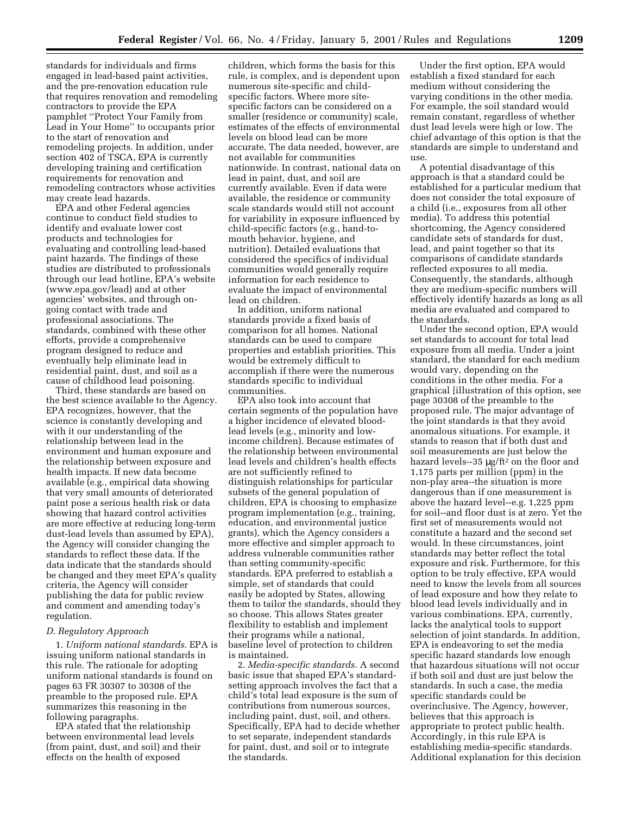standards for individuals and firms engaged in lead-based paint activities, and the pre-renovation education rule that requires renovation and remodeling contractors to provide the EPA pamphlet ''Protect Your Family from Lead in Your Home'' to occupants prior to the start of renovation and remodeling projects. In addition, under section 402 of TSCA, EPA is currently developing training and certification requirements for renovation and remodeling contractors whose activities may create lead hazards.

EPA and other Federal agencies continue to conduct field studies to identify and evaluate lower cost products and technologies for evaluating and controlling lead-based paint hazards. The findings of these studies are distributed to professionals through our lead hotline, EPA's website (www.epa.gov/lead) and at other agencies' websites, and through ongoing contact with trade and professional associations. The standards, combined with these other efforts, provide a comprehensive program designed to reduce and eventually help eliminate lead in residential paint, dust, and soil as a cause of childhood lead poisoning.

Third, these standards are based on the best science available to the Agency. EPA recognizes, however, that the science is constantly developing and with it our understanding of the relationship between lead in the environment and human exposure and the relationship between exposure and health impacts. If new data become available (e.g., empirical data showing that very small amounts of deteriorated paint pose a serious health risk or data showing that hazard control activities are more effective at reducing long-term dust-lead levels than assumed by EPA), the Agency will consider changing the standards to reflect these data. If the data indicate that the standards should be changed and they meet EPA's quality criteria, the Agency will consider publishing the data for public review and comment and amending today's regulation.

#### *D. Regulatory Approach*

1. *Uniform national standards*. EPA is issuing uniform national standards in this rule. The rationale for adopting uniform national standards is found on pages 63 FR 30307 to 30308 of the preamble to the proposed rule. EPA summarizes this reasoning in the following paragraphs.

EPA stated that the relationship between environmental lead levels (from paint, dust, and soil) and their effects on the health of exposed

children, which forms the basis for this rule, is complex, and is dependent upon numerous site-specific and childspecific factors. Where more sitespecific factors can be considered on a smaller (residence or community) scale, estimates of the effects of environmental levels on blood lead can be more accurate. The data needed, however, are not available for communities nationwide. In contrast, national data on lead in paint, dust, and soil are currently available. Even if data were available, the residence or community scale standards would still not account for variability in exposure influenced by child-specific factors (e.g., hand-tomouth behavior, hygiene, and nutrition). Detailed evaluations that considered the specifics of individual communities would generally require information for each residence to evaluate the impact of environmental lead on children.

In addition, uniform national standards provide a fixed basis of comparison for all homes. National standards can be used to compare properties and establish priorities. This would be extremely difficult to accomplish if there were the numerous standards specific to individual communities.

EPA also took into account that certain segments of the population have a higher incidence of elevated bloodlead levels (e.g., minority and lowincome children). Because estimates of the relationship between environmental lead levels and children's health effects are not sufficiently refined to distinguish relationships for particular subsets of the general population of children, EPA is choosing to emphasize program implementation (e.g., training, education, and environmental justice grants), which the Agency considers a more effective and simpler approach to address vulnerable communities rather than setting community-specific standards. EPA preferred to establish a simple, set of standards that could easily be adopted by States, allowing them to tailor the standards, should they so choose. This allows States greater flexibility to establish and implement their programs while a national, baseline level of protection to children is maintained.

2. *Media-specific standards*. A second basic issue that shaped EPA's standardsetting approach involves the fact that a child's total lead exposure is the sum of contributions from numerous sources, including paint, dust, soil, and others. Specifically, EPA had to decide whether to set separate, independent standards for paint, dust, and soil or to integrate the standards.

Under the first option, EPA would establish a fixed standard for each medium without considering the varying conditions in the other media. For example, the soil standard would remain constant, regardless of whether dust lead levels were high or low. The chief advantage of this option is that the standards are simple to understand and use.

A potential disadvantage of this approach is that a standard could be established for a particular medium that does not consider the total exposure of a child (i.e., exposures from all other media). To address this potential shortcoming, the Agency considered candidate sets of standards for dust, lead, and paint together so that its comparisons of candidate standards reflected exposures to all media. Consequently, the standards, although they are medium-specific numbers will effectively identify hazards as long as all media are evaluated and compared to the standards.

Under the second option, EPA would set standards to account for total lead exposure from all media. Under a joint standard, the standard for each medium would vary, depending on the conditions in the other media. For a graphical [illustration of this option, see page 30308 of the preamble to the proposed rule. The major advantage of the joint standards is that they avoid anomalous situations. For example, it stands to reason that if both dust and soil measurements are just below the hazard levels--35  $\mu$ g/ft<sup>2</sup> on the floor and 1,175 parts per million (ppm) in the non-play area--the situation is more dangerous than if one measurement is above the hazard level--e.g. 1,225 ppm for soil--and floor dust is at zero. Yet the first set of measurements would not constitute a hazard and the second set would. In these circumstances, joint standards may better reflect the total exposure and risk. Furthermore, for this option to be truly effective, EPA would need to know the levels from all sources of lead exposure and how they relate to blood lead levels individually and in various combinations. EPA, currently, lacks the analytical tools to support selection of joint standards. In addition, EPA is endeavoring to set the media specific hazard standards low enough that hazardous situations will not occur if both soil and dust are just below the standards. In such a case, the media specific standards could be overinclusive. The Agency, however, believes that this approach is appropriate to protect public health. Accordingly, in this rule EPA is establishing media-specific standards. Additional explanation for this decision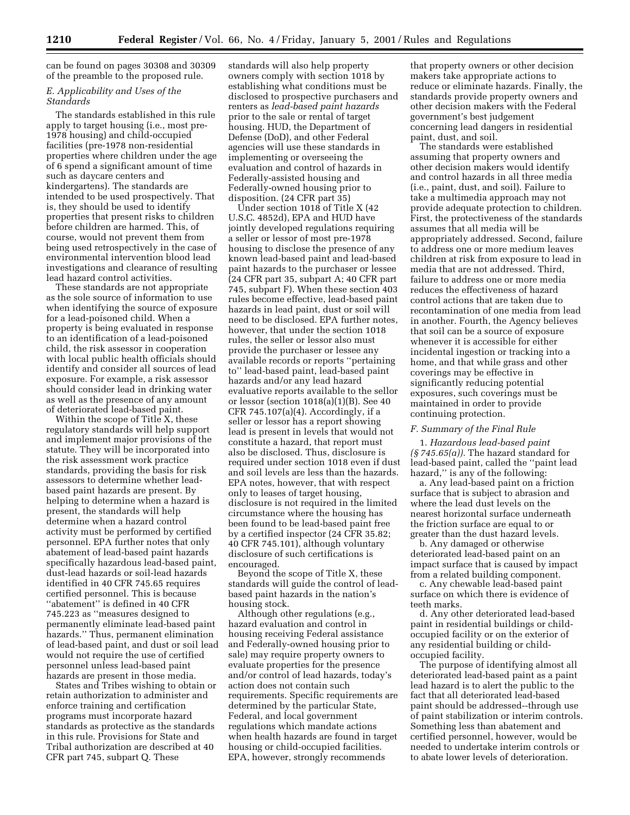can be found on pages 30308 and 30309 of the preamble to the proposed rule.

# *E. Applicability and Uses of the Standards*

The standards established in this rule apply to target housing (i.e., most pre-1978 housing) and child-occupied facilities (pre-1978 non-residential properties where children under the age of 6 spend a significant amount of time such as daycare centers and kindergartens). The standards are intended to be used prospectively. That is, they should be used to identify properties that present risks to children before children are harmed. This, of course, would not prevent them from being used retrospectively in the case of environmental intervention blood lead investigations and clearance of resulting lead hazard control activities.

These standards are not appropriate as the sole source of information to use when identifying the source of exposure for a lead-poisoned child. When a property is being evaluated in response to an identification of a lead-poisoned child, the risk assessor in cooperation with local public health officials should identify and consider all sources of lead exposure. For example, a risk assessor should consider lead in drinking water as well as the presence of any amount of deteriorated lead-based paint.

Within the scope of Title X, these regulatory standards will help support and implement major provisions of the statute. They will be incorporated into the risk assessment work practice standards, providing the basis for risk assessors to determine whether leadbased paint hazards are present. By helping to determine when a hazard is present, the standards will help determine when a hazard control activity must be performed by certified personnel. EPA further notes that only abatement of lead-based paint hazards specifically hazardous lead-based paint, dust-lead hazards or soil-lead hazards identified in 40 CFR 745.65 requires certified personnel. This is because ''abatement'' is defined in 40 CFR 745.223 as ''measures designed to permanently eliminate lead-based paint hazards.'' Thus, permanent elimination of lead-based paint, and dust or soil lead would not require the use of certified personnel unless lead-based paint hazards are present in those media.

States and Tribes wishing to obtain or retain authorization to administer and enforce training and certification programs must incorporate hazard standards as protective as the standards in this rule. Provisions for State and Tribal authorization are described at 40 CFR part 745, subpart Q. These

standards will also help property owners comply with section 1018 by establishing what conditions must be disclosed to prospective purchasers and renters as *lead-based paint hazards* prior to the sale or rental of target housing. HUD, the Department of Defense (DoD), and other Federal agencies will use these standards in implementing or overseeing the evaluation and control of hazards in Federally-assisted housing and Federally-owned housing prior to disposition. (24 CFR part 35)

Under section 1018 of Title X (42 U.S.C. 4852d), EPA and HUD have jointly developed regulations requiring a seller or lessor of most pre-1978 housing to disclose the presence of any known lead-based paint and lead-based paint hazards to the purchaser or lessee (24 CFR part 35, subpart A; 40 CFR part 745, subpart F). When these section 403 rules become effective, lead-based paint hazards in lead paint, dust or soil will need to be disclosed. EPA further notes, however, that under the section 1018 rules, the seller or lessor also must provide the purchaser or lessee any available records or reports ''pertaining to'' lead-based paint, lead-based paint hazards and/or any lead hazard evaluative reports available to the sellor or lessor (section 1018(a)(1)(B). See 40 CFR 745.107 $(a)(4)$ . Accordingly, if a seller or lessor has a report showing lead is present in levels that would not constitute a hazard, that report must also be disclosed. Thus, disclosure is required under section 1018 even if dust and soil levels are less than the hazards. EPA notes, however, that with respect only to leases of target housing, disclosure is not required in the limited circumstance where the housing has been found to be lead-based paint free by a certified inspector (24 CFR 35.82; 40 CFR 745.101), although voluntary disclosure of such certifications is encouraged.

Beyond the scope of Title X, these standards will guide the control of leadbased paint hazards in the nation's housing stock.

Although other regulations (e.g., hazard evaluation and control in housing receiving Federal assistance and Federally-owned housing prior to sale) may require property owners to evaluate properties for the presence and/or control of lead hazards, today's action does not contain such requirements. Specific requirements are determined by the particular State, Federal, and local government regulations which mandate actions when health hazards are found in target housing or child-occupied facilities. EPA, however, strongly recommends

that property owners or other decision makers take appropriate actions to reduce or eliminate hazards. Finally, the standards provide property owners and other decision makers with the Federal government's best judgement concerning lead dangers in residential paint, dust, and soil.

The standards were established assuming that property owners and other decision makers would identify and control hazards in all three media (i.e., paint, dust, and soil). Failure to take a multimedia approach may not provide adequate protection to children. First, the protectiveness of the standards assumes that all media will be appropriately addressed. Second, failure to address one or more medium leaves children at risk from exposure to lead in media that are not addressed. Third, failure to address one or more media reduces the effectiveness of hazard control actions that are taken due to recontamination of one media from lead in another. Fourth, the Agency believes that soil can be a source of exposure whenever it is accessible for either incidental ingestion or tracking into a home, and that while grass and other coverings may be effective in significantly reducing potential exposures, such coverings must be maintained in order to provide continuing protection.

# *F. Summary of the Final Rule*

1. *Hazardous lead-based paint (§ 745.65(a)).* The hazard standard for lead-based paint, called the ''paint lead hazard," is any of the following:

a. Any lead-based paint on a friction surface that is subject to abrasion and where the lead dust levels on the nearest horizontal surface underneath the friction surface are equal to or greater than the dust hazard levels.

b. Any damaged or otherwise deteriorated lead-based paint on an impact surface that is caused by impact from a related building component.

c. Any chewable lead-based paint surface on which there is evidence of teeth marks.

d. Any other deteriorated lead-based paint in residential buildings or childoccupied facility or on the exterior of any residential building or childoccupied facility.

The purpose of identifying almost all deteriorated lead-based paint as a paint lead hazard is to alert the public to the fact that all deteriorated lead-based paint should be addressed--through use of paint stabilization or interim controls. Something less than abatement and certified personnel, however, would be needed to undertake interim controls or to abate lower levels of deterioration.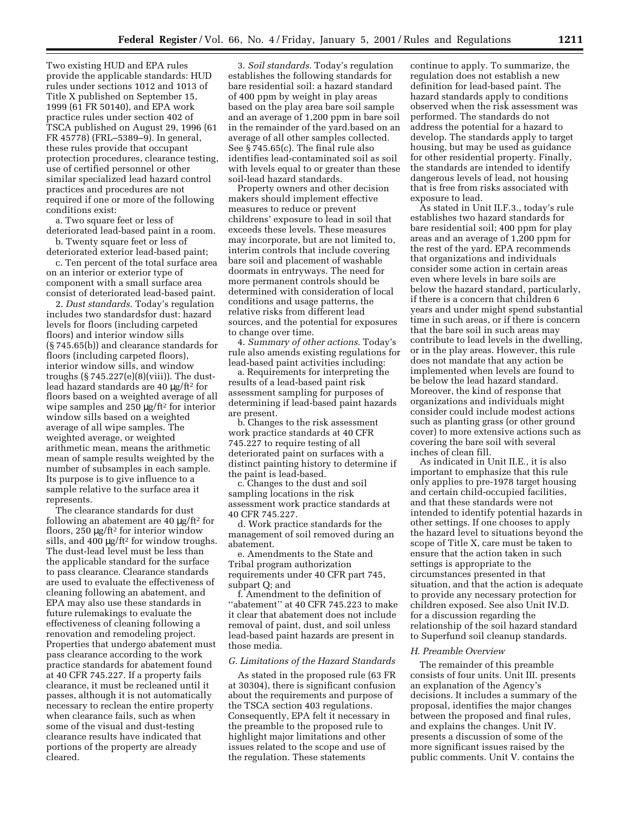Two existing HUD and EPA rules provide the applicable standards: HUD rules under sections 1012 and 1013 of Title X published on September 15, 1999 (61 FR 50140), and EPA work practice rules under section 402 of TSCA published on August 29, 1996 (61 FR 45778) (FRL–5389–9). In general, these rules provide that occupant protection procedures, clearance testing, use of certified personnel or other similar specialized lead hazard control practices and procedures are not required if one or more of the following conditions exist:

a. Two square feet or less of deteriorated lead-based paint in a room. b. Twenty square feet or less of

deteriorated exterior lead-based paint;

c. Ten percent of the total surface area on an interior or exterior type of component with a small surface area consist of deteriorated lead-based paint.

2. *Dust standards*. Today's regulation includes two standardsfor dust: hazard levels for floors (including carpeted floors) and interior window sills (§ 745.65(b)) and clearance standards for floors (including carpeted floors), interior window sills, and window troughs (§ 745.227(e)(8)(viii)). The dustlead hazard standards are 40 µg/ft2 for floors based on a weighted average of all wipe samples and 250  $\mu$ g/ft<sup>2</sup> for interior window sills based on a weighted average of all wipe samples. The weighted average, or weighted arithmetic mean, means the arithmetic mean of sample results weighted by the number of subsamples in each sample. Its purpose is to give influence to a sample relative to the surface area it represents.

The clearance standards for dust following an abatement are  $40 \mu g / \text{ft}^2$  for floors, 250 µg/ft2 for interior window sills, and 400  $\mu$ g/ft<sup>2</sup> for window troughs. The dust-lead level must be less than the applicable standard for the surface to pass clearance. Clearance standards are used to evaluate the effectiveness of cleaning following an abatement, and EPA may also use these standards in future rulemakings to evaluate the effectiveness of cleaning following a renovation and remodeling project. Properties that undergo abatement must pass clearance according to the work practice standards for abatement found at 40 CFR 745.227. If a property fails clearance, it must be recleaned until it passes, although it is not automatically necessary to reclean the entire property when clearance fails, such as when some of the visual and dust-testing clearance results have indicated that portions of the property are already cleared.

3. *Soil standards*. Today's regulation establishes the following standards for bare residential soil: a hazard standard of 400 ppm by weight in play areas based on the play area bare soil sample and an average of 1,200 ppm in bare soil in the remainder of the yard.based on an average of all other samples collected. See § 745.65(c). The final rule also identifies lead-contaminated soil as soil with levels equal to or greater than these soil-lead hazard standards.

Property owners and other decision makers should implement effective measures to reduce or prevent childrens' exposure to lead in soil that exceeds these levels. These measures may incorporate, but are not limited to, interim controls that include covering bare soil and placement of washable doormats in entryways. The need for more permanent controls should be determined with consideration of local conditions and usage patterns, the relative risks from different lead sources, and the potential for exposures to change over time.

4. *Summary of other actions*. Today's rule also amends existing regulations for lead-based paint activities including:

a. Requirements for interpreting the results of a lead-based paint risk assessment sampling for purposes of determining if lead-based paint hazards are present.

b. Changes to the risk assessment work practice standards at 40 CFR 745.227 to require testing of all deteriorated paint on surfaces with a distinct painting history to determine if the paint is lead-based.

c. Changes to the dust and soil sampling locations in the risk assessment work practice standards at 40 CFR 745.227.

d. Work practice standards for the management of soil removed during an abatement.

e. Amendments to the State and Tribal program authorization requirements under 40 CFR part 745, subpart Q; and

f. Amendment to the definition of ''abatement'' at 40 CFR 745.223 to make it clear that abatement does not include removal of paint, dust, and soil unless lead-based paint hazards are present in those media.

#### *G. Limitations of the Hazard Standards*

As stated in the proposed rule (63 FR at 30304), there is significant confusion about the requirements and purpose of the TSCA section 403 regulations. Consequently, EPA felt it necessary in the preamble to the proposed rule to highlight major limitations and other issues related to the scope and use of the regulation. These statements

continue to apply. To summarize, the regulation does not establish a new definition for lead-based paint. The hazard standards apply to conditions observed when the risk assessment was performed. The standards do not address the potential for a hazard to develop. The standards apply to target housing, but may be used as guidance for other residential property. Finally, the standards are intended to identify dangerous levels of lead, not housing that is free from risks associated with exposure to lead.

As stated in Unit II.F.3., today's rule establishes two hazard standards for bare residential soil; 400 ppm for play areas and an average of 1,200 ppm for the rest of the yard. EPA recommends that organizations and individuals consider some action in certain areas even where levels in bare soils are below the hazard standard, particularly, if there is a concern that children 6 years and under might spend substantial time in such areas, or if there is concern that the bare soil in such areas may contribute to lead levels in the dwelling, or in the play areas. However, this rule does not mandate that any action be implemented when levels are found to be below the lead hazard standard. Moreover, the kind of response that organizations and individuals might consider could include modest actions such as planting grass (or other ground cover) to more extensive actions such as covering the bare soil with several inches of clean fill.

As indicated in Unit II.E., it is also important to emphasize that this rule only applies to pre-1978 target housing and certain child-occupied facilities, and that these standards were not intended to identify potential hazards in other settings. If one chooses to apply the hazard level to situations beyond the scope of Title X, care must be taken to ensure that the action taken in such settings is appropriate to the circumstances presented in that situation, and that the action is adequate to provide any necessary protection for children exposed. See also Unit IV.D. for a discussion regarding the relationship of the soil hazard standard to Superfund soil cleanup standards.

#### *H. Preamble Overview*

The remainder of this preamble consists of four units. Unit III. presents an explanation of the Agency's decisions. It includes a summary of the proposal, identifies the major changes between the proposed and final rules, and explains the changes. Unit IV. presents a discussion of some of the more significant issues raised by the public comments. Unit V. contains the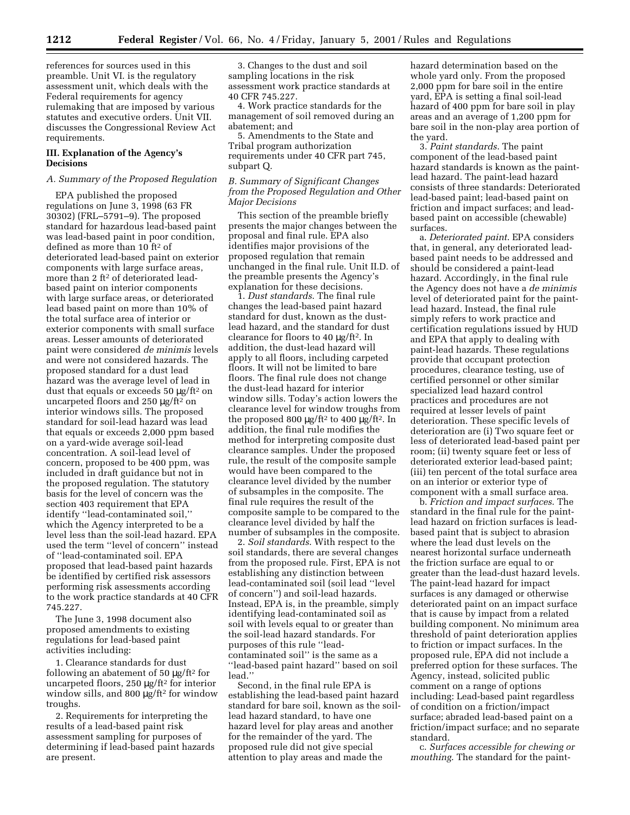references for sources used in this preamble. Unit VI. is the regulatory assessment unit, which deals with the Federal requirements for agency rulemaking that are imposed by various statutes and executive orders. Unit VII. discusses the Congressional Review Act requirements.

# **III. Explanation of the Agency's Decisions**

# *A. Summary of the Proposed Regulation*

EPA published the proposed regulations on June 3, 1998 (63 FR 30302) (FRL–5791–9). The proposed standard for hazardous lead-based paint was lead-based paint in poor condition, defined as more than 10 ft2 of deteriorated lead-based paint on exterior components with large surface areas, more than 2 ft<sup>2</sup> of deteriorated leadbased paint on interior components with large surface areas, or deteriorated lead based paint on more than 10% of the total surface area of interior or exterior components with small surface areas. Lesser amounts of deteriorated paint were considered *de minimis* levels and were not considered hazards. The proposed standard for a dust lead hazard was the average level of lead in dust that equals or exceeds 50 µg/ft2 on uncarpeted floors and 250 µg/ft<sup>2</sup> on interior windows sills. The proposed standard for soil-lead hazard was lead that equals or exceeds 2,000 ppm based on a yard-wide average soil-lead concentration. A soil-lead level of concern, proposed to be 400 ppm, was included in draft guidance but not in the proposed regulation. The statutory basis for the level of concern was the section 403 requirement that EPA identify ''lead-contaminated soil,'' which the Agency interpreted to be a level less than the soil-lead hazard. EPA used the term ''level of concern'' instead of ''lead-contaminated soil. EPA proposed that lead-based paint hazards be identified by certified risk assessors performing risk assessments according to the work practice standards at 40 CFR 745.227.

The June 3, 1998 document also proposed amendments to existing regulations for lead-based paint activities including:

1. Clearance standards for dust following an abatement of 50 µg/ft2 for uncarpeted floors, 250 µg/ft2 for interior window sills, and 800 µg/ft<sup>2</sup> for window troughs.

2. Requirements for interpreting the results of a lead-based paint risk assessment sampling for purposes of determining if lead-based paint hazards are present.

3. Changes to the dust and soil sampling locations in the risk assessment work practice standards at 40 CFR 745.227.

4. Work practice standards for the management of soil removed during an abatement; and

5. Amendments to the State and Tribal program authorization requirements under 40 CFR part 745, subpart Q.

*B. Summary of Significant Changes from the Proposed Regulation and Other Major Decisions*

This section of the preamble briefly presents the major changes between the proposal and final rule. EPA also identifies major provisions of the proposed regulation that remain unchanged in the final rule. Unit II.D. of the preamble presents the Agency's explanation for these decisions.

1. *Dust standards*. The final rule changes the lead-based paint hazard standard for dust, known as the dustlead hazard, and the standard for dust clearance for floors to 40 µg/ft2. In addition, the dust-lead hazard will apply to all floors, including carpeted floors. It will not be limited to bare floors. The final rule does not change the dust-lead hazard for interior window sills. Today's action lowers the clearance level for window troughs from the proposed 800 μg/ft<sup>2</sup> to 400 μg/ft<sup>2</sup>. In addition, the final rule modifies the method for interpreting composite dust clearance samples. Under the proposed rule, the result of the composite sample would have been compared to the clearance level divided by the number of subsamples in the composite. The final rule requires the result of the composite sample to be compared to the clearance level divided by half the number of subsamples in the composite.

2. *Soil standards*. With respect to the soil standards, there are several changes from the proposed rule. First, EPA is not establishing any distinction between lead-contaminated soil (soil lead ''level of concern'') and soil-lead hazards. Instead, EPA is, in the preamble, simply identifying lead-contaminated soil as soil with levels equal to or greater than the soil-lead hazard standards. For purposes of this rule ''leadcontaminated soil'' is the same as a ''lead-based paint hazard'' based on soil lead.''

Second, in the final rule EPA is establishing the lead-based paint hazard standard for bare soil, known as the soillead hazard standard, to have one hazard level for play areas and another for the remainder of the yard. The proposed rule did not give special attention to play areas and made the

hazard determination based on the whole yard only. From the proposed 2,000 ppm for bare soil in the entire yard, EPA is setting a final soil-lead hazard of 400 ppm for bare soil in play areas and an average of 1,200 ppm for bare soil in the non-play area portion of the yard.

3. *Paint standards*. The paint component of the lead-based paint hazard standards is known as the paintlead hazard. The paint-lead hazard consists of three standards: Deteriorated lead-based paint; lead-based paint on friction and impact surfaces; and leadbased paint on accessible (chewable) surfaces.

a. *Deteriorated paint*. EPA considers that, in general, any deteriorated leadbased paint needs to be addressed and should be considered a paint-lead hazard. Accordingly, in the final rule the Agency does not have a *de minimis* level of deteriorated paint for the paintlead hazard. Instead, the final rule simply refers to work practice and certification regulations issued by HUD and EPA that apply to dealing with paint-lead hazards. These regulations provide that occupant protection procedures, clearance testing, use of certified personnel or other similar specialized lead hazard control practices and procedures are not required at lesser levels of paint deterioration. These specific levels of deterioration are (i) Two square feet or less of deteriorated lead-based paint per room; (ii) twenty square feet or less of deteriorated exterior lead-based paint; (iii) ten percent of the total surface area on an interior or exterior type of component with a small surface area.

b. *Friction and impact surfaces*. The standard in the final rule for the paintlead hazard on friction surfaces is leadbased paint that is subject to abrasion where the lead dust levels on the nearest horizontal surface underneath the friction surface are equal to or greater than the lead-dust hazard levels. The paint-lead hazard for impact surfaces is any damaged or otherwise deteriorated paint on an impact surface that is cause by impact from a related building component. No minimum area threshold of paint deterioration applies to friction or impact surfaces. In the proposed rule, EPA did not include a preferred option for these surfaces. The Agency, instead, solicited public comment on a range of options including: Lead-based paint regardless of condition on a friction/impact surface; abraded lead-based paint on a friction/impact surface; and no separate standard.

c. *Surfaces accessible for chewing or mouthing*. The standard for the paint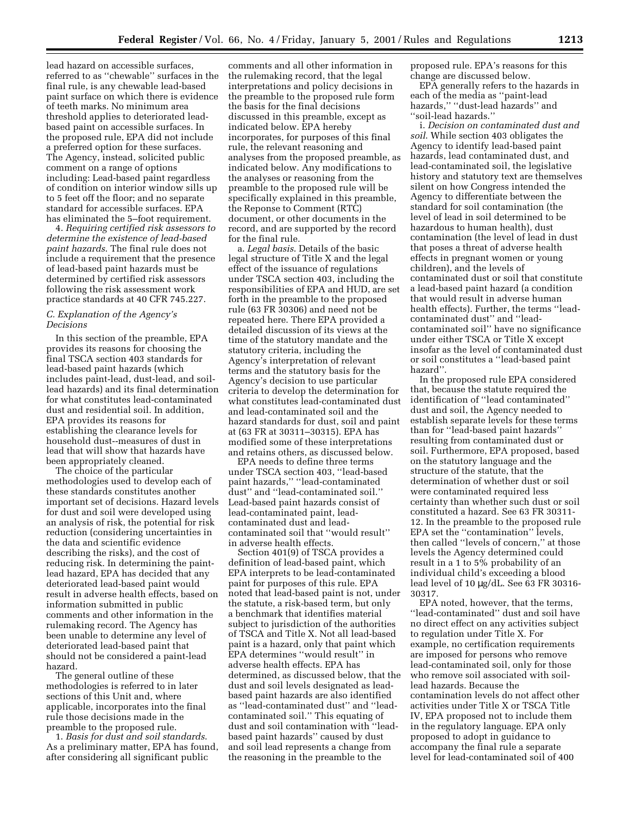lead hazard on accessible surfaces, referred to as ''chewable'' surfaces in the final rule, is any chewable lead-based paint surface on which there is evidence of teeth marks. No minimum area threshold applies to deteriorated leadbased paint on accessible surfaces. In the proposed rule, EPA did not include a preferred option for these surfaces. The Agency, instead, solicited public comment on a range of options including: Lead-based paint regardless of condition on interior window sills up to 5 feet off the floor; and no separate standard for accessible surfaces. EPA has eliminated the 5–foot requirement.

4. *Requiring certified risk assessors to determine the existence of lead-based paint hazards*. The final rule does not include a requirement that the presence of lead-based paint hazards must be determined by certified risk assessors following the risk assessment work practice standards at 40 CFR 745.227.

# *C. Explanation of the Agency's Decisions*

In this section of the preamble, EPA provides its reasons for choosing the final TSCA section 403 standards for lead-based paint hazards (which includes paint-lead, dust-lead, and soillead hazards) and its final determination for what constitutes lead-contaminated dust and residential soil. In addition, EPA provides its reasons for establishing the clearance levels for household dust--measures of dust in lead that will show that hazards have been appropriately cleaned.

The choice of the particular methodologies used to develop each of these standards constitutes another important set of decisions. Hazard levels for dust and soil were developed using an analysis of risk, the potential for risk reduction (considering uncertainties in the data and scientific evidence describing the risks), and the cost of reducing risk. In determining the paintlead hazard, EPA has decided that any deteriorated lead-based paint would result in adverse health effects, based on information submitted in public comments and other information in the rulemaking record. The Agency has been unable to determine any level of deteriorated lead-based paint that should not be considered a paint-lead hazard.

The general outline of these methodologies is referred to in later sections of this Unit and, where applicable, incorporates into the final rule those decisions made in the preamble to the proposed rule.

1. *Basis for dust and soil standards*. As a preliminary matter, EPA has found, after considering all significant public

comments and all other information in the rulemaking record, that the legal interpretations and policy decisions in the preamble to the proposed rule form the basis for the final decisions discussed in this preamble, except as indicated below. EPA hereby incorporates, for purposes of this final rule, the relevant reasoning and analyses from the proposed preamble, as indicated below. Any modifications to the analyses or reasoning from the preamble to the proposed rule will be specifically explained in this preamble, the Reponse to Comment (RTC) document, or other documents in the record, and are supported by the record for the final rule.

a. *Legal basis*. Details of the basic legal structure of Title X and the legal effect of the issuance of regulations under TSCA section 403, including the responsibilities of EPA and HUD, are set forth in the preamble to the proposed rule (63 FR 30306) and need not be repeated here. There EPA provided a detailed discussion of its views at the time of the statutory mandate and the statutory criteria, including the Agency's interpretation of relevant terms and the statutory basis for the Agency's decision to use particular criteria to develop the determination for what constitutes lead-contaminated dust and lead-contaminated soil and the hazard standards for dust, soil and paint at (63 FR at 30311–30315). EPA has modified some of these interpretations and retains others, as discussed below.

EPA needs to define three terms under TSCA section 403, ''lead-based paint hazards,'' ''lead-contaminated dust'' and ''lead-contaminated soil.'' Lead-based paint hazards consist of lead-contaminated paint, leadcontaminated dust and leadcontaminated soil that ''would result'' in adverse health effects.

Section 401(9) of TSCA provides a definition of lead-based paint, which EPA interprets to be lead-contaminated paint for purposes of this rule. EPA noted that lead-based paint is not, under the statute, a risk-based term, but only a benchmark that identifies material subject to jurisdiction of the authorities of TSCA and Title X. Not all lead-based paint is a hazard, only that paint which EPA determines ''would result'' in adverse health effects. EPA has determined, as discussed below, that the dust and soil levels designated as leadbased paint hazards are also identified as ''lead-contaminated dust'' and ''leadcontaminated soil.'' This equating of dust and soil contamination with ''leadbased paint hazards'' caused by dust and soil lead represents a change from the reasoning in the preamble to the

proposed rule. EPA's reasons for this change are discussed below.

EPA generally refers to the hazards in each of the media as ''paint-lead hazards," "dust-lead hazards" and ''soil-lead hazards.''

i. *Decision on contaminated dust and soil*. While section 403 obligates the Agency to identify lead-based paint hazards, lead contaminated dust, and lead-contaminated soil, the legislative history and statutory text are themselves silent on how Congress intended the Agency to differentiate between the standard for soil contamination (the level of lead in soil determined to be hazardous to human health), dust contamination (the level of lead in dust that poses a threat of adverse health effects in pregnant women or young children), and the levels of contaminated dust or soil that constitute a lead-based paint hazard (a condition that would result in adverse human health effects). Further, the terms ''leadcontaminated dust'' and ''leadcontaminated soil'' have no significance under either TSCA or Title X except insofar as the level of contaminated dust or soil constitutes a ''lead-based paint hazard''.

In the proposed rule EPA considered that, because the statute required the identification of ''lead contaminated'' dust and soil, the Agency needed to establish separate levels for these terms than for ''lead-based paint hazards'' resulting from contaminated dust or soil. Furthermore, EPA proposed, based on the statutory language and the structure of the statute, that the determination of whether dust or soil were contaminated required less certainty than whether such dust or soil constituted a hazard. See 63 FR 30311- 12. In the preamble to the proposed rule EPA set the ''contamination'' levels, then called ''levels of concern,'' at those levels the Agency determined could result in a 1 to 5% probability of an individual child's exceeding a blood lead level of 10 µg/dL. See 63 FR 30316- 30317.

EPA noted, however, that the terms, ''lead-contaminated'' dust and soil have no direct effect on any activities subject to regulation under Title X. For example, no certification requirements are imposed for persons who remove lead-contaminated soil, only for those who remove soil associated with soillead hazards. Because the contamination levels do not affect other activities under Title X or TSCA Title IV, EPA proposed not to include them in the regulatory language. EPA only proposed to adopt in guidance to accompany the final rule a separate level for lead-contaminated soil of 400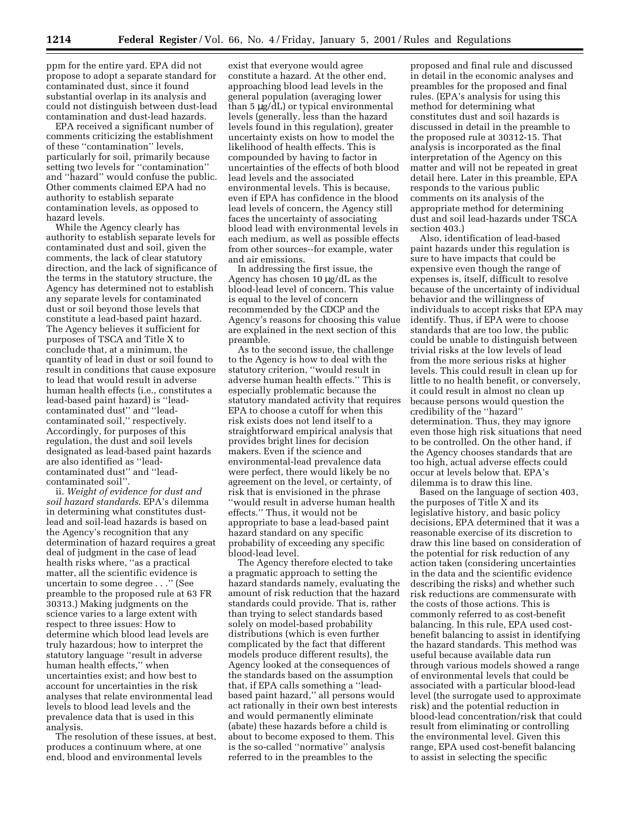ppm for the entire yard. EPA did not propose to adopt a separate standard for contaminated dust, since it found substantial overlap in its analysis and could not distinguish between dust-lead contamination and dust-lead hazards.

EPA received a significant number of comments criticizing the establishment of these ''contamination'' levels, particularly for soil, primarily because setting two levels for ''contamination'' and ''hazard'' would confuse the public. Other comments claimed EPA had no authority to establish separate contamination levels, as opposed to hazard levels.

While the Agency clearly has authority to establish separate levels for contaminated dust and soil, given the comments, the lack of clear statutory direction, and the lack of significance of the terms in the statutory structure, the Agency has determined not to establish any separate levels for contaminated dust or soil beyond those levels that constitute a lead-based paint hazard. The Agency believes it sufficient for purposes of TSCA and Title X to conclude that, at a minimum, the quantity of lead in dust or soil found to result in conditions that cause exposure to lead that would result in adverse human health effects (i.e., constitutes a lead-based paint hazard) is ''leadcontaminated dust'' and ''leadcontaminated soil,'' respectively. Accordingly, for purposes of this regulation, the dust and soil levels designated as lead-based paint hazards are also identified as ''leadcontaminated dust'' and ''leadcontaminated soil''.

ii. *Weight of evidence for dust and soil hazard standards*. EPA's dilemma in determining what constitutes dustlead and soil-lead hazards is based on the Agency's recognition that any determination of hazard requires a great deal of judgment in the case of lead health risks where, ''as a practical matter, all the scientific evidence is uncertain to some degree . . .'' (See preamble to the proposed rule at 63 FR 30313.) Making judgments on the science varies to a large extent with respect to three issues: How to determine which blood lead levels are truly hazardous; how to interpret the statutory language ''result in adverse human health effects,'' when uncertainties exist; and how best to account for uncertainties in the risk analyses that relate environmental lead levels to blood lead levels and the prevalence data that is used in this analysis.

The resolution of these issues, at best, produces a continuum where, at one end, blood and environmental levels

exist that everyone would agree constitute a hazard. At the other end, approaching blood lead levels in the general population (averaging lower than 5 µg/dL) or typical environmental levels (generally, less than the hazard levels found in this regulation), greater uncertainty exists on how to model the likelihood of health effects. This is compounded by having to factor in uncertainties of the effects of both blood lead levels and the associated environmental levels. This is because, even if EPA has confidence in the blood lead levels of concern, the Agency still faces the uncertainty of associating blood lead with environmental levels in each medium, as well as possible effects from other sources--for example, water and air emissions.

In addressing the first issue, the Agency has chosen 10 µg/dL as the blood-lead level of concern. This value is equal to the level of concern recommended by the CDCP and the Agency's reasons for choosing this value are explained in the next section of this preamble.

As to the second issue, the challenge to the Agency is how to deal with the statutory criterion, ''would result in adverse human health effects.'' This is especially problematic because the statutory mandated activity that requires EPA to choose a cutoff for when this risk exists does not lend itself to a straightforward empirical analysis that provides bright lines for decision makers. Even if the science and environmental-lead prevalence data were perfect, there would likely be no agreement on the level, or certainty, of risk that is envisioned in the phrase ''would result in adverse human health effects.'' Thus, it would not be appropriate to base a lead-based paint hazard standard on any specific probability of exceeding any specific blood-lead level.

The Agency therefore elected to take a pragmatic approach to setting the hazard standards namely, evaluating the amount of risk reduction that the hazard standards could provide. That is, rather than trying to select standards based solely on model-based probability distributions (which is even further complicated by the fact that different models produce different results), the Agency looked at the consequences of the standards based on the assumption that, if EPA calls something a ''leadbased paint hazard,'' all persons would act rationally in their own best interests and would permanently eliminate (abate) these hazards before a child is about to become exposed to them. This is the so-called ''normative'' analysis referred to in the preambles to the

proposed and final rule and discussed in detail in the economic analyses and preambles for the proposed and final rules. (EPA's analysis for using this method for determining what constitutes dust and soil hazards is discussed in detail in the preamble to the proposed rule at 30312-15. That analysis is incorporated as the final interpretation of the Agency on this matter and will not be repeated in great detail here. Later in this preamble, EPA responds to the various public comments on its analysis of the appropriate method for determining dust and soil lead-hazards under TSCA section 403.)

Also, identification of lead-based paint hazards under this regulation is sure to have impacts that could be expensive even though the range of expenses is, itself, difficult to resolve because of the uncertainty of individual behavior and the willingness of individuals to accept risks that EPA may identify. Thus, if EPA were to choose standards that are too low, the public could be unable to distinguish between trivial risks at the low levels of lead from the more serious risks at higher levels. This could result in clean up for little to no health benefit, or conversely, it could result in almost no clean up because persons would question the credibility of the ''hazard'' determination. Thus, they may ignore even those high risk situations that need to be controlled. On the other hand, if the Agency chooses standards that are too high, actual adverse effects could occur at levels below that. EPA's dilemma is to draw this line.

Based on the language of section 403, the purposes of Title X and its legislative history, and basic policy decisions, EPA determined that it was a reasonable exercise of its discretion to draw this line based on consideration of the potential for risk reduction of any action taken (considering uncertainties in the data and the scientific evidence describing the risks) and whether such risk reductions are commensurate with the costs of those actions. This is commonly referred to as cost-benefit balancing. In this rule, EPA used costbenefit balancing to assist in identifying the hazard standards. This method was useful because available data run through various models showed a range of environmental levels that could be associated with a particular blood-lead level (the surrogate used to approximate risk) and the potential reduction in blood-lead concentration/risk that could result from eliminating or controlling the environmental level. Given this range, EPA used cost-benefit balancing to assist in selecting the specific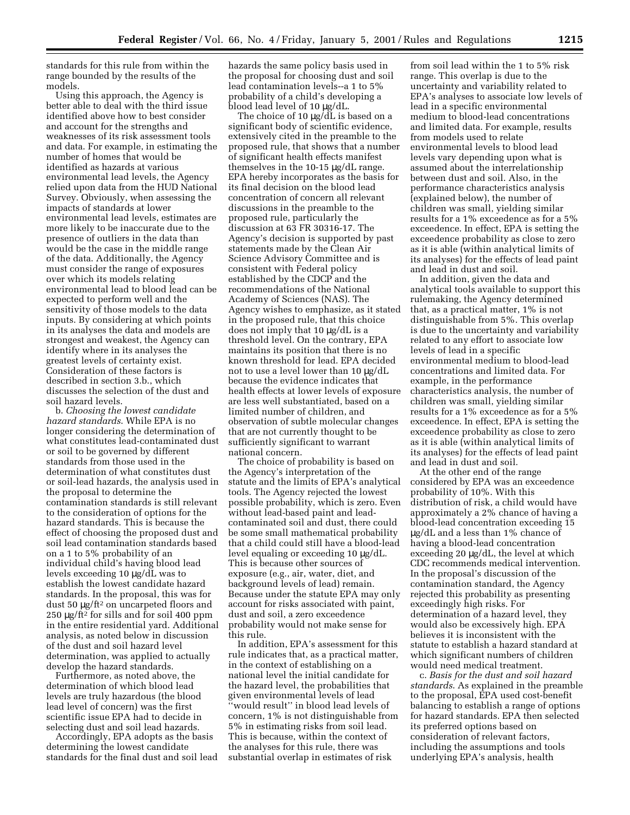standards for this rule from within the range bounded by the results of the models.

Using this approach, the Agency is better able to deal with the third issue identified above how to best consider and account for the strengths and weaknesses of its risk assessment tools and data. For example, in estimating the number of homes that would be identified as hazards at various environmental lead levels, the Agency relied upon data from the HUD National Survey. Obviously, when assessing the impacts of standards at lower environmental lead levels, estimates are more likely to be inaccurate due to the presence of outliers in the data than would be the case in the middle range of the data. Additionally, the Agency must consider the range of exposures over which its models relating environmental lead to blood lead can be expected to perform well and the sensitivity of those models to the data inputs. By considering at which points in its analyses the data and models are strongest and weakest, the Agency can identify where in its analyses the greatest levels of certainty exist. Consideration of these factors is described in section 3.b., which discusses the selection of the dust and soil hazard levels.

b. *Choosing the lowest candidate hazard standards*. While EPA is no longer considering the determination of what constitutes lead-contaminated dust or soil to be governed by different standards from those used in the determination of what constitutes dust or soil-lead hazards, the analysis used in the proposal to determine the contamination standards is still relevant to the consideration of options for the hazard standards. This is because the effect of choosing the proposed dust and soil lead contamination standards based on a 1 to 5% probability of an individual child's having blood lead levels exceeding 10 µg/dL was to establish the lowest candidate hazard standards. In the proposal, this was for dust 50 µg/ft2 on uncarpeted floors and 250 µg/ft2 for sills and for soil 400 ppm in the entire residential yard. Additional analysis, as noted below in discussion of the dust and soil hazard level determination, was applied to actually develop the hazard standards.

Furthermore, as noted above, the determination of which blood lead levels are truly hazardous (the blood lead level of concern) was the first scientific issue EPA had to decide in selecting dust and soil lead hazards.

Accordingly, EPA adopts as the basis determining the lowest candidate standards for the final dust and soil lead hazards the same policy basis used in the proposal for choosing dust and soil lead contamination levels--a 1 to 5% probability of a child's developing a blood lead level of 10 µg/dL.

The choice of 10 µg/dL is based on a significant body of scientific evidence, extensively cited in the preamble to the proposed rule, that shows that a number of significant health effects manifest themselves in the 10-15 µg/dL range. EPA hereby incorporates as the basis for its final decision on the blood lead concentration of concern all relevant discussions in the preamble to the proposed rule, particularly the discussion at 63 FR 30316-17. The Agency's decision is supported by past statements made by the Clean Air Science Advisory Committee and is consistent with Federal policy established by the CDCP and the recommendations of the National Academy of Sciences (NAS). The Agency wishes to emphasize, as it stated in the proposed rule, that this choice does not imply that 10 µg/dL is a threshold level. On the contrary, EPA maintains its position that there is no known threshold for lead. EPA decided not to use a level lower than 10 µg/dL because the evidence indicates that health effects at lower levels of exposure are less well substantiated, based on a limited number of children, and observation of subtle molecular changes that are not currently thought to be sufficiently significant to warrant national concern.

The choice of probability is based on the Agency's interpretation of the statute and the limits of EPA's analytical tools. The Agency rejected the lowest possible probability, which is zero. Even without lead-based paint and leadcontaminated soil and dust, there could be some small mathematical probability that a child could still have a blood-lead level equaling or exceeding 10 µg/dL. This is because other sources of exposure (e.g., air, water, diet, and background levels of lead) remain. Because under the statute EPA may only account for risks associated with paint, dust and soil, a zero exceedence probability would not make sense for this rule.

In addition, EPA's assessment for this rule indicates that, as a practical matter, in the context of establishing on a national level the initial candidate for the hazard level, the probabilities that given environmental levels of lead ''would result'' in blood lead levels of concern, 1% is not distinguishable from 5% in estimating risks from soil lead. This is because, within the context of the analyses for this rule, there was substantial overlap in estimates of risk

from soil lead within the 1 to 5% risk range. This overlap is due to the uncertainty and variability related to EPA's analyses to associate low levels of lead in a specific environmental medium to blood-lead concentrations and limited data. For example, results from models used to relate environmental levels to blood lead levels vary depending upon what is assumed about the interrelationship between dust and soil. Also, in the performance characteristics analysis (explained below), the number of children was small, yielding similar results for a 1% exceedence as for a 5% exceedence. In effect, EPA is setting the exceedence probability as close to zero as it is able (within analytical limits of its analyses) for the effects of lead paint and lead in dust and soil.

In addition, given the data and analytical tools available to support this rulemaking, the Agency determined that, as a practical matter, 1% is not distinguishable from 5%. This overlap is due to the uncertainty and variability related to any effort to associate low levels of lead in a specific environmental medium to blood-lead concentrations and limited data. For example, in the performance characteristics analysis, the number of children was small, yielding similar results for a 1% exceedence as for a 5% exceedence. In effect, EPA is setting the exceedence probability as close to zero as it is able (within analytical limits of its analyses) for the effects of lead paint and lead in dust and soil.

At the other end of the range considered by EPA was an exceedence probability of 10%. With this distribution of risk, a child would have approximately a 2% chance of having a blood-lead concentration exceeding 15 µg/dL and a less than 1% chance of having a blood-lead concentration exceeding 20 µg/dL, the level at which CDC recommends medical intervention. In the proposal's discussion of the contamination standard, the Agency rejected this probability as presenting exceedingly high risks. For determination of a hazard level, they would also be excessively high. EPA believes it is inconsistent with the statute to establish a hazard standard at which significant numbers of children would need medical treatment.

c. *Basis for the dust and soil hazard standards*. As explained in the preamble to the proposal, EPA used cost-benefit balancing to establish a range of options for hazard standards. EPA then selected its preferred options based on consideration of relevant factors, including the assumptions and tools underlying EPA's analysis, health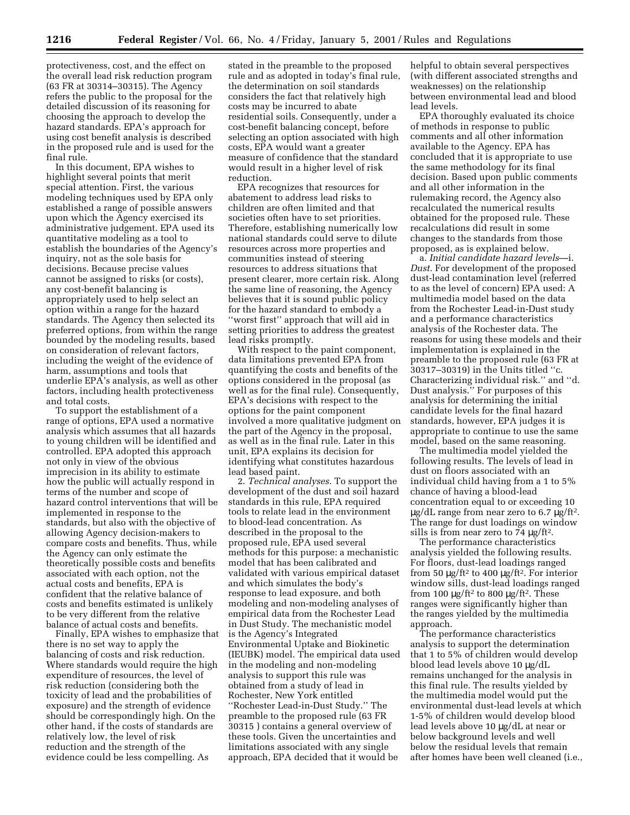protectiveness, cost, and the effect on the overall lead risk reduction program (63 FR at 30314–30315). The Agency refers the public to the proposal for the detailed discussion of its reasoning for choosing the approach to develop the hazard standards. EPA's approach for using cost benefit analysis is described in the proposed rule and is used for the final rule.

In this document, EPA wishes to highlight several points that merit special attention. First, the various modeling techniques used by EPA only established a range of possible answers upon which the Agency exercised its administrative judgement. EPA used its quantitative modeling as a tool to establish the boundaries of the Agency's inquiry, not as the sole basis for decisions. Because precise values cannot be assigned to risks (or costs), any cost-benefit balancing is appropriately used to help select an option within a range for the hazard standards. The Agency then selected its preferred options, from within the range bounded by the modeling results, based on consideration of relevant factors, including the weight of the evidence of harm, assumptions and tools that underlie EPA's analysis, as well as other factors, including health protectiveness and total costs.

To support the establishment of a range of options, EPA used a normative analysis which assumes that all hazards to young children will be identified and controlled. EPA adopted this approach not only in view of the obvious imprecision in its ability to estimate how the public will actually respond in terms of the number and scope of hazard control interventions that will be implemented in response to the standards, but also with the objective of allowing Agency decision-makers to compare costs and benefits. Thus, while the Agency can only estimate the theoretically possible costs and benefits associated with each option, not the actual costs and benefits, EPA is confident that the relative balance of costs and benefits estimated is unlikely to be very different from the relative balance of actual costs and benefits.

Finally, EPA wishes to emphasize that there is no set way to apply the balancing of costs and risk reduction. Where standards would require the high expenditure of resources, the level of risk reduction (considering both the toxicity of lead and the probabilities of exposure) and the strength of evidence should be correspondingly high. On the other hand, if the costs of standards are relatively low, the level of risk reduction and the strength of the evidence could be less compelling. As

stated in the preamble to the proposed rule and as adopted in today's final rule, the determination on soil standards considers the fact that relatively high costs may be incurred to abate residential soils. Consequently, under a cost-benefit balancing concept, before selecting an option associated with high costs, EPA would want a greater measure of confidence that the standard would result in a higher level of risk reduction.

EPA recognizes that resources for abatement to address lead risks to children are often limited and that societies often have to set priorities. Therefore, establishing numerically low national standards could serve to dilute resources across more properties and communities instead of steering resources to address situations that present clearer, more certain risk. Along the same line of reasoning, the Agency believes that it is sound public policy for the hazard standard to embody a ''worst first'' approach that will aid in setting priorities to address the greatest lead risks promptly.

With respect to the paint component, data limitations prevented EPA from quantifying the costs and benefits of the options considered in the proposal (as well as for the final rule). Consequently, EPA's decisions with respect to the options for the paint component involved a more qualitative judgment on the part of the Agency in the proposal, as well as in the final rule. Later in this unit, EPA explains its decision for identifying what constitutes hazardous lead based paint.

2. *Technical analyses*. To support the development of the dust and soil hazard standards in this rule, EPA required tools to relate lead in the environment to blood-lead concentration. As described in the proposal to the proposed rule, EPA used several methods for this purpose: a mechanistic model that has been calibrated and validated with various empirical dataset and which simulates the body's response to lead exposure, and both modeling and non-modeling analyses of empirical data from the Rochester Lead in Dust Study. The mechanistic model is the Agency's Integrated Environmental Uptake and Biokinetic (IEUBK) model. The empirical data used in the modeling and non-modeling analysis to support this rule was obtained from a study of lead in Rochester, New York entitled ''Rochester Lead-in-Dust Study.'' The preamble to the proposed rule (63 FR 30315 ) contains a general overview of these tools. Given the uncertainties and limitations associated with any single approach, EPA decided that it would be

helpful to obtain several perspectives (with different associated strengths and weaknesses) on the relationship between environmental lead and blood lead levels.

EPA thoroughly evaluated its choice of methods in response to public comments and all other information available to the Agency. EPA has concluded that it is appropriate to use the same methodology for its final decision. Based upon public comments and all other information in the rulemaking record, the Agency also recalculated the numerical results obtained for the proposed rule. These recalculations did result in some changes to the standards from those proposed, as is explained below.

a. *Initial candidate hazard levels*—i. *Dust*. For development of the proposed dust-lead contamination level (referred to as the level of concern) EPA used: A multimedia model based on the data from the Rochester Lead-in-Dust study and a performance characteristics analysis of the Rochester data. The reasons for using these models and their implementation is explained in the preamble to the proposed rule (63 FR at 30317–30319) in the Units titled ''c. Characterizing individual risk.'' and ''d. Dust analysis.'' For purposes of this analysis for determining the initial candidate levels for the final hazard standards, however, EPA judges it is appropriate to continue to use the same model, based on the same reasoning.

The multimedia model yielded the following results. The levels of lead in dust on floors associated with an individual child having from a 1 to 5% chance of having a blood-lead concentration equal to or exceeding 10  $\mu$ g/dL range from near zero to 6.7  $\mu$ g/ft<sup>2</sup>. The range for dust loadings on window sills is from near zero to  $74 \mu g/ft^2$ .

The performance characteristics analysis yielded the following results. For floors, dust-lead loadings ranged from 50  $\mu$ g/ft<sup>2</sup> to 400  $\mu$ g/ft<sup>2</sup>. For interior window sills, dust-lead loadings ranged from 100  $\mu$ g/ft<sup>2</sup> to 800  $\mu$ g/ft<sup>2</sup>. These ranges were significantly higher than the ranges yielded by the multimedia approach.

The performance characteristics analysis to support the determination that 1 to 5% of children would develop blood lead levels above 10 µg/dL remains unchanged for the analysis in this final rule. The results yielded by the multimedia model would put the environmental dust-lead levels at which 1-5% of children would develop blood lead levels above 10 µg/dL at near or below background levels and well below the residual levels that remain after homes have been well cleaned (i.e.,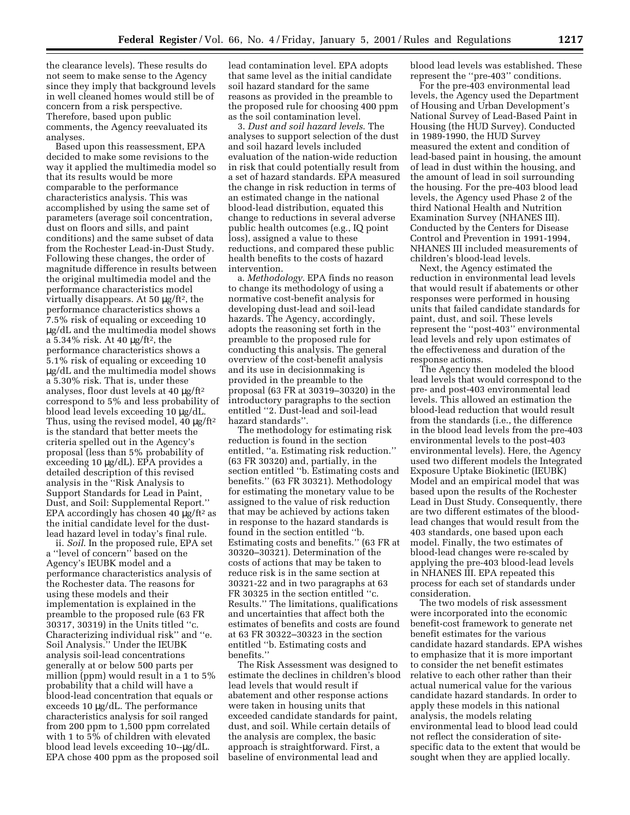the clearance levels). These results do not seem to make sense to the Agency since they imply that background levels in well cleaned homes would still be of concern from a risk perspective. Therefore, based upon public comments, the Agency reevaluated its analyses.

Based upon this reassessment, EPA decided to make some revisions to the way it applied the multimedia model so that its results would be more comparable to the performance characteristics analysis. This was accomplished by using the same set of parameters (average soil concentration, dust on floors and sills, and paint conditions) and the same subset of data from the Rochester Lead-in-Dust Study. Following these changes, the order of magnitude difference in results between the original multimedia model and the performance characteristics model virtually disappears. At 50 µg/ft<sup>2</sup>, the performance characteristics shows a 7.5% risk of equaling or exceeding 10 µg/dL and the multimedia model shows a 5.34% risk. At 40 µg/ft2, the performance characteristics shows a 5.1% risk of equaling or exceeding 10 µg/dL and the multimedia model shows a 5.30% risk. That is, under these analyses, floor dust levels at 40 µg/ft2 correspond to 5% and less probability of blood lead levels exceeding 10 µg/dL. Thus, using the revised model,  $40 \mu g / \text{ft}^2$ is the standard that better meets the criteria spelled out in the Agency's proposal (less than 5% probability of exceeding 10 µg/dL). EPA provides a detailed description of this revised analysis in the ''Risk Analysis to Support Standards for Lead in Paint, Dust, and Soil: Supplemental Report.'' EPA accordingly has chosen 40  $\mu$ g/ft<sup>2</sup> as the initial candidate level for the dustlead hazard level in today's final rule.

ii. *Soil*. In the proposed rule, EPA set a ''level of concern'' based on the Agency's IEUBK model and a performance characteristics analysis of the Rochester data. The reasons for using these models and their implementation is explained in the preamble to the proposed rule (63 FR 30317, 30319) in the Units titled ''c. Characterizing individual risk'' and ''e. Soil Analysis.'' Under the IEUBK analysis soil-lead concentrations generally at or below 500 parts per million (ppm) would result in a 1 to 5% probability that a child will have a blood-lead concentration that equals or exceeds 10 µg/dL. The performance characteristics analysis for soil ranged from 200 ppm to 1,500 ppm correlated with 1 to 5% of children with elevated blood lead levels exceeding 10--µg/dL. EPA chose 400 ppm as the proposed soil

lead contamination level. EPA adopts that same level as the initial candidate soil hazard standard for the same reasons as provided in the preamble to the proposed rule for choosing 400 ppm as the soil contamination level.

3. *Dust and soil hazard levels*. The analyses to support selection of the dust and soil hazard levels included evaluation of the nation-wide reduction in risk that could potentially result from a set of hazard standards. EPA measured the change in risk reduction in terms of an estimated change in the national blood-lead distribution, equated this change to reductions in several adverse public health outcomes (e.g., IQ point loss), assigned a value to these reductions, and compared these public health benefits to the costs of hazard intervention.

a. *Methodology*. EPA finds no reason to change its methodology of using a normative cost-benefit analysis for developing dust-lead and soil-lead hazards. The Agency, accordingly, adopts the reasoning set forth in the preamble to the proposed rule for conducting this analysis. The general overview of the cost-benefit analysis and its use in decisionmaking is provided in the preamble to the proposal (63 FR at 30319–30320) in the introductory paragraphs to the section entitled ''2. Dust-lead and soil-lead hazard standards''.

The methodology for estimating risk reduction is found in the section entitled, ''a. Estimating risk reduction.'' (63 FR 30320) and, partially, in the section entitled ''b. Estimating costs and benefits.'' (63 FR 30321). Methodology for estimating the monetary value to be assigned to the value of risk reduction that may be achieved by actions taken in response to the hazard standards is found in the section entitled ''b. Estimating costs and benefits.'' (63 FR at 30320–30321). Determination of the costs of actions that may be taken to reduce risk is in the same section at 30321-22 and in two paragraphs at 63 FR 30325 in the section entitled ''c. Results.'' The limitations, qualifications and uncertainties that affect both the estimates of benefits and costs are found at 63 FR 30322–30323 in the section entitled ''b. Estimating costs and benefits.''

The Risk Assessment was designed to estimate the declines in children's blood lead levels that would result if abatement and other response actions were taken in housing units that exceeded candidate standards for paint, dust, and soil. While certain details of the analysis are complex, the basic approach is straightforward. First, a baseline of environmental lead and

blood lead levels was established. These represent the ''pre-403'' conditions.

For the pre-403 environmental lead levels, the Agency used the Department of Housing and Urban Development's National Survey of Lead-Based Paint in Housing (the HUD Survey). Conducted in 1989-1990, the HUD Survey measured the extent and condition of lead-based paint in housing, the amount of lead in dust within the housing, and the amount of lead in soil surrounding the housing. For the pre-403 blood lead levels, the Agency used Phase 2 of the third National Health and Nutrition Examination Survey (NHANES III). Conducted by the Centers for Disease Control and Prevention in 1991-1994, NHANES III included measurements of children's blood-lead levels.

Next, the Agency estimated the reduction in environmental lead levels that would result if abatements or other responses were performed in housing units that failed candidate standards for paint, dust, and soil. These levels represent the ''post-403'' environmental lead levels and rely upon estimates of the effectiveness and duration of the response actions.

The Agency then modeled the blood lead levels that would correspond to the pre- and post-403 environmental lead levels. This allowed an estimation the blood-lead reduction that would result from the standards (i.e., the difference in the blood lead levels from the pre-403 environmental levels to the post-403 environmental levels). Here, the Agency used two different models the Integrated Exposure Uptake Biokinetic (IEUBK) Model and an empirical model that was based upon the results of the Rochester Lead in Dust Study. Consequently, there are two different estimates of the bloodlead changes that would result from the 403 standards, one based upon each model. Finally, the two estimates of blood-lead changes were re-scaled by applying the pre-403 blood-lead levels in NHANES III. EPA repeated this process for each set of standards under consideration.

The two models of risk assessment were incorporated into the economic benefit-cost framework to generate net benefit estimates for the various candidate hazard standards. EPA wishes to emphasize that it is more important to consider the net benefit estimates relative to each other rather than their actual numerical value for the various candidate hazard standards. In order to apply these models in this national analysis, the models relating environmental lead to blood lead could not reflect the consideration of sitespecific data to the extent that would be sought when they are applied locally.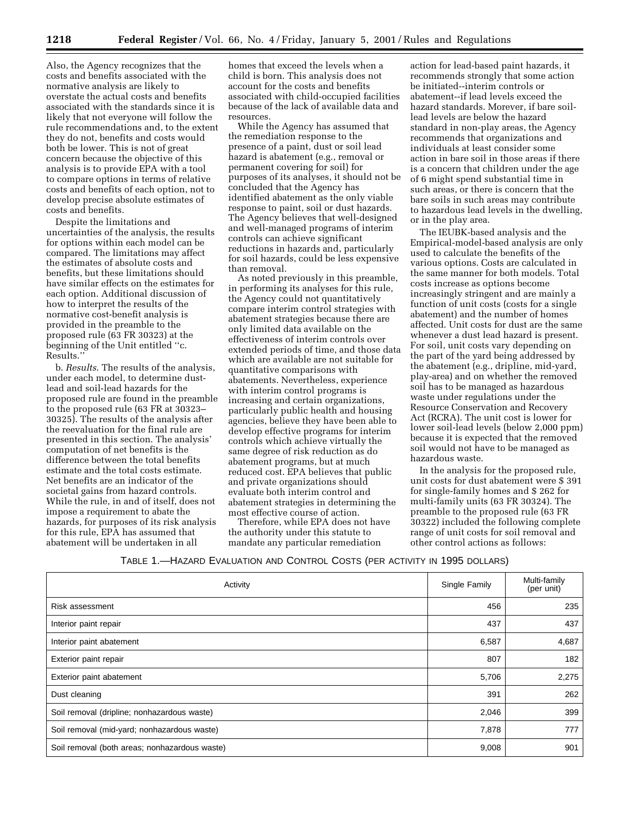Also, the Agency recognizes that the costs and benefits associated with the normative analysis are likely to overstate the actual costs and benefits associated with the standards since it is likely that not everyone will follow the rule recommendations and, to the extent they do not, benefits and costs would both be lower. This is not of great concern because the objective of this analysis is to provide EPA with a tool to compare options in terms of relative costs and benefits of each option, not to develop precise absolute estimates of costs and benefits.

Despite the limitations and uncertainties of the analysis, the results for options within each model can be compared. The limitations may affect the estimates of absolute costs and benefits, but these limitations should have similar effects on the estimates for each option. Additional discussion of how to interpret the results of the normative cost-benefit analysis is provided in the preamble to the proposed rule (63 FR 30323) at the beginning of the Unit entitled ''c. Results.''

b. *Results*. The results of the analysis, under each model, to determine dustlead and soil-lead hazards for the proposed rule are found in the preamble to the proposed rule (63 FR at 30323– 30325). The results of the analysis after the reevaluation for the final rule are presented in this section. The analysis' computation of net benefits is the difference between the total benefits estimate and the total costs estimate. Net benefits are an indicator of the societal gains from hazard controls. While the rule, in and of itself, does not impose a requirement to abate the hazards, for purposes of its risk analysis for this rule, EPA has assumed that abatement will be undertaken in all

homes that exceed the levels when a child is born. This analysis does not account for the costs and benefits associated with child-occupied facilities because of the lack of available data and resources.

While the Agency has assumed that the remediation response to the presence of a paint, dust or soil lead hazard is abatement (e.g., removal or permanent covering for soil) for purposes of its analyses, it should not be concluded that the Agency has identified abatement as the only viable response to paint, soil or dust hazards. The Agency believes that well-designed and well-managed programs of interim controls can achieve significant reductions in hazards and, particularly for soil hazards, could be less expensive than removal.

As noted previously in this preamble, in performing its analyses for this rule, the Agency could not quantitatively compare interim control strategies with abatement strategies because there are only limited data available on the effectiveness of interim controls over extended periods of time, and those data which are available are not suitable for quantitative comparisons with abatements. Nevertheless, experience with interim control programs is increasing and certain organizations, particularly public health and housing agencies, believe they have been able to develop effective programs for interim controls which achieve virtually the same degree of risk reduction as do abatement programs, but at much reduced cost. EPA believes that public and private organizations should evaluate both interim control and abatement strategies in determining the most effective course of action.

Therefore, while EPA does not have the authority under this statute to mandate any particular remediation

action for lead-based paint hazards, it recommends strongly that some action be initiated--interim controls or abatement--if lead levels exceed the hazard standards. Morever, if bare soillead levels are below the hazard standard in non-play areas, the Agency recommends that organizations and individuals at least consider some action in bare soil in those areas if there is a concern that children under the age of 6 might spend substantial time in such areas, or there is concern that the bare soils in such areas may contribute to hazardous lead levels in the dwelling, or in the play area.

The IEUBK-based analysis and the Empirical-model-based analysis are only used to calculate the benefits of the various options. Costs are calculated in the same manner for both models. Total costs increase as options become increasingly stringent and are mainly a function of unit costs (costs for a single abatement) and the number of homes affected. Unit costs for dust are the same whenever a dust lead hazard is present. For soil, unit costs vary depending on the part of the yard being addressed by the abatement (e.g., dripline, mid-yard, play-area) and on whether the removed soil has to be managed as hazardous waste under regulations under the Resource Conservation and Recovery Act (RCRA). The unit cost is lower for lower soil-lead levels (below 2,000 ppm) because it is expected that the removed soil would not have to be managed as hazardous waste.

In the analysis for the proposed rule, unit costs for dust abatement were \$ 391 for single-family homes and \$ 262 for multi-family units (63 FR 30324). The preamble to the proposed rule (63 FR 30322) included the following complete range of unit costs for soil removal and other control actions as follows:

| Table 1.—Hazard Evaluation and Control Costs (per activity in 1995 dollars) |  |
|-----------------------------------------------------------------------------|--|
|-----------------------------------------------------------------------------|--|

| Activity                                      | Single Family | Multi-family<br>(per unit) |
|-----------------------------------------------|---------------|----------------------------|
| Risk assessment                               | 456           | 235                        |
| Interior paint repair                         | 437           | 437                        |
| Interior paint abatement                      | 6,587         | 4,687                      |
| Exterior paint repair                         | 807           | 182                        |
| Exterior paint abatement                      | 5,706         | 2,275                      |
| Dust cleaning                                 | 391           | 262                        |
| Soil removal (dripline; nonhazardous waste)   | 2,046         | 399                        |
| Soil removal (mid-yard; nonhazardous waste)   | 7,878         | 777                        |
| Soil removal (both areas; nonhazardous waste) | 9,008         | 901                        |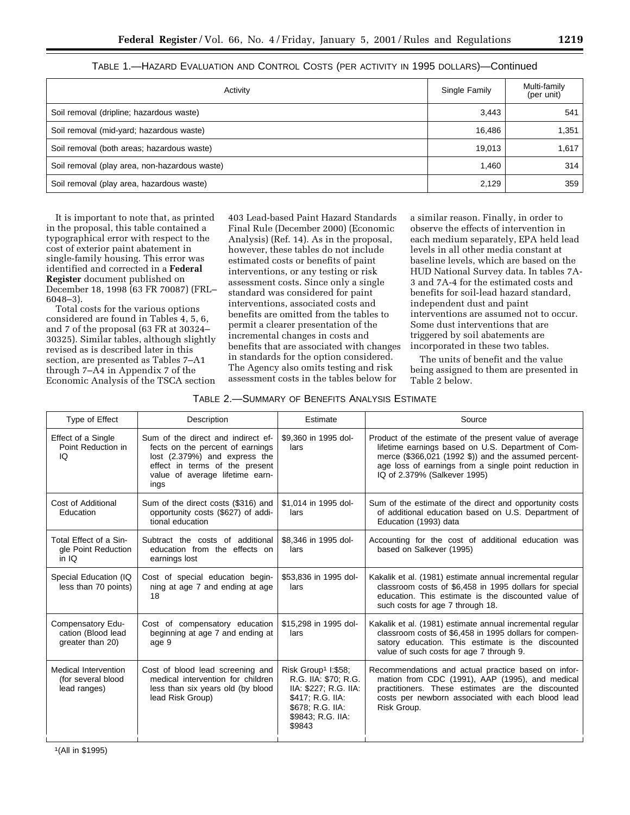| v<br>--<br>v.<br>. .<br>__ |  |
|----------------------------|--|
|----------------------------|--|

# TABLE 1.—HAZARD EVALUATION AND CONTROL COSTS (PER ACTIVITY IN 1995 DOLLARS)—Continued

| Activity                                      | Single Family | Multi-family<br>(per unit) |
|-----------------------------------------------|---------------|----------------------------|
| Soil removal (dripline; hazardous waste)      | 3,443         | 541                        |
| Soil removal (mid-yard; hazardous waste)      | 16,486        | 1,351                      |
| Soil removal (both areas; hazardous waste)    | 19,013        | 1,617                      |
| Soil removal (play area, non-hazardous waste) | 1.460         | 314                        |
| Soil removal (play area, hazardous waste)     | 2,129         | 359                        |

It is important to note that, as printed in the proposal, this table contained a typographical error with respect to the cost of exterior paint abatement in single-family housing. This error was identified and corrected in a **Federal Register** document published on December 18, 1998 (63 FR 70087) (FRL– 6048–3).

Total costs for the various options considered are found in Tables 4, 5, 6, and 7 of the proposal (63 FR at 30324– 30325). Similar tables, although slightly revised as is described later in this section, are presented as Tables 7–A1 through 7–A4 in Appendix 7 of the Economic Analysis of the TSCA section

403 Lead-based Paint Hazard Standards Final Rule (December 2000) (Economic Analysis) (Ref. 14). As in the proposal, however, these tables do not include estimated costs or benefits of paint interventions, or any testing or risk assessment costs. Since only a single standard was considered for paint interventions, associated costs and benefits are omitted from the tables to permit a clearer presentation of the incremental changes in costs and benefits that are associated with changes in standards for the option considered. The Agency also omits testing and risk assessment costs in the tables below for

a similar reason. Finally, in order to observe the effects of intervention in each medium separately, EPA held lead levels in all other media constant at baseline levels, which are based on the HUD National Survey data. In tables 7A-3 and 7A-4 for the estimated costs and benefits for soil-lead hazard standard, independent dust and paint interventions are assumed not to occur. Some dust interventions that are triggered by soil abatements are incorporated in these two tables.

The units of benefit and the value being assigned to them are presented in Table 2 below.

# TABLE 2.—SUMMARY OF BENEFITS ANALYSIS ESTIMATE

| Type of Effect                                              | Description                                                                                                                                                                          | Estimate                                                                                                                                                | Source                                                                                                                                                                                                                                                         |
|-------------------------------------------------------------|--------------------------------------------------------------------------------------------------------------------------------------------------------------------------------------|---------------------------------------------------------------------------------------------------------------------------------------------------------|----------------------------------------------------------------------------------------------------------------------------------------------------------------------------------------------------------------------------------------------------------------|
| Effect of a Single<br>Point Reduction in<br>IQ              | Sum of the direct and indirect ef-<br>fects on the percent of earnings<br>lost (2.379%) and express the<br>effect in terms of the present<br>value of average lifetime earn-<br>ings | \$9,360 in 1995 dol-<br>lars                                                                                                                            | Product of the estimate of the present value of average<br>lifetime earnings based on U.S. Department of Com-<br>merce (\$366,021 (1992 \$)) and the assumed percent-<br>age loss of earnings from a single point reduction in<br>IQ of 2.379% (Salkever 1995) |
| Cost of Additional<br>Education                             | Sum of the direct costs (\$316) and<br>opportunity costs (\$627) of addi-<br>tional education                                                                                        | \$1,014 in 1995 dol-<br>lars                                                                                                                            | Sum of the estimate of the direct and opportunity costs<br>of additional education based on U.S. Department of<br>Education (1993) data                                                                                                                        |
| Total Effect of a Sin-<br>gle Point Reduction<br>in $IQ$    | Subtract the costs of additional<br>education from the effects on<br>earnings lost                                                                                                   | \$8,346 in 1995 dol-<br>lars                                                                                                                            | Accounting for the cost of additional education was<br>based on Salkever (1995)                                                                                                                                                                                |
| Special Education (IQ<br>less than 70 points)               | Cost of special education begin-<br>ning at age 7 and ending at age<br>18                                                                                                            | \$53,836 in 1995 dol-<br>lars                                                                                                                           | Kakalik et al. (1981) estimate annual incremental regular<br>classroom costs of \$6,458 in 1995 dollars for special<br>education. This estimate is the discounted value of<br>such costs for age 7 through 18.                                                 |
| Compensatory Edu-<br>cation (Blood lead<br>greater than 20) | Cost of compensatory education<br>beginning at age 7 and ending at<br>age 9                                                                                                          | \$15,298 in 1995 dol-<br>lars                                                                                                                           | Kakalik et al. (1981) estimate annual incremental regular<br>classroom costs of \$6,458 in 1995 dollars for compen-<br>satory education. This estimate is the discounted<br>value of such costs for age 7 through 9.                                           |
| Medical Intervention<br>(for several blood<br>lead ranges)  | Cost of blood lead screening and<br>medical intervention for children<br>less than six years old (by blood<br>lead Risk Group)                                                       | Risk Group <sup>1</sup> I:\$58;<br>R.G. IIA: \$70; R.G.<br>IIA: \$227; R.G. IIA:<br>\$417; R.G. IIA:<br>\$678; R.G. IIA:<br>\$9843; R.G. IIA:<br>\$9843 | Recommendations and actual practice based on infor-<br>mation from CDC (1991), AAP (1995), and medical<br>practitioners. These estimates are the discounted<br>costs per newborn associated with each blood lead<br>Risk Group.                                |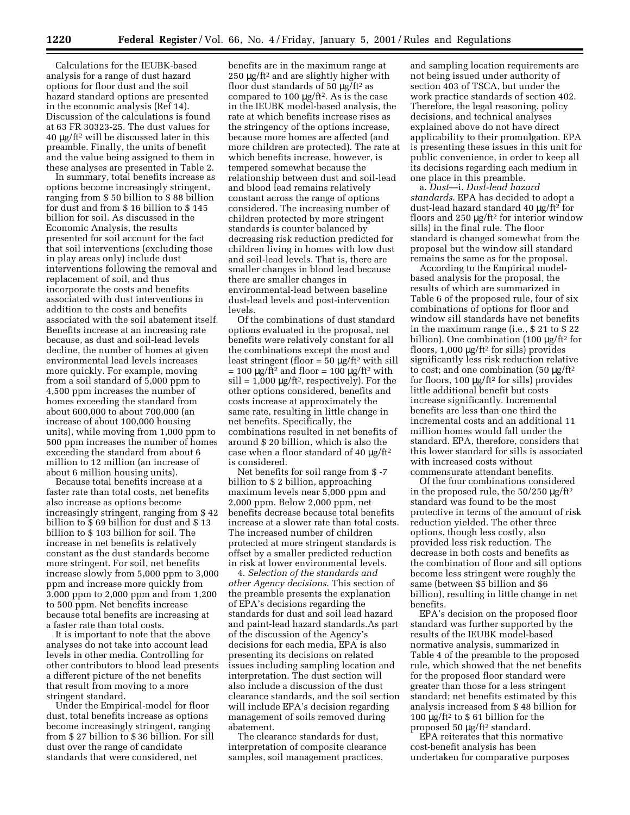Calculations for the IEUBK-based analysis for a range of dust hazard options for floor dust and the soil hazard standard options are presented in the economic analysis (Ref 14). Discussion of the calculations is found at 63 FR 30323-25. The dust values for 40 µg/ft2 will be discussed later in this preamble. Finally, the units of benefit and the value being assigned to them in these analyses are presented in Table 2.

In summary, total benefits increase as options become increasingly stringent, ranging from \$ 50 billion to \$ 88 billion for dust and from \$ 16 billion to \$ 145 billion for soil. As discussed in the Economic Analysis, the results presented for soil account for the fact that soil interventions (excluding those in play areas only) include dust interventions following the removal and replacement of soil, and thus incorporate the costs and benefits associated with dust interventions in addition to the costs and benefits associated with the soil abatement itself. Benefits increase at an increasing rate because, as dust and soil-lead levels decline, the number of homes at given environmental lead levels increases more quickly. For example, moving from a soil standard of 5,000 ppm to 4,500 ppm increases the number of homes exceeding the standard from about 600,000 to about 700,000 (an increase of about 100,000 housing units), while moving from 1,000 ppm to 500 ppm increases the number of homes exceeding the standard from about 6 million to 12 million (an increase of about 6 million housing units).

Because total benefits increase at a faster rate than total costs, net benefits also increase as options become increasingly stringent, ranging from \$ 42 billion to \$ 69 billion for dust and \$ 13 billion to \$ 103 billion for soil. The increase in net benefits is relatively constant as the dust standards become more stringent. For soil, net benefits increase slowly from 5,000 ppm to 3,000 ppm and increase more quickly from 3,000 ppm to 2,000 ppm and from 1,200 to 500 ppm. Net benefits increase because total benefits are increasing at a faster rate than total costs.

It is important to note that the above analyses do not take into account lead levels in other media. Controlling for other contributors to blood lead presents a different picture of the net benefits that result from moving to a more stringent standard.

Under the Empirical-model for floor dust, total benefits increase as options become increasingly stringent, ranging from \$ 27 billion to \$ 36 billion. For sill dust over the range of candidate standards that were considered, net

benefits are in the maximum range at 250 µg/ft2 and are slightly higher with floor dust standards of 50  $\mu$ g/ft<sup>2</sup> as compared to  $100 \mu g / \text{ft}^2$ . As is the case in the IEUBK model-based analysis, the rate at which benefits increase rises as the stringency of the options increase, because more homes are affected (and more children are protected). The rate at which benefits increase, however, is tempered somewhat because the relationship between dust and soil-lead and blood lead remains relatively constant across the range of options considered. The increasing number of children protected by more stringent standards is counter balanced by decreasing risk reduction predicted for children living in homes with low dust and soil-lead levels. That is, there are smaller changes in blood lead because there are smaller changes in environmental-lead between baseline dust-lead levels and post-intervention levels.

Of the combinations of dust standard options evaluated in the proposal, net benefits were relatively constant for all the combinations except the most and least stringent (floor =  $50 \mu g$ /ft<sup>2</sup> with sill  $= 100 \mu g / \text{ft}^2$  and floor  $= 100 \mu g / \text{ft}^2$  with  $\text{still} = 1,000 \mu\text{g/ft}^2$ , respectively). For the other options considered, benefits and costs increase at approximately the same rate, resulting in little change in net benefits. Specifically, the combinations resulted in net benefits of around \$ 20 billion, which is also the case when a floor standard of 40  $\mu$ g/ft<sup>2</sup> is considered.

Net benefits for soil range from \$ -7 billion to \$ 2 billion, approaching maximum levels near 5,000 ppm and 2,000 ppm. Below 2,000 ppm, net benefits decrease because total benefits increase at a slower rate than total costs. The increased number of children protected at more stringent standards is offset by a smaller predicted reduction in risk at lower environmental levels.

4. *Selection of the standards and other Agency decisions*. This section of the preamble presents the explanation of EPA's decisions regarding the standards for dust and soil lead hazard and paint-lead hazard standards.As part of the discussion of the Agency's decisions for each media, EPA is also presenting its decisions on related issues including sampling location and interpretation. The dust section will also include a discussion of the dust clearance standards, and the soil section will include EPA's decision regarding management of soils removed during abatement.

The clearance standards for dust, interpretation of composite clearance samples, soil management practices,

and sampling location requirements are not being issued under authority of section 403 of TSCA, but under the work practice standards of section 402. Therefore, the legal reasoning, policy decisions, and technical analyses explained above do not have direct applicability to their promulgation. EPA is presenting these issues in this unit for public convenience, in order to keep all its decisions regarding each medium in one place in this preamble.

a. *Dust*—i. *Dust-lead hazard standards*. EPA has decided to adopt a dust-lead hazard standard 40 μg/ft<sup>2</sup> for floors and 250 µg/ft2 for interior window sills) in the final rule. The floor standard is changed somewhat from the proposal but the window sill standard remains the same as for the proposal.

According to the Empirical modelbased analysis for the proposal, the results of which are summarized in Table 6 of the proposed rule, four of six combinations of options for floor and window sill standards have net benefits in the maximum range (i.e., \$ 21 to \$ 22 billion). One combination (100 μg/ft<sup>2</sup> for floors,  $1,000 \mu g$ /ft<sup>2</sup> for sills) provides significantly less risk reduction relative to cost; and one combination (50  $\mu$ g/ft<sup>2</sup> for floors,  $100 \mu g$ /ft<sup>2</sup> for sills) provides little additional benefit but costs increase significantly. Incremental benefits are less than one third the incremental costs and an additional 11 million homes would fall under the standard. EPA, therefore, considers that this lower standard for sills is associated with increased costs without commensurate attendant benefits.

Of the four combinations considered in the proposed rule, the  $50/250 \mu g/ft^2$ standard was found to be the most protective in terms of the amount of risk reduction yielded. The other three options, though less costly, also provided less risk reduction. The decrease in both costs and benefits as the combination of floor and sill options become less stringent were roughly the same (between \$5 billion and \$6 billion), resulting in little change in net benefits.

EPA's decision on the proposed floor standard was further supported by the results of the IEUBK model-based normative analysis, summarized in Table 4 of the preamble to the proposed rule, which showed that the net benefits for the proposed floor standard were greater than those for a less stringent standard; net benefits estimated by this analysis increased from \$ 48 billion for 100  $\mu$ g/ft<sup>2</sup> to \$ 61 billion for the proposed 50 µg/ft2 standard.

EPA reiterates that this normative cost-benefit analysis has been undertaken for comparative purposes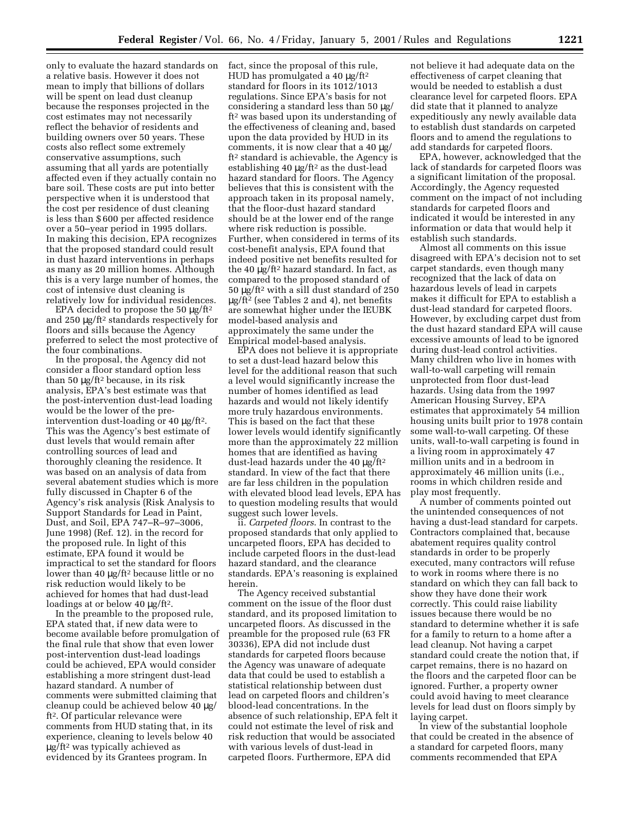only to evaluate the hazard standards on a relative basis. However it does not mean to imply that billions of dollars will be spent on lead dust cleanup because the responses projected in the cost estimates may not necessarily reflect the behavior of residents and building owners over 50 years. These costs also reflect some extremely conservative assumptions, such assuming that all yards are potentially affected even if they actually contain no bare soil. These costs are put into better perspective when it is understood that the cost per residence of dust cleaning is less than \$ 600 per affected residence over a 50–year period in 1995 dollars. In making this decision, EPA recognizes that the proposed standard could result in dust hazard interventions in perhaps as many as 20 million homes. Although this is a very large number of homes, the cost of intensive dust cleaning is relatively low for individual residences.

EPA decided to propose the 50  $\mu$ g/ft<sup>2</sup> and 250 µg/ft2 standards respectively for floors and sills because the Agency preferred to select the most protective of the four combinations.

In the proposal, the Agency did not consider a floor standard option less than 50 µg/ft2 because, in its risk analysis, EPA's best estimate was that the post-intervention dust-lead loading would be the lower of the preintervention dust-loading or 40 µg/ft2. This was the Agency's best estimate of dust levels that would remain after controlling sources of lead and thoroughly cleaning the residence. It was based on an analysis of data from several abatement studies which is more fully discussed in Chapter 6 of the Agency's risk analysis (Risk Analysis to Support Standards for Lead in Paint, Dust, and Soil, EPA 747–R–97–3006, June 1998) (Ref. 12). in the record for the proposed rule. In light of this estimate, EPA found it would be impractical to set the standard for floors lower than 40 µg/ft2 because little or no risk reduction would likely to be achieved for homes that had dust-lead loadings at or below 40 μg/ft<sup>2</sup>.

In the preamble to the proposed rule, EPA stated that, if new data were to become available before promulgation of the final rule that show that even lower post-intervention dust-lead loadings could be achieved, EPA would consider establishing a more stringent dust-lead hazard standard. A number of comments were submitted claiming that cleanup could be achieved below 40 µg/ ft2. Of particular relevance were comments from HUD stating that, in its experience, cleaning to levels below 40 µg/ft2 was typically achieved as evidenced by its Grantees program. In

fact, since the proposal of this rule, HUD has promulgated a 40  $\mu$ g/ft<sup>2</sup> standard for floors in its 1012/1013 regulations. Since EPA's basis for not considering a standard less than 50 µg/ ft2 was based upon its understanding of the effectiveness of cleaning and, based upon the data provided by HUD in its comments, it is now clear that a 40  $\mu$ g/ ft2 standard is achievable, the Agency is establishing 40 µg/ft<sup>2</sup> as the dust-lead hazard standard for floors. The Agency believes that this is consistent with the approach taken in its proposal namely, that the floor-dust hazard standard should be at the lower end of the range where risk reduction is possible. Further, when considered in terms of its cost-benefit analysis, EPA found that indeed positive net benefits resulted for the 40 µg/ft2 hazard standard. In fact, as compared to the proposed standard of 50 µg/ft2 with a sill dust standard of 250 µg/ft2 (see Tables 2 and 4), net benefits are somewhat higher under the IEUBK model-based analysis and approximately the same under the Empirical model-based analysis.

EPA does not believe it is appropriate to set a dust-lead hazard below this level for the additional reason that such a level would significantly increase the number of homes identified as lead hazards and would not likely identify more truly hazardous environments. This is based on the fact that these lower levels would identify significantly more than the approximately 22 million homes that are identified as having dust-lead hazards under the 40 µg/ft2 standard. In view of the fact that there are far less children in the population with elevated blood lead levels, EPA has to question modeling results that would suggest such lower levels.

ii. *Carpeted floors*. In contrast to the proposed standards that only applied to uncarpeted floors, EPA has decided to include carpeted floors in the dust-lead hazard standard, and the clearance standards. EPA's reasoning is explained herein.

The Agency received substantial comment on the issue of the floor dust standard, and its proposed limitation to uncarpeted floors. As discussed in the preamble for the proposed rule (63 FR 30336), EPA did not include dust standards for carpeted floors because the Agency was unaware of adequate data that could be used to establish a statistical relationship between dust lead on carpeted floors and children's blood-lead concentrations. In the absence of such relationship, EPA felt it could not estimate the level of risk and risk reduction that would be associated with various levels of dust-lead in carpeted floors. Furthermore, EPA did

not believe it had adequate data on the effectiveness of carpet cleaning that would be needed to establish a dust clearance level for carpeted floors. EPA did state that it planned to analyze expeditiously any newly available data to establish dust standards on carpeted floors and to amend the regulations to add standards for carpeted floors.

EPA, however, acknowledged that the lack of standards for carpeted floors was a significant limitation of the proposal. Accordingly, the Agency requested comment on the impact of not including standards for carpeted floors and indicated it would be interested in any information or data that would help it establish such standards.

Almost all comments on this issue disagreed with EPA's decision not to set carpet standards, even though many recognized that the lack of data on hazardous levels of lead in carpets makes it difficult for EPA to establish a dust-lead standard for carpeted floors. However, by excluding carpet dust from the dust hazard standard EPA will cause excessive amounts of lead to be ignored during dust-lead control activities. Many children who live in homes with wall-to-wall carpeting will remain unprotected from floor dust-lead hazards. Using data from the 1997 American Housing Survey, EPA estimates that approximately 54 million housing units built prior to 1978 contain some wall-to-wall carpeting. Of these units, wall-to-wall carpeting is found in a living room in approximately 47 million units and in a bedroom in approximately 46 million units (i.e., rooms in which children reside and play most frequently.

A number of comments pointed out the unintended consequences of not having a dust-lead standard for carpets. Contractors complained that, because abatement requires quality control standards in order to be properly executed, many contractors will refuse to work in rooms where there is no standard on which they can fall back to show they have done their work correctly. This could raise liability issues because there would be no standard to determine whether it is safe for a family to return to a home after a lead cleanup. Not having a carpet standard could create the notion that, if carpet remains, there is no hazard on the floors and the carpeted floor can be ignored. Further, a property owner could avoid having to meet clearance levels for lead dust on floors simply by laying carpet.

In view of the substantial loophole that could be created in the absence of a standard for carpeted floors, many comments recommended that EPA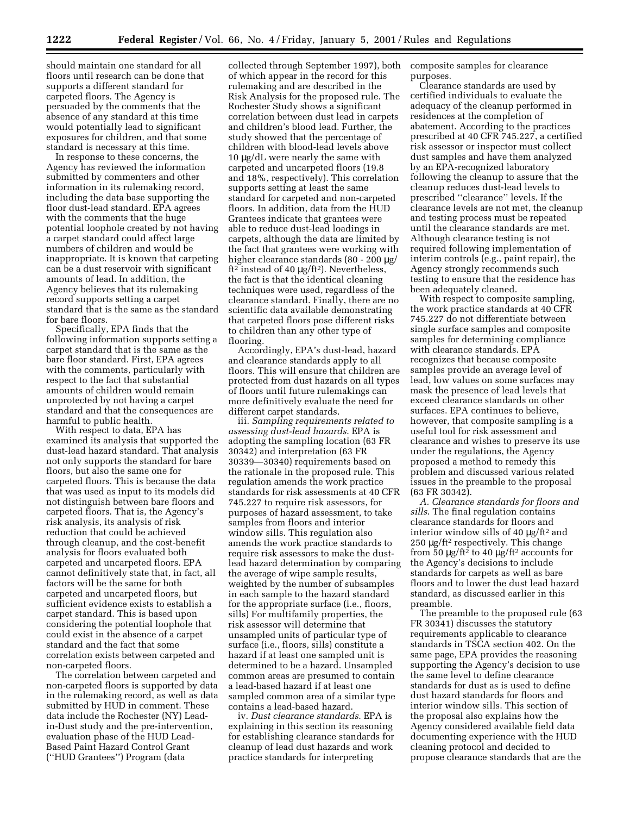should maintain one standard for all floors until research can be done that supports a different standard for carpeted floors. The Agency is persuaded by the comments that the absence of any standard at this time would potentially lead to significant exposures for children, and that some standard is necessary at this time.

In response to these concerns, the Agency has reviewed the information submitted by commenters and other information in its rulemaking record, including the data base supporting the floor dust-lead standard. EPA agrees with the comments that the huge potential loophole created by not having a carpet standard could affect large numbers of children and would be inappropriate. It is known that carpeting can be a dust reservoir with significant amounts of lead. In addition, the Agency believes that its rulemaking record supports setting a carpet standard that is the same as the standard for bare floors.

Specifically, EPA finds that the following information supports setting a carpet standard that is the same as the bare floor standard. First, EPA agrees with the comments, particularly with respect to the fact that substantial amounts of children would remain unprotected by not having a carpet standard and that the consequences are harmful to public health.

With respect to data, EPA has examined its analysis that supported the dust-lead hazard standard. That analysis not only supports the standard for bare floors, but also the same one for carpeted floors. This is because the data that was used as input to its models did not distinguish between bare floors and carpeted floors. That is, the Agency's risk analysis, its analysis of risk reduction that could be achieved through cleanup, and the cost-benefit analysis for floors evaluated both carpeted and uncarpeted floors. EPA cannot definitively state that, in fact, all factors will be the same for both carpeted and uncarpeted floors, but sufficient evidence exists to establish a carpet standard. This is based upon considering the potential loophole that could exist in the absence of a carpet standard and the fact that some correlation exists between carpeted and non-carpeted floors.

The correlation between carpeted and non-carpeted floors is supported by data in the rulemaking record, as well as data submitted by HUD in comment. These data include the Rochester (NY) Leadin-Dust study and the pre-intervention, evaluation phase of the HUD Lead-Based Paint Hazard Control Grant (''HUD Grantees'') Program (data

collected through September 1997), both of which appear in the record for this rulemaking and are described in the Risk Analysis for the proposed rule. The Rochester Study shows a significant correlation between dust lead in carpets and children's blood lead. Further, the study showed that the percentage of children with blood-lead levels above 10 µg/dL were nearly the same with carpeted and uncarpeted floors (19.8 and 18%, respectively). This correlation supports setting at least the same standard for carpeted and non-carpeted floors. In addition, data from the HUD Grantees indicate that grantees were able to reduce dust-lead loadings in carpets, although the data are limited by the fact that grantees were working with higher clearance standards (80 - 200 µg/ ft<sup>2</sup> instead of 40  $\mu$ g/ft<sup>2</sup>). Nevertheless, the fact is that the identical cleaning techniques were used, regardless of the clearance standard. Finally, there are no scientific data available demonstrating that carpeted floors pose different risks to children than any other type of flooring.

Accordingly, EPA's dust-lead, hazard and clearance standards apply to all floors. This will ensure that children are protected from dust hazards on all types of floors until future rulemakings can more definitively evaluate the need for different carpet standards.

iii. *Sampling requirements related to assessing dust-lead hazards*. EPA is adopting the sampling location (63 FR 30342) and interpretation (63 FR 30339—30340) requirements based on the rationale in the proposed rule. This regulation amends the work practice standards for risk assessments at 40 CFR 745.227 to require risk assessors, for purposes of hazard assessment, to take samples from floors and interior window sills. This regulation also amends the work practice standards to require risk assessors to make the dustlead hazard determination by comparing the average of wipe sample results, weighted by the number of subsamples in each sample to the hazard standard for the appropriate surface (i.e., floors, sills) For multifamily properties, the risk assessor will determine that unsampled units of particular type of surface (i.e., floors, sills) constitute a hazard if at least one sampled unit is determined to be a hazard. Unsampled common areas are presumed to contain a lead-based hazard if at least one sampled common area of a similar type contains a lead-based hazard.

iv. *Dust clearance standards*. EPA is explaining in this section its reasoning for establishing clearance standards for cleanup of lead dust hazards and work practice standards for interpreting

composite samples for clearance purposes.

Clearance standards are used by certified individuals to evaluate the adequacy of the cleanup performed in residences at the completion of abatement. According to the practices prescribed at 40 CFR 745.227, a certified risk assessor or inspector must collect dust samples and have them analyzed by an EPA-recognized laboratory following the cleanup to assure that the cleanup reduces dust-lead levels to prescribed ''clearance'' levels. If the clearance levels are not met, the cleanup and testing process must be repeated until the clearance standards are met. Although clearance testing is not required following implementation of interim controls (e.g., paint repair), the Agency strongly recommends such testing to ensure that the residence has been adequately cleaned.

With respect to composite sampling, the work practice standards at 40 CFR 745.227 do not differentiate between single surface samples and composite samples for determining compliance with clearance standards. EPA recognizes that because composite samples provide an average level of lead, low values on some surfaces may mask the presence of lead levels that exceed clearance standards on other surfaces. EPA continues to believe, however, that composite sampling is a useful tool for risk assessment and clearance and wishes to preserve its use under the regulations, the Agency proposed a method to remedy this problem and discussed various related issues in the preamble to the proposal (63 FR 30342).

*A. Clearance standards for floors and sills*. The final regulation contains clearance standards for floors and interior window sills of 40 µg/ft2 and  $250 \mu g$ /ft<sup>2</sup> respectively. This change from 50  $\mu$ g/ft<sup>2</sup> to 40  $\mu$ g/ft<sup>2</sup> accounts for the Agency's decisions to include standards for carpets as well as bare floors and to lower the dust lead hazard standard, as discussed earlier in this preamble.

The preamble to the proposed rule (63 FR 30341) discusses the statutory requirements applicable to clearance standards in TSCA section 402. On the same page, EPA provides the reasoning supporting the Agency's decision to use the same level to define clearance standards for dust as is used to define dust hazard standards for floors and interior window sills. This section of the proposal also explains how the Agency considered available field data documenting experience with the HUD cleaning protocol and decided to propose clearance standards that are the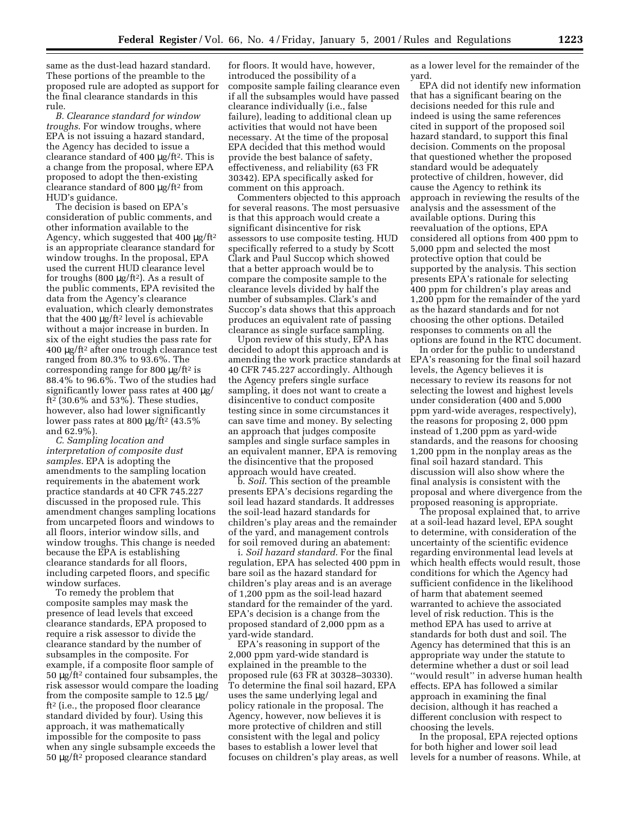same as the dust-lead hazard standard. These portions of the preamble to the proposed rule are adopted as support for the final clearance standards in this rule.

*B. Clearance standard for window troughs*. For window troughs, where EPA is not issuing a hazard standard, the Agency has decided to issue a clearance standard of 400 µg/ft2. This is a change from the proposal, where EPA proposed to adopt the then-existing clearance standard of 800 µg/ft2 from HUD's guidance.

The decision is based on EPA's consideration of public comments, and other information available to the Agency, which suggested that 400  $\mu$ g/ft<sup>2</sup> is an appropriate clearance standard for window troughs. In the proposal, EPA used the current HUD clearance level for troughs (800 µg/ft2). As a result of the public comments, EPA revisited the data from the Agency's clearance evaluation, which clearly demonstrates that the 400 µg/ft2 level is achievable without a major increase in burden. In six of the eight studies the pass rate for 400 µg/ft2 after one trough clearance test ranged from 80.3% to 93.6%. The corresponding range for 800  $\mu$ g/ft<sup>2</sup> is 88.4% to 96.6%. Two of the studies had significantly lower pass rates at 400 µg/ ft2 (30.6% and 53%). These studies, however, also had lower significantly lower pass rates at 800  $\mu$ g/ft<sup>2</sup> (43.5%) and 62.9%).

*C. Sampling location and interpretation of composite dust samples*. EPA is adopting the amendments to the sampling location requirements in the abatement work practice standards at 40 CFR 745.227 discussed in the proposed rule. This amendment changes sampling locations from uncarpeted floors and windows to all floors, interior window sills, and window troughs. This change is needed because the EPA is establishing clearance standards for all floors, including carpeted floors, and specific window surfaces.

To remedy the problem that composite samples may mask the presence of lead levels that exceed clearance standards, EPA proposed to require a risk assessor to divide the clearance standard by the number of subsamples in the composite. For example, if a composite floor sample of 50 µg/ft2 contained four subsamples, the risk assessor would compare the loading from the composite sample to 12.5 µg/ ft2 (i.e., the proposed floor clearance standard divided by four). Using this approach, it was mathematically impossible for the composite to pass when any single subsample exceeds the 50 µg/ft2 proposed clearance standard

for floors. It would have, however, introduced the possibility of a composite sample failing clearance even if all the subsamples would have passed clearance individually (i.e., false failure), leading to additional clean up activities that would not have been necessary. At the time of the proposal EPA decided that this method would provide the best balance of safety, effectiveness, and reliability (63 FR 30342). EPA specifically asked for comment on this approach.

Commenters objected to this approach for several reasons. The most persuasive is that this approach would create a significant disincentive for risk assessors to use composite testing. HUD specifically referred to a study by Scott Clark and Paul Succop which showed that a better approach would be to compare the composite sample to the clearance levels divided by half the number of subsamples. Clark's and Succop's data shows that this approach produces an equivalent rate of passing clearance as single surface sampling.

Upon review of this study, EPA has decided to adopt this approach and is amending the work practice standards at 40 CFR 745.227 accordingly. Although the Agency prefers single surface sampling, it does not want to create a disincentive to conduct composite testing since in some circumstances it can save time and money. By selecting an approach that judges composite samples and single surface samples in an equivalent manner, EPA is removing the disincentive that the proposed approach would have created.

b. *Soil*. This section of the preamble presents EPA's decisions regarding the soil lead hazard standards. It addresses the soil-lead hazard standards for children's play areas and the remainder of the yard, and management controls for soil removed during an abatement:

i. *Soil hazard standard*. For the final regulation, EPA has selected 400 ppm in bare soil as the hazard standard for children's play areas and is an average of 1,200 ppm as the soil-lead hazard standard for the remainder of the yard. EPA's decision is a change from the proposed standard of 2,000 ppm as a yard-wide standard.

EPA's reasoning in support of the 2,000 ppm yard-wide standard is explained in the preamble to the proposed rule (63 FR at 30328–30330). To determine the final soil hazard, EPA uses the same underlying legal and policy rationale in the proposal. The Agency, however, now believes it is more protective of children and still consistent with the legal and policy bases to establish a lower level that focuses on children's play areas, as well as a lower level for the remainder of the yard.

EPA did not identify new information that has a significant bearing on the decisions needed for this rule and indeed is using the same references cited in support of the proposed soil hazard standard, to support this final decision. Comments on the proposal that questioned whether the proposed standard would be adequately protective of children, however, did cause the Agency to rethink its approach in reviewing the results of the analysis and the assessment of the available options. During this reevaluation of the options, EPA considered all options from 400 ppm to 5,000 ppm and selected the most protective option that could be supported by the analysis. This section presents EPA's rationale for selecting 400 ppm for children's play areas and 1,200 ppm for the remainder of the yard as the hazard standards and for not choosing the other options. Detailed responses to comments on all the options are found in the RTC document.

In order for the public to understand EPA's reasoning for the final soil hazard levels, the Agency believes it is necessary to review its reasons for not selecting the lowest and highest levels under consideration (400 and 5,000 ppm yard-wide averages, respectively), the reasons for proposing 2, 000 ppm instead of 1,200 ppm as yard-wide standards, and the reasons for choosing 1,200 ppm in the nonplay areas as the final soil hazard standard. This discussion will also show where the final analysis is consistent with the proposal and where divergence from the proposed reasoning is appropriate.

The proposal explained that, to arrive at a soil-lead hazard level, EPA sought to determine, with consideration of the uncertainty of the scientific evidence regarding environmental lead levels at which health effects would result, those conditions for which the Agency had sufficient confidence in the likelihood of harm that abatement seemed warranted to achieve the associated level of risk reduction. This is the method EPA has used to arrive at standards for both dust and soil. The Agency has determined that this is an appropriate way under the statute to determine whether a dust or soil lead ''would result'' in adverse human health effects. EPA has followed a similar approach in examining the final decision, although it has reached a different conclusion with respect to choosing the levels.

In the proposal, EPA rejected options for both higher and lower soil lead levels for a number of reasons. While, at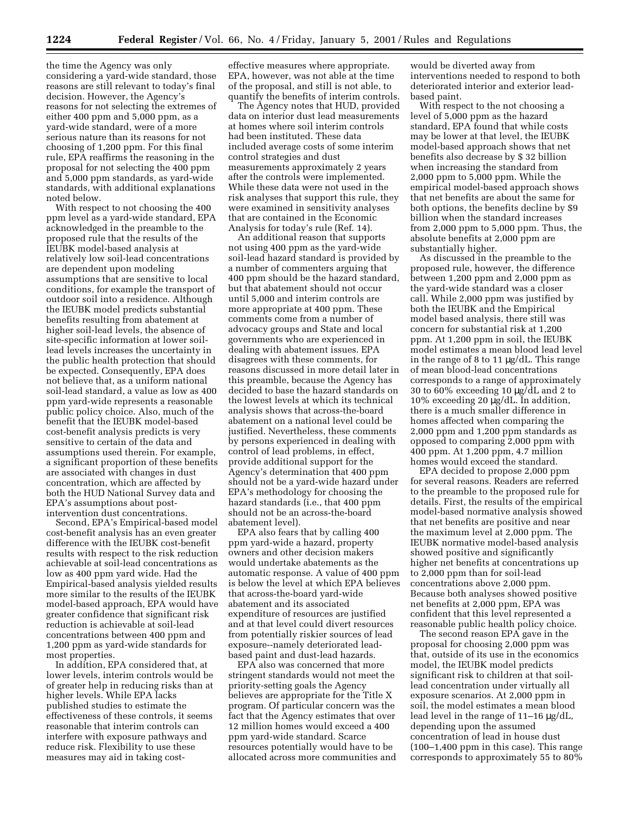the time the Agency was only considering a yard-wide standard, those reasons are still relevant to today's final decision. However, the Agency's reasons for not selecting the extremes of either 400 ppm and 5,000 ppm, as a yard-wide standard, were of a more serious nature than its reasons for not choosing of 1,200 ppm. For this final rule, EPA reaffirms the reasoning in the proposal for not selecting the 400 ppm and 5,000 ppm standards, as yard-wide standards, with additional explanations noted below.

With respect to not choosing the 400 ppm level as a yard-wide standard, EPA acknowledged in the preamble to the proposed rule that the results of the IEUBK model-based analysis at relatively low soil-lead concentrations are dependent upon modeling assumptions that are sensitive to local conditions, for example the transport of outdoor soil into a residence. Although the IEUBK model predicts substantial benefits resulting from abatement at higher soil-lead levels, the absence of site-specific information at lower soillead levels increases the uncertainty in the public health protection that should be expected. Consequently, EPA does not believe that, as a uniform national soil-lead standard, a value as low as 400 ppm yard-wide represents a reasonable public policy choice. Also, much of the benefit that the IEUBK model-based cost-benefit analysis predicts is very sensitive to certain of the data and assumptions used therein. For example, a significant proportion of these benefits are associated with changes in dust concentration, which are affected by both the HUD National Survey data and EPA's assumptions about postintervention dust concentrations.

Second, EPA's Empirical-based model cost-benefit analysis has an even greater difference with the IEUBK cost-benefit results with respect to the risk reduction achievable at soil-lead concentrations as low as 400 ppm yard wide. Had the Empirical-based analysis yielded results more similar to the results of the IEUBK model-based approach, EPA would have greater confidence that significant risk reduction is achievable at soil-lead concentrations between 400 ppm and 1,200 ppm as yard-wide standards for most properties.

In addition, EPA considered that, at lower levels, interim controls would be of greater help in reducing risks than at higher levels. While EPA lacks published studies to estimate the effectiveness of these controls, it seems reasonable that interim controls can interfere with exposure pathways and reduce risk. Flexibility to use these measures may aid in taking costeffective measures where appropriate. EPA, however, was not able at the time of the proposal, and still is not able, to quantify the benefits of interim controls.

The Agency notes that HUD, provided data on interior dust lead measurements at homes where soil interim controls had been instituted. These data included average costs of some interim control strategies and dust measurements approximately 2 years after the controls were implemented. While these data were not used in the risk analyses that support this rule, they were examined in sensitivity analyses that are contained in the Economic Analysis for today's rule (Ref. 14).

An additional reason that supports not using 400 ppm as the yard-wide soil-lead hazard standard is provided by a number of commenters arguing that 400 ppm should be the hazard standard, but that abatement should not occur until 5,000 and interim controls are more appropriate at 400 ppm. These comments come from a number of advocacy groups and State and local governments who are experienced in dealing with abatement issues. EPA disagrees with these comments, for reasons discussed in more detail later in this preamble, because the Agency has decided to base the hazard standards on the lowest levels at which its technical analysis shows that across-the-board abatement on a national level could be justified. Nevertheless, these comments by persons experienced in dealing with control of lead problems, in effect, provide additional support for the Agency's determination that 400 ppm should not be a yard-wide hazard under EPA's methodology for choosing the hazard standards (i.e., that 400 ppm should not be an across-the-board abatement level).

EPA also fears that by calling 400 ppm yard-wide a hazard, property owners and other decision makers would undertake abatements as the automatic response. A value of 400 ppm is below the level at which EPA believes that across-the-board yard-wide abatement and its associated expenditure of resources are justified and at that level could divert resources from potentially riskier sources of lead exposure--namely deteriorated leadbased paint and dust-lead hazards.

EPA also was concerned that more stringent standards would not meet the priority-setting goals the Agency believes are appropriate for the Title X program. Of particular concern was the fact that the Agency estimates that over 12 million homes would exceed a 400 ppm yard-wide standard. Scarce resources potentially would have to be allocated across more communities and

would be diverted away from interventions needed to respond to both deteriorated interior and exterior leadbased paint.

With respect to the not choosing a level of 5,000 ppm as the hazard standard, EPA found that while costs may be lower at that level, the IEUBK model-based approach shows that net benefits also decrease by \$ 32 billion when increasing the standard from 2,000 ppm to 5,000 ppm. While the empirical model-based approach shows that net benefits are about the same for both options, the benefits decline by \$9 billion when the standard increases from 2,000 ppm to 5,000 ppm. Thus, the absolute benefits at 2,000 ppm are substantially higher.

As discussed in the preamble to the proposed rule, however, the difference between 1,200 ppm and 2,000 ppm as the yard-wide standard was a closer call. While 2,000 ppm was justified by both the IEUBK and the Empirical model based analysis, there still was concern for substantial risk at 1,200 ppm. At 1,200 ppm in soil, the IEUBK model estimates a mean blood lead level in the range of 8 to 11 µg/dL. This range of mean blood-lead concentrations corresponds to a range of approximately 30 to 60% exceeding 10 µg/dL and 2 to 10% exceeding 20 µg/dL. In addition, there is a much smaller difference in homes affected when comparing the 2,000 ppm and 1,200 ppm standards as opposed to comparing 2,000 ppm with 400 ppm. At 1,200 ppm, 4.7 million homes would exceed the standard.

EPA decided to propose 2,000 ppm for several reasons. Readers are referred to the preamble to the proposed rule for details. First, the results of the empirical model-based normative analysis showed that net benefits are positive and near the maximum level at 2,000 ppm. The IEUBK normative model-based analysis showed positive and significantly higher net benefits at concentrations up to 2,000 ppm than for soil-lead concentrations above 2,000 ppm. Because both analyses showed positive net benefits at 2,000 ppm, EPA was confident that this level represented a reasonable public health policy choice.

The second reason EPA gave in the proposal for choosing 2,000 ppm was that, outside of its use in the economics model, the IEUBK model predicts significant risk to children at that soillead concentration under virtually all exposure scenarios. At 2,000 ppm in soil, the model estimates a mean blood lead level in the range of 11–16 µg/dL, depending upon the assumed concentration of lead in house dust (100–1,400 ppm in this case). This range corresponds to approximately 55 to 80%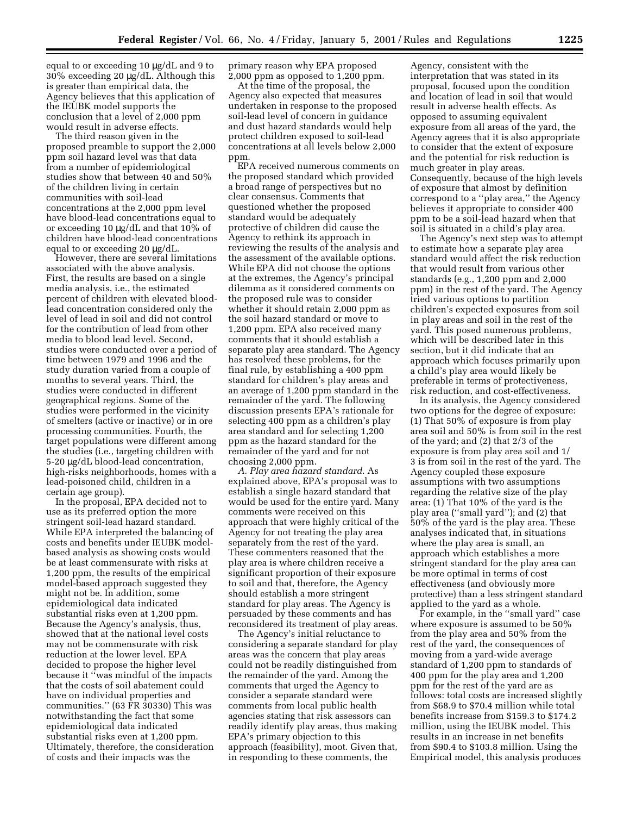equal to or exceeding 10 µg/dL and 9 to 30% exceeding 20 µg/dL. Although this is greater than empirical data, the Agency believes that this application of the IEUBK model supports the conclusion that a level of 2,000 ppm would result in adverse effects.

The third reason given in the proposed preamble to support the 2,000 ppm soil hazard level was that data from a number of epidemiological studies show that between 40 and 50% of the children living in certain communities with soil-lead concentrations at the 2,000 ppm level have blood-lead concentrations equal to or exceeding 10 µg/dL and that 10% of children have blood-lead concentrations equal to or exceeding 20 µg/dL.

However, there are several limitations associated with the above analysis. First, the results are based on a single media analysis, i.e., the estimated percent of children with elevated bloodlead concentration considered only the level of lead in soil and did not control for the contribution of lead from other media to blood lead level. Second, studies were conducted over a period of time between 1979 and 1996 and the study duration varied from a couple of months to several years. Third, the studies were conducted in different geographical regions. Some of the studies were performed in the vicinity of smelters (active or inactive) or in ore processing communities. Fourth, the target populations were different among the studies (i.e., targeting children with 5-20 µg/dL blood-lead concentration, high-risks neighborhoods, homes with a lead-poisoned child, children in a certain age group).

In the proposal, EPA decided not to use as its preferred option the more stringent soil-lead hazard standard. While EPA interpreted the balancing of costs and benefits under IEUBK modelbased analysis as showing costs would be at least commensurate with risks at 1,200 ppm, the results of the empirical model-based approach suggested they might not be. In addition, some epidemiological data indicated substantial risks even at 1,200 ppm. Because the Agency's analysis, thus, showed that at the national level costs may not be commensurate with risk reduction at the lower level. EPA decided to propose the higher level because it ''was mindful of the impacts that the costs of soil abatement could have on individual properties and communities.'' (63 FR 30330) This was notwithstanding the fact that some epidemiological data indicated substantial risks even at 1,200 ppm. Ultimately, therefore, the consideration of costs and their impacts was the

primary reason why EPA proposed 2,000 ppm as opposed to 1,200 ppm.

At the time of the proposal, the Agency also expected that measures undertaken in response to the proposed soil-lead level of concern in guidance and dust hazard standards would help protect children exposed to soil-lead concentrations at all levels below 2,000 ppm.

EPA received numerous comments on the proposed standard which provided a broad range of perspectives but no clear consensus. Comments that questioned whether the proposed standard would be adequately protective of children did cause the Agency to rethink its approach in reviewing the results of the analysis and the assessment of the available options. While EPA did not choose the options at the extremes, the Agency's principal dilemma as it considered comments on the proposed rule was to consider whether it should retain 2,000 ppm as the soil hazard standard or move to 1,200 ppm. EPA also received many comments that it should establish a separate play area standard. The Agency has resolved these problems, for the final rule, by establishing a 400 ppm standard for children's play areas and an average of 1,200 ppm standard in the remainder of the yard. The following discussion presents EPA's rationale for selecting 400 ppm as a children's play area standard and for selecting 1,200 ppm as the hazard standard for the remainder of the yard and for not choosing 2,000 ppm.

*A. Play area hazard standard*. As explained above, EPA's proposal was to establish a single hazard standard that would be used for the entire yard. Many comments were received on this approach that were highly critical of the Agency for not treating the play area separately from the rest of the yard. These commenters reasoned that the play area is where children receive a significant proportion of their exposure to soil and that, therefore, the Agency should establish a more stringent standard for play areas. The Agency is persuaded by these comments and has reconsidered its treatment of play areas.

The Agency's initial reluctance to considering a separate standard for play areas was the concern that play areas could not be readily distinguished from the remainder of the yard. Among the comments that urged the Agency to consider a separate standard were comments from local public health agencies stating that risk assessors can readily identify play areas, thus making EPA's primary objection to this approach (feasibility), moot. Given that, in responding to these comments, the

Agency, consistent with the interpretation that was stated in its proposal, focused upon the condition and location of lead in soil that would result in adverse health effects. As opposed to assuming equivalent exposure from all areas of the yard, the Agency agrees that it is also appropriate to consider that the extent of exposure and the potential for risk reduction is much greater in play areas. Consequently, because of the high levels of exposure that almost by definition correspond to a ''play area,'' the Agency believes it appropriate to consider 400 ppm to be a soil-lead hazard when that soil is situated in a child's play area.

The Agency's next step was to attempt to estimate how a separate play area standard would affect the risk reduction that would result from various other standards (e.g., 1,200 ppm and 2,000 ppm) in the rest of the yard. The Agency tried various options to partition children's expected exposures from soil in play areas and soil in the rest of the yard. This posed numerous problems, which will be described later in this section, but it did indicate that an approach which focuses primarily upon a child's play area would likely be preferable in terms of protectiveness, risk reduction, and cost-effectiveness.

In its analysis, the Agency considered two options for the degree of exposure: (1) That 50% of exposure is from play area soil and 50% is from soil in the rest of the yard; and (2) that 2/3 of the exposure is from play area soil and 1/ 3 is from soil in the rest of the yard. The Agency coupled these exposure assumptions with two assumptions regarding the relative size of the play area: (1) That 10% of the yard is the play area (''small yard''); and (2) that 50% of the yard is the play area. These analyses indicated that, in situations where the play area is small, an approach which establishes a more stringent standard for the play area can be more optimal in terms of cost effectiveness (and obviously more protective) than a less stringent standard applied to the yard as a whole.

For example, in the ''small yard'' case where exposure is assumed to be 50% from the play area and 50% from the rest of the yard, the consequences of moving from a yard-wide average standard of 1,200 ppm to standards of 400 ppm for the play area and 1,200 ppm for the rest of the yard are as follows: total costs are increased slightly from \$68.9 to \$70.4 million while total benefits increase from \$159.3 to \$174.2 million, using the IEUBK model. This results in an increase in net benefits from \$90.4 to \$103.8 million. Using the Empirical model, this analysis produces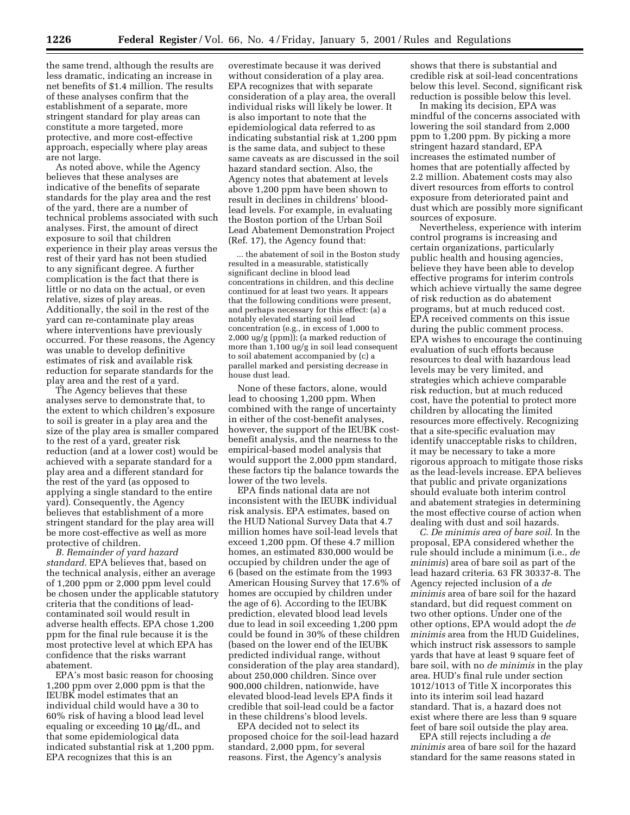the same trend, although the results are less dramatic, indicating an increase in net benefits of \$1.4 million. The results of these analyses confirm that the establishment of a separate, more stringent standard for play areas can constitute a more targeted, more protective, and more cost-effective approach, especially where play areas are not large.

As noted above, while the Agency believes that these analyses are indicative of the benefits of separate standards for the play area and the rest of the yard, there are a number of technical problems associated with such analyses. First, the amount of direct exposure to soil that children experience in their play areas versus the rest of their yard has not been studied to any significant degree. A further complication is the fact that there is little or no data on the actual, or even relative, sizes of play areas. Additionally, the soil in the rest of the yard can re-contaminate play areas where interventions have previously occurred. For these reasons, the Agency was unable to develop definitive estimates of risk and available risk reduction for separate standards for the play area and the rest of a yard.

The Agency believes that these analyses serve to demonstrate that, to the extent to which children's exposure to soil is greater in a play area and the size of the play area is smaller compared to the rest of a yard, greater risk reduction (and at a lower cost) would be achieved with a separate standard for a play area and a different standard for the rest of the yard (as opposed to applying a single standard to the entire yard). Consequently, the Agency believes that establishment of a more stringent standard for the play area will be more cost-effective as well as more protective of children.

*B. Remainder of yard hazard standard*. EPA believes that, based on the technical analysis, either an average of 1,200 ppm or 2,000 ppm level could be chosen under the applicable statutory criteria that the conditions of leadcontaminated soil would result in adverse health effects. EPA chose 1,200 ppm for the final rule because it is the most protective level at which EPA has confidence that the risks warrant abatement.

EPA's most basic reason for choosing 1,200 ppm over 2,000 ppm is that the IEUBK model estimates that an individual child would have a 30 to 60% risk of having a blood lead level equaling or exceeding 10 µg/dL, and that some epidemiological data indicated substantial risk at 1,200 ppm. EPA recognizes that this is an

overestimate because it was derived without consideration of a play area. EPA recognizes that with separate consideration of a play area, the overall individual risks will likely be lower. It is also important to note that the epidemiological data referred to as indicating substantial risk at 1,200 ppm is the same data, and subject to these same caveats as are discussed in the soil hazard standard section. Also, the Agency notes that abatement at levels above 1,200 ppm have been shown to result in declines in childrens' bloodlead levels. For example, in evaluating the Boston portion of the Urban Soil Lead Abatement Demonstration Project (Ref. 17), the Agency found that:

... the abatement of soil in the Boston study resulted in a measurable, statistically significant decline in blood lead concentrations in children, and this decline continued for at least two years. It appears that the following conditions were present, and perhaps necessary for this effect: (a) a notably elevated starting soil lead concentration (e.g., in excess of 1,000 to 2,000 ug/g (ppm)); (a marked reduction of more than 1,100 ug/g in soil lead consequent to soil abatement accompanied by (c) a parallel marked and persisting decrease in house dust lead.

None of these factors, alone, would lead to choosing 1,200 ppm. When combined with the range of uncertainty in either of the cost-benefit analyses, however, the support of the IEUBK costbenefit analysis, and the nearness to the empirical-based model analysis that would support the 2,000 ppm standard, these factors tip the balance towards the lower of the two levels.

EPA finds national data are not inconsistent with the IEUBK individual risk analysis. EPA estimates, based on the HUD National Survey Data that 4.7 million homes have soil-lead levels that exceed 1,200 ppm. Of these 4.7 million homes, an estimated 830,000 would be occupied by children under the age of 6 (based on the estimate from the 1993 American Housing Survey that 17.6% of homes are occupied by children under the age of 6). According to the IEUBK prediction, elevated blood lead levels due to lead in soil exceeding 1,200 ppm could be found in 30% of these children (based on the lower end of the IEUBK predicted individual range, without consideration of the play area standard), about 250,000 children. Since over 900,000 children, nationwide, have elevated blood-lead levels EPA finds it credible that soil-lead could be a factor in these childrens's blood levels.

EPA decided not to select its proposed choice for the soil-lead hazard standard, 2,000 ppm, for several reasons. First, the Agency's analysis

shows that there is substantial and credible risk at soil-lead concentrations below this level. Second, significant risk reduction is possible below this level.

In making its decision, EPA was mindful of the concerns associated with lowering the soil standard from 2,000 ppm to 1,200 ppm. By picking a more stringent hazard standard, EPA increases the estimated number of homes that are potentially affected by 2.2 million. Abatement costs may also divert resources from efforts to control exposure from deteriorated paint and dust which are possibly more significant sources of exposure.

Nevertheless, experience with interim control programs is increasing and certain organizations, particularly public health and housing agencies, believe they have been able to develop effective programs for interim controls which achieve virtually the same degree of risk reduction as do abatement programs, but at much reduced cost. EPA received comments on this issue during the public comment process. EPA wishes to encourage the continuing evaluation of such efforts because resources to deal with hazardous lead levels may be very limited, and strategies which achieve comparable risk reduction, but at much reduced cost, have the potential to protect more children by allocating the limited resources more effectively. Recognizing that a site-specific evaluation may identify unacceptable risks to children, it may be necessary to take a more rigorous approach to mitigate those risks as the lead-levels increase. EPA believes that public and private organizations should evaluate both interim control and abatement strategies in determining the most effective course of action when dealing with dust and soil hazards.

*C. De minimis area of bare soil*. In the proposal, EPA considered whether the rule should include a minimum (i.e., *de minimis*) area of bare soil as part of the lead hazard criteria. 63 FR 30337-8. The Agency rejected inclusion of a *de minimis* area of bare soil for the hazard standard, but did request comment on two other options. Under one of the other options, EPA would adopt the *de minimis* area from the HUD Guidelines, which instruct risk assessors to sample yards that have at least 9 square feet of bare soil, with no *de minimis* in the play area. HUD's final rule under section 1012/1013 of Title X incorporates this into its interim soil lead hazard standard. That is, a hazard does not exist where there are less than 9 square feet of bare soil outside the play area.

EPA still rejects including a *de minimis* area of bare soil for the hazard standard for the same reasons stated in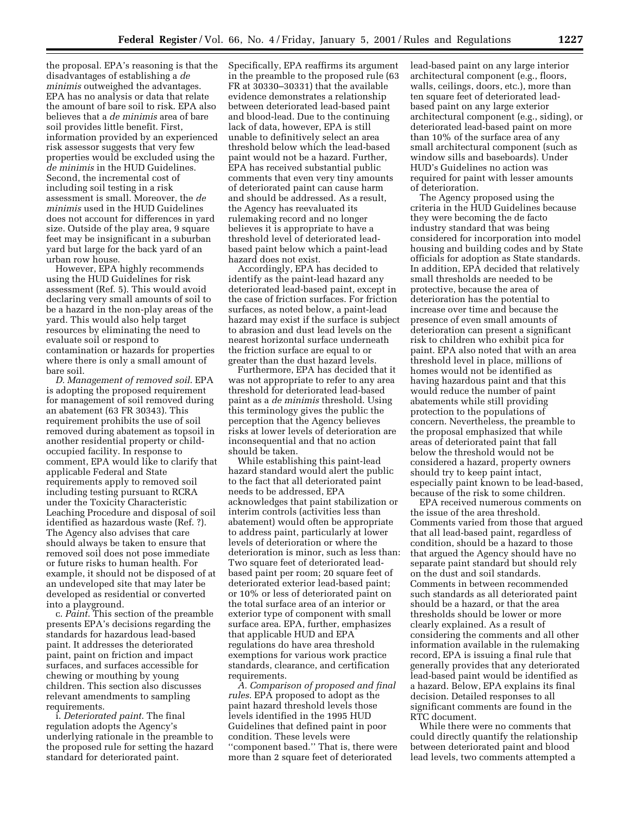the proposal. EPA's reasoning is that the disadvantages of establishing a *de minimis* outweighed the advantages. EPA has no analysis or data that relate the amount of bare soil to risk. EPA also believes that a *de minimis* area of bare soil provides little benefit. First, information provided by an experienced risk assessor suggests that very few properties would be excluded using the *de minimis* in the HUD Guidelines. Second, the incremental cost of including soil testing in a risk assessment is small. Moreover, the *de minimis* used in the HUD Guidelines does not account for differences in yard size. Outside of the play area, 9 square feet may be insignificant in a suburban yard but large for the back yard of an urban row house.

However, EPA highly recommends using the HUD Guidelines for risk assessment (Ref. 5). This would avoid declaring very small amounts of soil to be a hazard in the non-play areas of the yard. This would also help target resources by eliminating the need to evaluate soil or respond to contamination or hazards for properties where there is only a small amount of bare soil.

*D. Management of removed soil*. EPA is adopting the proposed requirement for management of soil removed during an abatement (63 FR 30343). This requirement prohibits the use of soil removed during abatement as topsoil in another residential property or childoccupied facility. In response to comment, EPA would like to clarify that applicable Federal and State requirements apply to removed soil including testing pursuant to RCRA under the Toxicity Characteristic Leaching Procedure and disposal of soil identified as hazardous waste (Ref. ?). The Agency also advises that care should always be taken to ensure that removed soil does not pose immediate or future risks to human health. For example, it should not be disposed of at an undeveloped site that may later be developed as residential or converted into a playground.

c. *Paint*. This section of the preamble presents EPA's decisions regarding the standards for hazardous lead-based paint. It addresses the deteriorated paint, paint on friction and impact surfaces, and surfaces accessible for chewing or mouthing by young children. This section also discusses relevant amendments to sampling requirements.

i. *Deteriorated paint*. The final regulation adopts the Agency's underlying rationale in the preamble to the proposed rule for setting the hazard standard for deteriorated paint.

Specifically, EPA reaffirms its argument in the preamble to the proposed rule (63 FR at 30330–30331) that the available evidence demonstrates a relationship between deteriorated lead-based paint and blood-lead. Due to the continuing lack of data, however, EPA is still unable to definitively select an area threshold below which the lead-based paint would not be a hazard. Further, EPA has received substantial public comments that even very tiny amounts of deteriorated paint can cause harm and should be addressed. As a result, the Agency has reevaluated its rulemaking record and no longer believes it is appropriate to have a threshold level of deteriorated leadbased paint below which a paint-lead hazard does not exist.

Accordingly, EPA has decided to identify as the paint-lead hazard any deteriorated lead-based paint, except in the case of friction surfaces. For friction surfaces, as noted below, a paint-lead hazard may exist if the surface is subject to abrasion and dust lead levels on the nearest horizontal surface underneath the friction surface are equal to or greater than the dust hazard levels.

Furthermore, EPA has decided that it was not appropriate to refer to any area threshold for deteriorated lead-based paint as a *de minimis* threshold. Using this terminology gives the public the perception that the Agency believes risks at lower levels of deterioration are inconsequential and that no action should be taken.

While establishing this paint-lead hazard standard would alert the public to the fact that all deteriorated paint needs to be addressed, EPA acknowledges that paint stabilization or interim controls (activities less than abatement) would often be appropriate to address paint, particularly at lower levels of deterioration or where the deterioration is minor, such as less than: Two square feet of deteriorated leadbased paint per room; 20 square feet of deteriorated exterior lead-based paint; or 10% or less of deteriorated paint on the total surface area of an interior or exterior type of component with small surface area. EPA, further, emphasizes that applicable HUD and EPA regulations do have area threshold exemptions for various work practice standards, clearance, and certification requirements.

*A. Comparison of proposed and final rules*. EPA proposed to adopt as the paint hazard threshold levels those levels identified in the 1995 HUD Guidelines that defined paint in poor condition. These levels were ''component based.'' That is, there were more than 2 square feet of deteriorated

lead-based paint on any large interior architectural component (e.g., floors, walls, ceilings, doors, etc.), more than ten square feet of deteriorated leadbased paint on any large exterior architectural component (e.g., siding), or deteriorated lead-based paint on more than 10% of the surface area of any small architectural component (such as window sills and baseboards). Under HUD's Guidelines no action was required for paint with lesser amounts of deterioration.

The Agency proposed using the criteria in the HUD Guidelines because they were becoming the de facto industry standard that was being considered for incorporation into model housing and building codes and by State officials for adoption as State standards. In addition, EPA decided that relatively small thresholds are needed to be protective, because the area of deterioration has the potential to increase over time and because the presence of even small amounts of deterioration can present a significant risk to children who exhibit pica for paint. EPA also noted that with an area threshold level in place, millions of homes would not be identified as having hazardous paint and that this would reduce the number of paint abatements while still providing protection to the populations of concern. Nevertheless, the preamble to the proposal emphasized that while areas of deteriorated paint that fall below the threshold would not be considered a hazard, property owners should try to keep paint intact, especially paint known to be lead-based, because of the risk to some children.

EPA received numerous comments on the issue of the area threshold. Comments varied from those that argued that all lead-based paint, regardless of condition, should be a hazard to those that argued the Agency should have no separate paint standard but should rely on the dust and soil standards. Comments in between recommended such standards as all deteriorated paint should be a hazard, or that the area thresholds should be lower or more clearly explained. As a result of considering the comments and all other information available in the rulemaking record, EPA is issuing a final rule that generally provides that any deteriorated lead-based paint would be identified as a hazard. Below, EPA explains its final decision. Detailed responses to all significant comments are found in the RTC document.

While there were no comments that could directly quantify the relationship between deteriorated paint and blood lead levels, two comments attempted a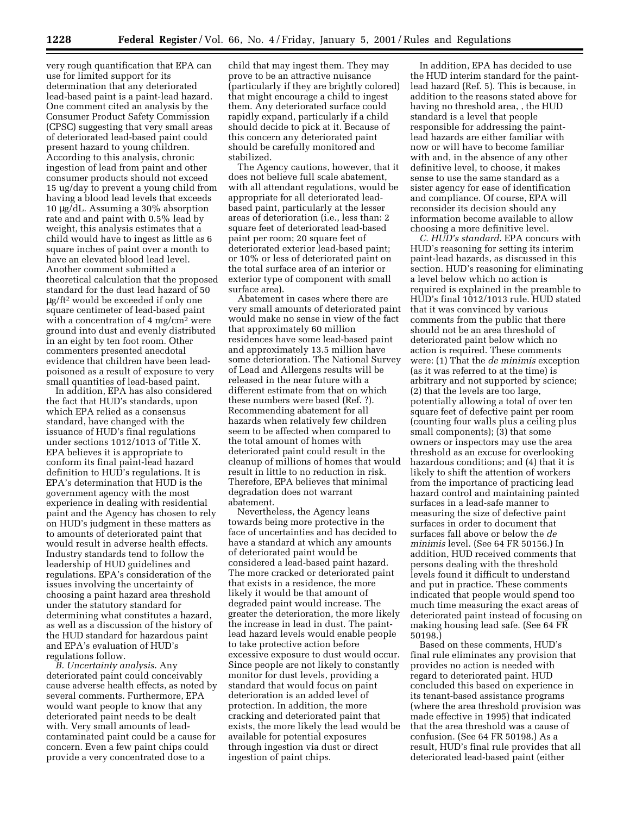very rough quantification that EPA can use for limited support for its determination that any deteriorated lead-based paint is a paint-lead hazard. One comment cited an analysis by the Consumer Product Safety Commission (CPSC) suggesting that very small areas of deteriorated lead-based paint could present hazard to young children. According to this analysis, chronic ingestion of lead from paint and other consumer products should not exceed 15 ug/day to prevent a young child from having a blood lead levels that exceeds 10 µg/dL. Assuming a 30% absorption rate and and paint with 0.5% lead by weight, this analysis estimates that a child would have to ingest as little as 6 square inches of paint over a month to have an elevated blood lead level. Another comment submitted a theoretical calculation that the proposed standard for the dust lead hazard of 50 µg/ft2 would be exceeded if only one square centimeter of lead-based paint with a concentration of 4 mg/cm<sup>2</sup> were ground into dust and evenly distributed in an eight by ten foot room. Other commenters presented anecdotal evidence that children have been leadpoisoned as a result of exposure to very small quantities of lead-based paint.

In addition, EPA has also considered the fact that HUD's standards, upon which EPA relied as a consensus standard, have changed with the issuance of HUD's final regulations under sections 1012/1013 of Title X. EPA believes it is appropriate to conform its final paint-lead hazard definition to HUD's regulations. It is EPA's determination that HUD is the government agency with the most experience in dealing with residential paint and the Agency has chosen to rely on HUD's judgment in these matters as to amounts of deteriorated paint that would result in adverse health effects. Industry standards tend to follow the leadership of HUD guidelines and regulations. EPA's consideration of the issues involving the uncertainty of choosing a paint hazard area threshold under the statutory standard for determining what constitutes a hazard, as well as a discussion of the history of the HUD standard for hazardous paint and EPA's evaluation of HUD's regulations follow.

*B. Uncertainty analysis*. Any deteriorated paint could conceivably cause adverse health effects, as noted by several comments. Furthermore, EPA would want people to know that any deteriorated paint needs to be dealt with. Very small amounts of leadcontaminated paint could be a cause for concern. Even a few paint chips could provide a very concentrated dose to a

child that may ingest them. They may prove to be an attractive nuisance (particularly if they are brightly colored) that might encourage a child to ingest them. Any deteriorated surface could rapidly expand, particularly if a child should decide to pick at it. Because of this concern any deteriorated paint should be carefully monitored and stabilized.

The Agency cautions, however, that it does not believe full scale abatement, with all attendant regulations, would be appropriate for all deteriorated leadbased paint, particularly at the lesser areas of deterioration (i.e., less than: 2 square feet of deteriorated lead-based paint per room; 20 square feet of deteriorated exterior lead-based paint; or 10% or less of deteriorated paint on the total surface area of an interior or exterior type of component with small surface area).

Abatement in cases where there are very small amounts of deteriorated paint would make no sense in view of the fact that approximately 60 million residences have some lead-based paint and approximately 13.5 million have some deterioration. The National Survey of Lead and Allergens results will be released in the near future with a different estimate from that on which these numbers were based (Ref. ?). Recommending abatement for all hazards when relatively few children seem to be affected when compared to the total amount of homes with deteriorated paint could result in the cleanup of millions of homes that would result in little to no reduction in risk. Therefore, EPA believes that minimal degradation does not warrant abatement.

Nevertheless, the Agency leans towards being more protective in the face of uncertainties and has decided to have a standard at which any amounts of deteriorated paint would be considered a lead-based paint hazard. The more cracked or deteriorated paint that exists in a residence, the more likely it would be that amount of degraded paint would increase. The greater the deterioration, the more likely the increase in lead in dust. The paintlead hazard levels would enable people to take protective action before excessive exposure to dust would occur. Since people are not likely to constantly monitor for dust levels, providing a standard that would focus on paint deterioration is an added level of protection. In addition, the more cracking and deteriorated paint that exists, the more likely the lead would be available for potential exposures through ingestion via dust or direct ingestion of paint chips.

In addition, EPA has decided to use the HUD interim standard for the paintlead hazard (Ref. 5). This is because, in addition to the reasons stated above for having no threshold area, , the HUD standard is a level that people responsible for addressing the paintlead hazards are either familiar with now or will have to become familiar with and, in the absence of any other definitive level, to choose, it makes sense to use the same standard as a sister agency for ease of identification and compliance. Of course, EPA will reconsider its decision should any information become available to allow choosing a more definitive level.

*C. HUD's standard*. EPA concurs with HUD's reasoning for setting its interim paint-lead hazards, as discussed in this section. HUD's reasoning for eliminating a level below which no action is required is explained in the preamble to HUD's final 1012/1013 rule. HUD stated that it was convinced by various comments from the public that there should not be an area threshold of deteriorated paint below which no action is required. These comments were: (1) That the *de minimis* exception (as it was referred to at the time) is arbitrary and not supported by science; (2) that the levels are too large, potentially allowing a total of over ten square feet of defective paint per room (counting four walls plus a ceiling plus small components); (3) that some owners or inspectors may use the area threshold as an excuse for overlooking hazardous conditions; and (4) that it is likely to shift the attention of workers from the importance of practicing lead hazard control and maintaining painted surfaces in a lead-safe manner to measuring the size of defective paint surfaces in order to document that surfaces fall above or below the *de minimis* level. (See 64 FR 50156.) In addition, HUD received comments that persons dealing with the threshold levels found it difficult to understand and put in practice. These comments indicated that people would spend too much time measuring the exact areas of deteriorated paint instead of focusing on making housing lead safe. (See 64 FR 50198.)

Based on these comments, HUD's final rule eliminates any provision that provides no action is needed with regard to deteriorated paint. HUD concluded this based on experience in its tenant-based assistance programs (where the area threshold provision was made effective in 1995) that indicated that the area threshold was a cause of confusion. (See 64 FR 50198.) As a result, HUD's final rule provides that all deteriorated lead-based paint (either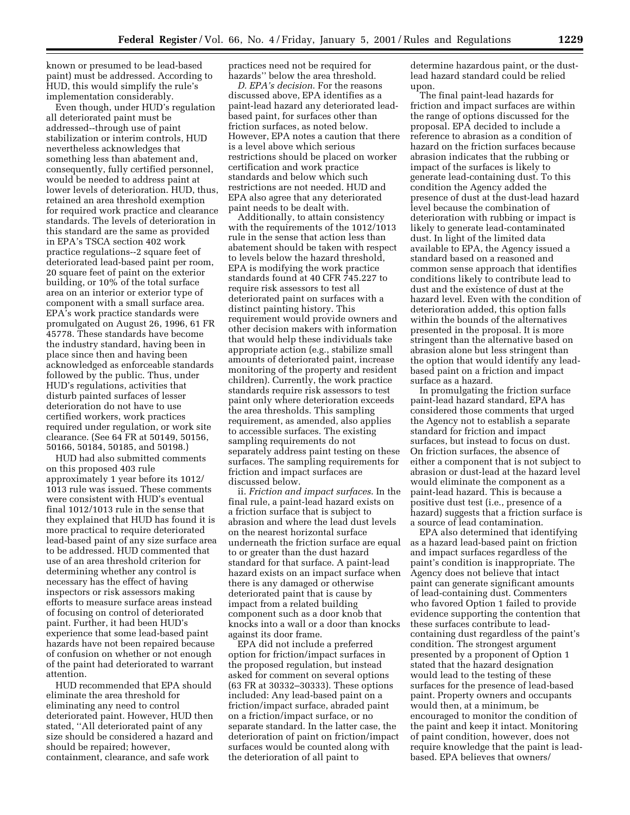known or presumed to be lead-based paint) must be addressed. According to HUD, this would simplify the rule's implementation considerably.

Even though, under HUD's regulation all deteriorated paint must be addressed--through use of paint stabilization or interim controls, HUD nevertheless acknowledges that something less than abatement and, consequently, fully certified personnel, would be needed to address paint at lower levels of deterioration. HUD, thus, retained an area threshold exemption for required work practice and clearance standards. The levels of deterioration in this standard are the same as provided in EPA's TSCA section 402 work practice regulations--2 square feet of deteriorated lead-based paint per room, 20 square feet of paint on the exterior building, or 10% of the total surface area on an interior or exterior type of component with a small surface area. EPA's work practice standards were promulgated on August 26, 1996, 61 FR 45778. These standards have become the industry standard, having been in place since then and having been acknowledged as enforceable standards followed by the public. Thus, under HUD's regulations, activities that disturb painted surfaces of lesser deterioration do not have to use certified workers, work practices required under regulation, or work site clearance. (See 64 FR at 50149, 50156, 50166, 50184, 50185, and 50198.)

HUD had also submitted comments on this proposed 403 rule approximately 1 year before its 1012/ 1013 rule was issued. These comments were consistent with HUD's eventual final 1012/1013 rule in the sense that they explained that HUD has found it is more practical to require deteriorated lead-based paint of any size surface area to be addressed. HUD commented that use of an area threshold criterion for determining whether any control is necessary has the effect of having inspectors or risk assessors making efforts to measure surface areas instead of focusing on control of deteriorated paint. Further, it had been HUD's experience that some lead-based paint hazards have not been repaired because of confusion on whether or not enough of the paint had deteriorated to warrant attention.

HUD recommended that EPA should eliminate the area threshold for eliminating any need to control deteriorated paint. However, HUD then stated, ''All deteriorated paint of any size should be considered a hazard and should be repaired; however, containment, clearance, and safe work

practices need not be required for hazards'' below the area threshold.

*D. EPA's decision*. For the reasons discussed above, EPA identifies as a paint-lead hazard any deteriorated leadbased paint, for surfaces other than friction surfaces, as noted below. However, EPA notes a caution that there is a level above which serious restrictions should be placed on worker certification and work practice standards and below which such restrictions are not needed. HUD and EPA also agree that any deteriorated paint needs to be dealt with.

Additionally, to attain consistency with the requirements of the 1012/1013 rule in the sense that action less than abatement should be taken with respect to levels below the hazard threshold, EPA is modifying the work practice standards found at 40 CFR 745.227 to require risk assessors to test all deteriorated paint on surfaces with a distinct painting history. This requirement would provide owners and other decision makers with information that would help these individuals take appropriate action (e.g., stabilize small amounts of deteriorated paint, increase monitoring of the property and resident children). Currently, the work practice standards require risk assessors to test paint only where deterioration exceeds the area thresholds. This sampling requirement, as amended, also applies to accessible surfaces. The existing sampling requirements do not separately address paint testing on these surfaces. The sampling requirements for friction and impact surfaces are discussed below.

ii. *Friction and impact surfaces*. In the final rule, a paint-lead hazard exists on a friction surface that is subject to abrasion and where the lead dust levels on the nearest horizontal surface underneath the friction surface are equal to or greater than the dust hazard standard for that surface. A paint-lead hazard exists on an impact surface when there is any damaged or otherwise deteriorated paint that is cause by impact from a related building component such as a door knob that knocks into a wall or a door than knocks against its door frame.

EPA did not include a preferred option for friction/impact surfaces in the proposed regulation, but instead asked for comment on several options (63 FR at 30332–30333). These options included: Any lead-based paint on a friction/impact surface, abraded paint on a friction/impact surface, or no separate standard. In the latter case, the deterioration of paint on friction/impact surfaces would be counted along with the deterioration of all paint to

determine hazardous paint, or the dustlead hazard standard could be relied upon.

The final paint-lead hazards for friction and impact surfaces are within the range of options discussed for the proposal. EPA decided to include a reference to abrasion as a condition of hazard on the friction surfaces because abrasion indicates that the rubbing or impact of the surfaces is likely to generate lead-containing dust. To this condition the Agency added the presence of dust at the dust-lead hazard level because the combination of deterioration with rubbing or impact is likely to generate lead-contaminated dust. In light of the limited data available to EPA, the Agency issued a standard based on a reasoned and common sense approach that identifies conditions likely to contribute lead to dust and the existence of dust at the hazard level. Even with the condition of deterioration added, this option falls within the bounds of the alternatives presented in the proposal. It is more stringent than the alternative based on abrasion alone but less stringent than the option that would identify any leadbased paint on a friction and impact surface as a hazard.

In promulgating the friction surface paint-lead hazard standard, EPA has considered those comments that urged the Agency not to establish a separate standard for friction and impact surfaces, but instead to focus on dust. On friction surfaces, the absence of either a component that is not subject to abrasion or dust-lead at the hazard level would eliminate the component as a paint-lead hazard. This is because a positive dust test (i.e., presence of a hazard) suggests that a friction surface is a source of lead contamination.

EPA also determined that identifying as a hazard lead-based paint on friction and impact surfaces regardless of the paint's condition is inappropriate. The Agency does not believe that intact paint can generate significant amounts of lead-containing dust. Commenters who favored Option 1 failed to provide evidence supporting the contention that these surfaces contribute to leadcontaining dust regardless of the paint's condition. The strongest argument presented by a proponent of Option 1 stated that the hazard designation would lead to the testing of these surfaces for the presence of lead-based paint. Property owners and occupants would then, at a minimum, be encouraged to monitor the condition of the paint and keep it intact. Monitoring of paint condition, however, does not require knowledge that the paint is leadbased. EPA believes that owners/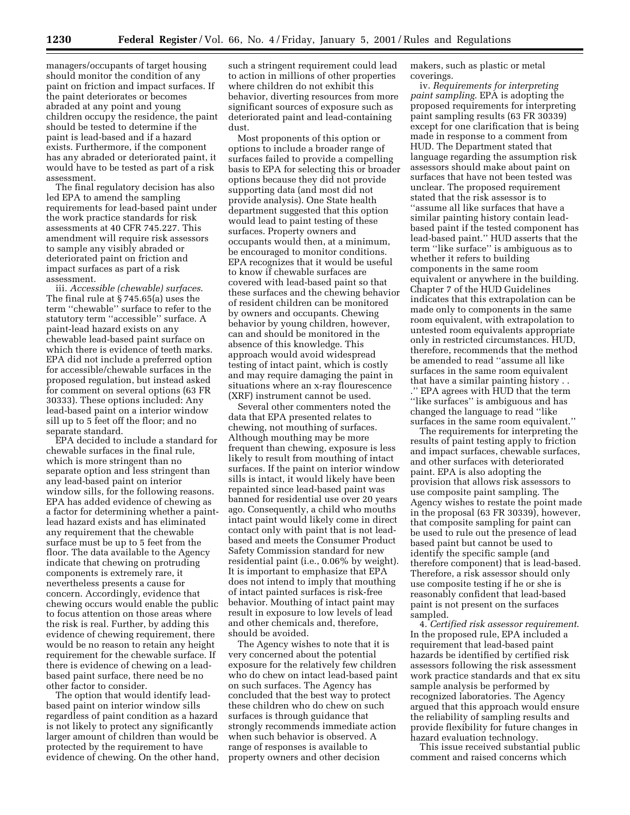managers/occupants of target housing should monitor the condition of any paint on friction and impact surfaces. If the paint deteriorates or becomes abraded at any point and young children occupy the residence, the paint should be tested to determine if the paint is lead-based and if a hazard exists. Furthermore, if the component has any abraded or deteriorated paint, it would have to be tested as part of a risk assessment.

The final regulatory decision has also led EPA to amend the sampling requirements for lead-based paint under the work practice standards for risk assessments at 40 CFR 745.227. This amendment will require risk assessors to sample any visibly abraded or deteriorated paint on friction and impact surfaces as part of a risk assessment.

iii. *Accessible (chewable) surfaces*. The final rule at § 745.65(a) uses the term ''chewable'' surface to refer to the statutory term ''accessible'' surface. A paint-lead hazard exists on any chewable lead-based paint surface on which there is evidence of teeth marks. EPA did not include a preferred option for accessible/chewable surfaces in the proposed regulation, but instead asked for comment on several options (63 FR 30333). These options included: Any lead-based paint on a interior window sill up to 5 feet off the floor; and no separate standard.

EPA decided to include a standard for chewable surfaces in the final rule, which is more stringent than no separate option and less stringent than any lead-based paint on interior window sills, for the following reasons. EPA has added evidence of chewing as a factor for determining whether a paintlead hazard exists and has eliminated any requirement that the chewable surface must be up to 5 feet from the floor. The data available to the Agency indicate that chewing on protruding components is extremely rare, it nevertheless presents a cause for concern. Accordingly, evidence that chewing occurs would enable the public to focus attention on those areas where the risk is real. Further, by adding this evidence of chewing requirement, there would be no reason to retain any height requirement for the chewable surface. If there is evidence of chewing on a leadbased paint surface, there need be no other factor to consider.

The option that would identify leadbased paint on interior window sills regardless of paint condition as a hazard is not likely to protect any significantly larger amount of children than would be protected by the requirement to have evidence of chewing. On the other hand,

such a stringent requirement could lead to action in millions of other properties where children do not exhibit this behavior, diverting resources from more significant sources of exposure such as deteriorated paint and lead-containing dust.

Most proponents of this option or options to include a broader range of surfaces failed to provide a compelling basis to EPA for selecting this or broader options because they did not provide supporting data (and most did not provide analysis). One State health department suggested that this option would lead to paint testing of these surfaces. Property owners and occupants would then, at a minimum, be encouraged to monitor conditions. EPA recognizes that it would be useful to know if chewable surfaces are covered with lead-based paint so that these surfaces and the chewing behavior of resident children can be monitored by owners and occupants. Chewing behavior by young children, however, can and should be monitored in the absence of this knowledge. This approach would avoid widespread testing of intact paint, which is costly and may require damaging the paint in situations where an x-ray flourescence (XRF) instrument cannot be used.

Several other commenters noted the data that EPA presented relates to chewing, not mouthing of surfaces. Although mouthing may be more frequent than chewing, exposure is less likely to result from mouthing of intact surfaces. If the paint on interior window sills is intact, it would likely have been repainted since lead-based paint was banned for residential use over 20 years ago. Consequently, a child who mouths intact paint would likely come in direct contact only with paint that is not leadbased and meets the Consumer Product Safety Commission standard for new residential paint (i.e., 0.06% by weight). It is important to emphasize that EPA does not intend to imply that mouthing of intact painted surfaces is risk-free behavior. Mouthing of intact paint may result in exposure to low levels of lead and other chemicals and, therefore, should be avoided.

The Agency wishes to note that it is very concerned about the potential exposure for the relatively few children who do chew on intact lead-based paint on such surfaces. The Agency has concluded that the best way to protect these children who do chew on such surfaces is through guidance that strongly recommends immediate action when such behavior is observed. A range of responses is available to property owners and other decision

makers, such as plastic or metal coverings.

iv. *Requirements for interpreting paint sampling*. EPA is adopting the proposed requirements for interpreting paint sampling results (63 FR 30339) except for one clarification that is being made in response to a comment from HUD. The Department stated that language regarding the assumption risk assessors should make about paint on surfaces that have not been tested was unclear. The proposed requirement stated that the risk assessor is to ''assume all like surfaces that have a similar painting history contain leadbased paint if the tested component has lead-based paint.'' HUD asserts that the term ''like surface'' is ambiguous as to whether it refers to building components in the same room equivalent or anywhere in the building. Chapter 7 of the HUD Guidelines indicates that this extrapolation can be made only to components in the same room equivalent, with extrapolation to untested room equivalents appropriate only in restricted circumstances. HUD, therefore, recommends that the method be amended to read ''assume all like surfaces in the same room equivalent that have a similar painting history . . .'' EPA agrees with HUD that the term ''like surfaces'' is ambiguous and has changed the language to read ''like surfaces in the same room equivalent.''

The requirements for interpreting the results of paint testing apply to friction and impact surfaces, chewable surfaces, and other surfaces with deteriorated paint. EPA is also adopting the provision that allows risk assessors to use composite paint sampling. The Agency wishes to restate the point made in the proposal (63 FR 30339), however, that composite sampling for paint can be used to rule out the presence of lead based paint but cannot be used to identify the specific sample (and therefore component) that is lead-based. Therefore, a risk assessor should only use composite testing if he or she is reasonably confident that lead-based paint is not present on the surfaces sampled.

4. *Certified risk assessor requirement*. In the proposed rule, EPA included a requirement that lead-based paint hazards be identified by certified risk assessors following the risk assessment work practice standards and that ex situ sample analysis be performed by recognized laboratories. The Agency argued that this approach would ensure the reliability of sampling results and provide flexibility for future changes in hazard evaluation technology.

This issue received substantial public comment and raised concerns which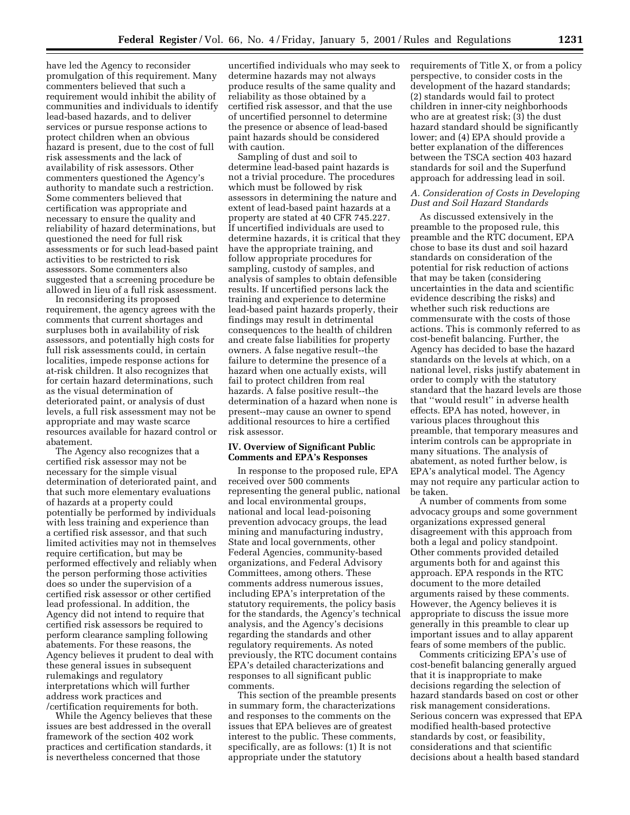have led the Agency to reconsider promulgation of this requirement. Many commenters believed that such a requirement would inhibit the ability of communities and individuals to identify lead-based hazards, and to deliver services or pursue response actions to protect children when an obvious hazard is present, due to the cost of full risk assessments and the lack of availability of risk assessors. Other commenters questioned the Agency's authority to mandate such a restriction. Some commenters believed that certification was appropriate and necessary to ensure the quality and reliability of hazard determinations, but questioned the need for full risk assessments or for such lead-based paint activities to be restricted to risk assessors. Some commenters also suggested that a screening procedure be allowed in lieu of a full risk assessment.

In reconsidering its proposed requirement, the agency agrees with the comments that current shortages and surpluses both in availability of risk assessors, and potentially high costs for full risk assessments could, in certain localities, impede response actions for at-risk children. It also recognizes that for certain hazard determinations, such as the visual determination of deteriorated paint, or analysis of dust levels, a full risk assessment may not be appropriate and may waste scarce resources available for hazard control or abatement.

The Agency also recognizes that a certified risk assessor may not be necessary for the simple visual determination of deteriorated paint, and that such more elementary evaluations of hazards at a property could potentially be performed by individuals with less training and experience than a certified risk assessor, and that such limited activities may not in themselves require certification, but may be performed effectively and reliably when the person performing those activities does so under the supervision of a certified risk assessor or other certified lead professional. In addition, the Agency did not intend to require that certified risk assessors be required to perform clearance sampling following abatements. For these reasons, the Agency believes it prudent to deal with these general issues in subsequent rulemakings and regulatory interpretations which will further address work practices and /certification requirements for both.

While the Agency believes that these issues are best addressed in the overall framework of the section 402 work practices and certification standards, it is nevertheless concerned that those

uncertified individuals who may seek to determine hazards may not always produce results of the same quality and reliability as those obtained by a certified risk assessor, and that the use of uncertified personnel to determine the presence or absence of lead-based paint hazards should be considered with caution.

Sampling of dust and soil to determine lead-based paint hazards is not a trivial procedure. The procedures which must be followed by risk assessors in determining the nature and extent of lead-based paint hazards at a property are stated at 40 CFR 745.227. If uncertified individuals are used to determine hazards, it is critical that they have the appropriate training, and follow appropriate procedures for sampling, custody of samples, and analysis of samples to obtain defensible results. If uncertified persons lack the training and experience to determine lead-based paint hazards properly, their findings may result in detrimental consequences to the health of children and create false liabilities for property owners. A false negative result--the failure to determine the presence of a hazard when one actually exists, will fail to protect children from real hazards. A false positive result--the determination of a hazard when none is present--may cause an owner to spend additional resources to hire a certified risk assessor.

# **IV. Overview of Significant Public Comments and EPA's Responses**

In response to the proposed rule, EPA received over 500 comments representing the general public, national and local environmental groups, national and local lead-poisoning prevention advocacy groups, the lead mining and manufacturing industry, State and local governments, other Federal Agencies, community-based organizations, and Federal Advisory Committees, among others. These comments address numerous issues, including EPA's interpretation of the statutory requirements, the policy basis for the standards, the Agency's technical analysis, and the Agency's decisions regarding the standards and other regulatory requirements. As noted previously, the RTC document contains EPA's detailed characterizations and responses to all significant public comments.

This section of the preamble presents in summary form, the characterizations and responses to the comments on the issues that EPA believes are of greatest interest to the public. These comments, specifically, are as follows: (1) It is not appropriate under the statutory

requirements of Title X, or from a policy perspective, to consider costs in the development of the hazard standards; (2) standards would fail to protect children in inner-city neighborhoods who are at greatest risk; (3) the dust hazard standard should be significantly lower; and (4) EPA should provide a better explanation of the differences between the TSCA section 403 hazard standards for soil and the Superfund approach for addressing lead in soil.

# *A. Consideration of Costs in Developing Dust and Soil Hazard Standards*

As discussed extensively in the preamble to the proposed rule, this preamble and the RTC document, EPA chose to base its dust and soil hazard standards on consideration of the potential for risk reduction of actions that may be taken (considering uncertainties in the data and scientific evidence describing the risks) and whether such risk reductions are commensurate with the costs of those actions. This is commonly referred to as cost-benefit balancing. Further, the Agency has decided to base the hazard standards on the levels at which, on a national level, risks justify abatement in order to comply with the statutory standard that the hazard levels are those that ''would result'' in adverse health effects. EPA has noted, however, in various places throughout this preamble, that temporary measures and interim controls can be appropriate in many situations. The analysis of abatement, as noted further below, is EPA's analytical model. The Agency may not require any particular action to be taken.

A number of comments from some advocacy groups and some government organizations expressed general disagreement with this approach from both a legal and policy standpoint. Other comments provided detailed arguments both for and against this approach. EPA responds in the RTC document to the more detailed arguments raised by these comments. However, the Agency believes it is appropriate to discuss the issue more generally in this preamble to clear up important issues and to allay apparent fears of some members of the public.

Comments criticizing EPA's use of cost-benefit balancing generally argued that it is inappropriate to make decisions regarding the selection of hazard standards based on cost or other risk management considerations. Serious concern was expressed that EPA modified health-based protective standards by cost, or feasibility, considerations and that scientific decisions about a health based standard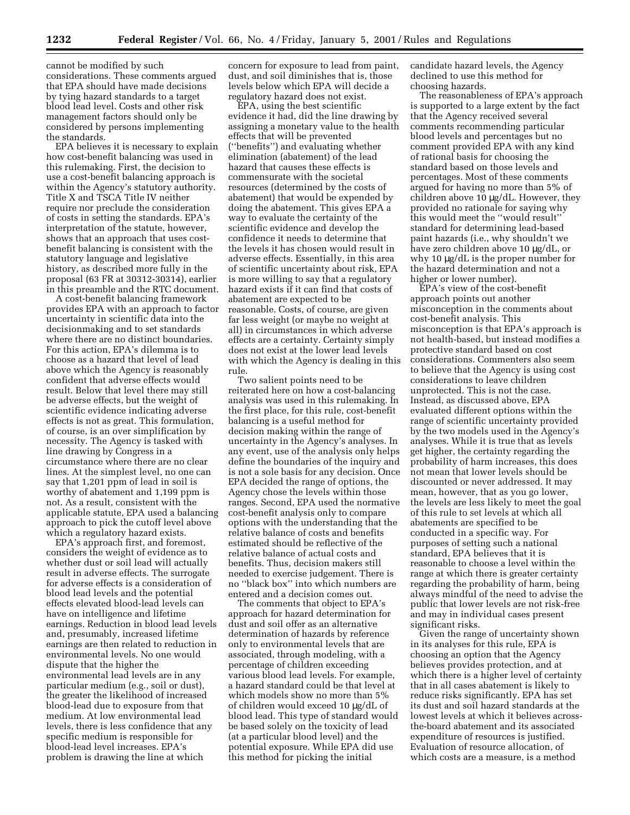cannot be modified by such considerations. These comments argued that EPA should have made decisions by tying hazard standards to a target blood lead level. Costs and other risk management factors should only be considered by persons implementing the standards.

EPA believes it is necessary to explain how cost-benefit balancing was used in this rulemaking. First, the decision to use a cost-benefit balancing approach is within the Agency's statutory authority. Title X and TSCA Title IV neither require nor preclude the consideration of costs in setting the standards. EPA's interpretation of the statute, however, shows that an approach that uses costbenefit balancing is consistent with the statutory language and legislative history, as described more fully in the proposal (63 FR at 30312-30314), earlier in this preamble and the RTC document.

A cost-benefit balancing framework provides EPA with an approach to factor uncertainty in scientific data into the decisionmaking and to set standards where there are no distinct boundaries. For this action, EPA's dilemma is to choose as a hazard that level of lead above which the Agency is reasonably confident that adverse effects would result. Below that level there may still be adverse effects, but the weight of scientific evidence indicating adverse effects is not as great. This formulation, of course, is an over simplification by necessity. The Agency is tasked with line drawing by Congress in a circumstance where there are no clear lines. At the simplest level, no one can say that 1,201 ppm of lead in soil is worthy of abatement and 1,199 ppm is not. As a result, consistent with the applicable statute, EPA used a balancing approach to pick the cutoff level above which a regulatory hazard exists.

EPA's approach first, and foremost, considers the weight of evidence as to whether dust or soil lead will actually result in adverse effects. The surrogate for adverse effects is a consideration of blood lead levels and the potential effects elevated blood-lead levels can have on intelligence and lifetime earnings. Reduction in blood lead levels and, presumably, increased lifetime earnings are then related to reduction in environmental levels. No one would dispute that the higher the environmental lead levels are in any particular medium (e.g., soil or dust), the greater the likelihood of increased blood-lead due to exposure from that medium. At low environmental lead levels, there is less confidence that any specific medium is responsible for blood-lead level increases. EPA's problem is drawing the line at which

concern for exposure to lead from paint, dust, and soil diminishes that is, those levels below which EPA will decide a regulatory hazard does not exist.

EPA, using the best scientific evidence it had, did the line drawing by assigning a monetary value to the health effects that will be prevented (''benefits'') and evaluating whether elimination (abatement) of the lead hazard that causes these effects is commensurate with the societal resources (determined by the costs of abatement) that would be expended by doing the abatement. This gives EPA a way to evaluate the certainty of the scientific evidence and develop the confidence it needs to determine that the levels it has chosen would result in adverse effects. Essentially, in this area of scientific uncertainty about risk, EPA is more willing to say that a regulatory hazard exists if it can find that costs of abatement are expected to be reasonable. Costs, of course, are given far less weight (or maybe no weight at all) in circumstances in which adverse effects are a certainty. Certainty simply does not exist at the lower lead levels with which the Agency is dealing in this rule.

Two salient points need to be reiterated here on how a cost-balancing analysis was used in this rulemaking. In the first place, for this rule, cost-benefit balancing is a useful method for decision making within the range of uncertainty in the Agency's analyses. In any event, use of the analysis only helps define the boundaries of the inquiry and is not a sole basis for any decision. Once EPA decided the range of options, the Agency chose the levels within those ranges. Second, EPA used the normative cost-benefit analysis only to compare options with the understanding that the relative balance of costs and benefits estimated should be reflective of the relative balance of actual costs and benefits. Thus, decision makers still needed to exercise judgement. There is no ''black box'' into which numbers are entered and a decision comes out.

The comments that object to EPA's approach for hazard determination for dust and soil offer as an alternative determination of hazards by reference only to environmental levels that are associated, through modeling, with a percentage of children exceeding various blood lead levels. For example, a hazard standard could be that level at which models show no more than 5% of children would exceed 10 µg/dL of blood lead. This type of standard would be based solely on the toxicity of lead (at a particular blood level) and the potential exposure. While EPA did use this method for picking the initial

candidate hazard levels, the Agency declined to use this method for choosing hazards.

The reasonableness of EPA's approach is supported to a large extent by the fact that the Agency received several comments recommending particular blood levels and percentages but no comment provided EPA with any kind of rational basis for choosing the standard based on those levels and percentages. Most of these comments argued for having no more than 5% of children above 10 µg/dL. However, they provided no rationale for saying why this would meet the ''would result'' standard for determining lead-based paint hazards (i.e., why shouldn't we have zero children above 10 µg/dL, or why 10 µg/dL is the proper number for the hazard determination and not a higher or lower number).

EPA's view of the cost-benefit approach points out another misconception in the comments about cost-benefit analysis. This misconception is that EPA's approach is not health-based, but instead modifies a protective standard based on cost considerations. Commenters also seem to believe that the Agency is using cost considerations to leave children unprotected. This is not the case. Instead, as discussed above, EPA evaluated different options within the range of scientific uncertainty provided by the two models used in the Agency's analyses. While it is true that as levels get higher, the certainty regarding the probability of harm increases, this does not mean that lower levels should be discounted or never addressed. It may mean, however, that as you go lower, the levels are less likely to meet the goal of this rule to set levels at which all abatements are specified to be conducted in a specific way. For purposes of setting such a national standard, EPA believes that it is reasonable to choose a level within the range at which there is greater certainty regarding the probability of harm, being always mindful of the need to advise the public that lower levels are not risk-free and may in individual cases present significant risks.

Given the range of uncertainty shown in its analyses for this rule, EPA is choosing an option that the Agency believes provides protection, and at which there is a higher level of certainty that in all cases abatement is likely to reduce risks significantly. EPA has set its dust and soil hazard standards at the lowest levels at which it believes acrossthe-board abatement and its associated expenditure of resources is justified. Evaluation of resource allocation, of which costs are a measure, is a method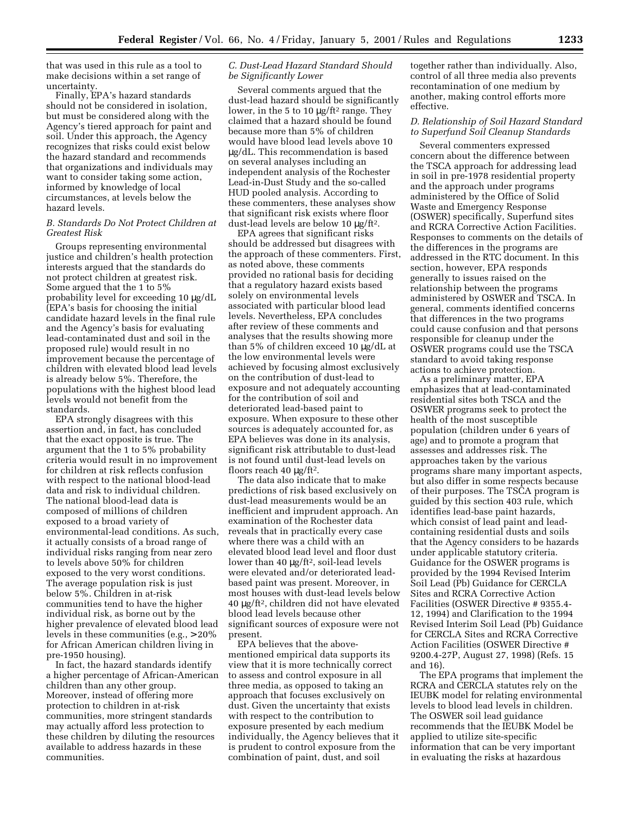that was used in this rule as a tool to make decisions within a set range of uncertainty.

Finally, EPA's hazard standards should not be considered in isolation, but must be considered along with the Agency's tiered approach for paint and soil. Under this approach, the Agency recognizes that risks could exist below the hazard standard and recommends that organizations and individuals may want to consider taking some action, informed by knowledge of local circumstances, at levels below the hazard levels.

# *B. Standards Do Not Protect Children at Greatest Risk*

Groups representing environmental justice and children's health protection interests argued that the standards do not protect children at greatest risk. Some argued that the 1 to 5% probability level for exceeding 10 µg/dL (EPA's basis for choosing the initial candidate hazard levels in the final rule and the Agency's basis for evaluating lead-contaminated dust and soil in the proposed rule) would result in no improvement because the percentage of children with elevated blood lead levels is already below 5%. Therefore, the populations with the highest blood lead levels would not benefit from the standards.

EPA strongly disagrees with this assertion and, in fact, has concluded that the exact opposite is true. The argument that the 1 to 5% probability criteria would result in no improvement for children at risk reflects confusion with respect to the national blood-lead data and risk to individual children. The national blood-lead data is composed of millions of children exposed to a broad variety of environmental-lead conditions. As such, it actually consists of a broad range of individual risks ranging from near zero to levels above 50% for children exposed to the very worst conditions. The average population risk is just below 5%. Children in at-risk communities tend to have the higher individual risk, as borne out by the higher prevalence of elevated blood lead levels in these communities (e.g., > 20% for African American children living in pre-1950 housing).

In fact, the hazard standards identify a higher percentage of African-American children than any other group. Moreover, instead of offering more protection to children in at-risk communities, more stringent standards may actually afford less protection to these children by diluting the resources available to address hazards in these communities.

# *C. Dust-Lead Hazard Standard Should be Significantly Lower*

Several comments argued that the dust-lead hazard should be significantly lower, in the 5 to 10 μg/ft<sup>2</sup> range. They claimed that a hazard should be found because more than 5% of children would have blood lead levels above 10 µg/dL. This recommendation is based on several analyses including an independent analysis of the Rochester Lead-in-Dust Study and the so-called HUD pooled analysis. According to these commenters, these analyses show that significant risk exists where floor dust-lead levels are below 10 µg/ft2.

EPA agrees that significant risks should be addressed but disagrees with the approach of these commenters. First, as noted above, these comments provided no rational basis for deciding that a regulatory hazard exists based solely on environmental levels associated with particular blood lead levels. Nevertheless, EPA concludes after review of these comments and analyses that the results showing more than 5% of children exceed 10 µg/dL at the low environmental levels were achieved by focusing almost exclusively on the contribution of dust-lead to exposure and not adequately accounting for the contribution of soil and deteriorated lead-based paint to exposure. When exposure to these other sources is adequately accounted for, as EPA believes was done in its analysis, significant risk attributable to dust-lead is not found until dust-lead levels on floors reach 40  $\mu$ g/ft<sup>2</sup>.

The data also indicate that to make predictions of risk based exclusively on dust-lead measurements would be an inefficient and imprudent approach. An examination of the Rochester data reveals that in practically every case where there was a child with an elevated blood lead level and floor dust lower than 40 μg/ft<sup>2</sup>, soil-lead levels were elevated and/or deteriorated leadbased paint was present. Moreover, in most houses with dust-lead levels below 40 µg/ft2, children did not have elevated blood lead levels because other significant sources of exposure were not present.

EPA believes that the abovementioned empirical data supports its view that it is more technically correct to assess and control exposure in all three media, as opposed to taking an approach that focuses exclusively on dust. Given the uncertainty that exists with respect to the contribution to exposure presented by each medium individually, the Agency believes that it is prudent to control exposure from the combination of paint, dust, and soil

together rather than individually. Also, control of all three media also prevents recontamination of one medium by another, making control efforts more effective.

### *D. Relationship of Soil Hazard Standard to Superfund Soil Cleanup Standards*

Several commenters expressed concern about the difference between the TSCA approach for addressing lead in soil in pre-1978 residential property and the approach under programs administered by the Office of Solid Waste and Emergency Response (OSWER) specifically, Superfund sites and RCRA Corrective Action Facilities. Responses to comments on the details of the differences in the programs are addressed in the RTC document. In this section, however, EPA responds generally to issues raised on the relationship between the programs administered by OSWER and TSCA. In general, comments identified concerns that differences in the two programs could cause confusion and that persons responsible for cleanup under the OSWER programs could use the TSCA standard to avoid taking response actions to achieve protection.

As a preliminary matter, EPA emphasizes that at lead-contaminated residential sites both TSCA and the OSWER programs seek to protect the health of the most susceptible population (children under 6 years of age) and to promote a program that assesses and addresses risk. The approaches taken by the various programs share many important aspects, but also differ in some respects because of their purposes. The TSCA program is guided by this section 403 rule, which identifies lead-base paint hazards, which consist of lead paint and leadcontaining residential dusts and soils that the Agency considers to be hazards under applicable statutory criteria. Guidance for the OSWER programs is provided by the 1994 Revised Interim Soil Lead (Pb) Guidance for CERCLA Sites and RCRA Corrective Action Facilities (OSWER Directive # 9355.4- 12, 1994) and Clarification to the 1994 Revised Interim Soil Lead (Pb) Guidance for CERCLA Sites and RCRA Corrective Action Facilities (OSWER Directive # 9200.4-27P, August 27, 1998) (Refs. 15 and 16).

The EPA programs that implement the RCRA and CERCLA statutes rely on the IEUBK model for relating environmental levels to blood lead levels in children. The OSWER soil lead guidance recommends that the IEUBK Model be applied to utilize site-specific information that can be very important in evaluating the risks at hazardous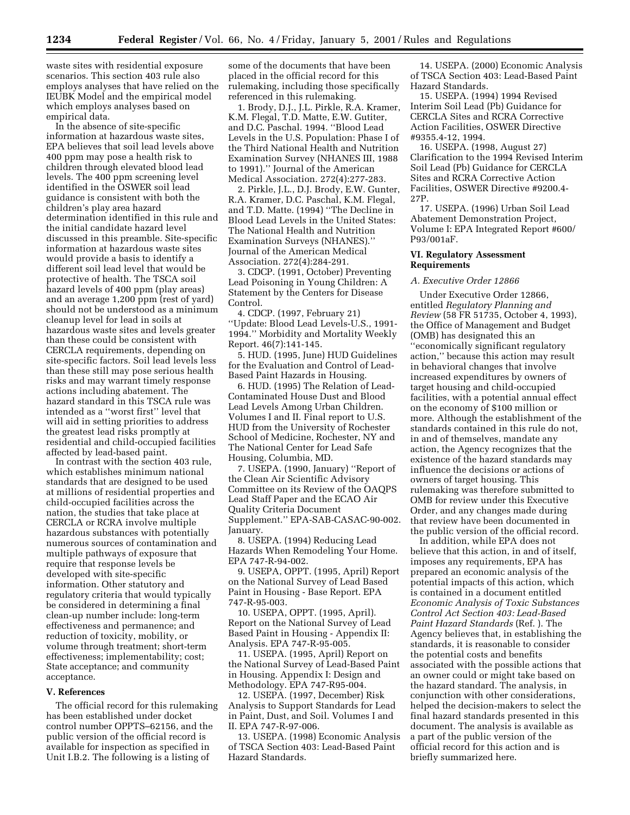waste sites with residential exposure scenarios. This section 403 rule also employs analyses that have relied on the IEUBK Model and the empirical model which employs analyses based on empirical data.

In the absence of site-specific information at hazardous waste sites, EPA believes that soil lead levels above 400 ppm may pose a health risk to children through elevated blood lead levels. The 400 ppm screening level identified in the OSWER soil lead guidance is consistent with both the children's play area hazard determination identified in this rule and the initial candidate hazard level discussed in this preamble. Site-specific information at hazardous waste sites would provide a basis to identify a different soil lead level that would be protective of health. The TSCA soil hazard levels of 400 ppm (play areas) and an average 1,200 ppm (rest of yard) should not be understood as a minimum cleanup level for lead in soils at hazardous waste sites and levels greater than these could be consistent with CERCLA requirements, depending on site-specific factors. Soil lead levels less than these still may pose serious health risks and may warrant timely response actions including abatement. The hazard standard in this TSCA rule was intended as a ''worst first'' level that will aid in setting priorities to address the greatest lead risks promptly at residential and child-occupied facilities affected by lead-based paint.

In contrast with the section 403 rule, which establishes minimum national standards that are designed to be used at millions of residential properties and child-occupied facilities across the nation, the studies that take place at CERCLA or RCRA involve multiple hazardous substances with potentially numerous sources of contamination and multiple pathways of exposure that require that response levels be developed with site-specific information. Other statutory and regulatory criteria that would typically be considered in determining a final clean-up number include: long-term effectiveness and permanence; and reduction of toxicity, mobility, or volume through treatment; short-term effectiveness; implementability; cost; State acceptance; and community acceptance.

#### **V. References**

The official record for this rulemaking has been established under docket control number OPPTS–62156, and the public version of the official record is available for inspection as specified in Unit I.B.2. The following is a listing of

some of the documents that have been placed in the official record for this rulemaking, including those specifically referenced in this rulemaking.

1. Brody, D.J., J.L. Pirkle, R.A. Kramer, K.M. Flegal, T.D. Matte, E.W. Gutiter, and D.C. Paschal. 1994. ''Blood Lead Levels in the U.S. Population: Phase I of the Third National Health and Nutrition Examination Survey (NHANES III, 1988 to 1991).'' Journal of the American Medical Association. 272(4):277-283.

2. Pirkle, J.L., D.J. Brody, E.W. Gunter, R.A. Kramer, D.C. Paschal, K.M. Flegal, and T.D. Matte. (1994) ''The Decline in Blood Lead Levels in the United States: The National Health and Nutrition Examination Surveys (NHANES).'' Journal of the American Medical Association. 272(4):284-291.

3. CDCP. (1991, October) Preventing Lead Poisoning in Young Children: A Statement by the Centers for Disease Control.

4. CDCP. (1997, February 21) ''Update: Blood Lead Levels-U.S., 1991- 1994.'' Morbidity and Mortality Weekly Report. 46(7):141-145.

5. HUD. (1995, June) HUD Guidelines for the Evaluation and Control of Lead-Based Paint Hazards in Housing.

6. HUD. (1995) The Relation of Lead-Contaminated House Dust and Blood Lead Levels Among Urban Children. Volumes I and II. Final report to U.S. HUD from the University of Rochester School of Medicine, Rochester, NY and The National Center for Lead Safe Housing, Columbia, MD.

7. USEPA. (1990, January) ''Report of the Clean Air Scientific Advisory Committee on its Review of the OAQPS Lead Staff Paper and the ECAO Air Quality Criteria Document Supplement.'' EPA-SAB-CASAC-90-002. January.

8. USEPA. (1994) Reducing Lead Hazards When Remodeling Your Home. EPA 747-R-94-002.

9. USEPA, OPPT. (1995, April) Report on the National Survey of Lead Based Paint in Housing - Base Report. EPA 747-R-95-003.

10. USEPA, OPPT. (1995, April). Report on the National Survey of Lead Based Paint in Housing - Appendix II: Analysis. EPA 747-R-95-005.

11. USEPA. (1995, April) Report on the National Survey of Lead-Based Paint in Housing. Appendix I: Design and Methodology. EPA 747-R95-004.

12. USEPA. (1997, December) Risk Analysis to Support Standards for Lead in Paint, Dust, and Soil. Volumes I and II. EPA 747-R-97-006.

13. USEPA. (1998) Economic Analysis of TSCA Section 403: Lead-Based Paint Hazard Standards.

14. USEPA. (2000) Economic Analysis of TSCA Section 403: Lead-Based Paint Hazard Standards.

15. USEPA. (1994) 1994 Revised Interim Soil Lead (Pb) Guidance for CERCLA Sites and RCRA Corrective Action Facilities, OSWER Directive #9355.4-12, 1994.

16. USEPA. (1998, August 27) Clarification to the 1994 Revised Interim Soil Lead (Pb) Guidance for CERCLA Sites and RCRA Corrective Action Facilities, OSWER Directive #9200.4- 27P.

17. USEPA. (1996) Urban Soil Lead Abatement Demonstration Project, Volume I: EPA Integrated Report #600/ P93/001aF.

# **VI. Regulatory Assessment Requirements**

# *A. Executive Order 12866*

Under Executive Order 12866, entitled *Regulatory Planning and Review* (58 FR 51735, October 4, 1993), the Office of Management and Budget (OMB) has designated this an ''economically significant regulatory action,'' because this action may result in behavioral changes that involve increased expenditures by owners of target housing and child-occupied facilities, with a potential annual effect on the economy of \$100 million or more. Although the establishment of the standards contained in this rule do not, in and of themselves, mandate any action, the Agency recognizes that the existence of the hazard standards may influence the decisions or actions of owners of target housing. This rulemaking was therefore submitted to OMB for review under this Executive Order, and any changes made during that review have been documented in the public version of the official record.

In addition, while EPA does not believe that this action, in and of itself, imposes any requirements, EPA has prepared an economic analysis of the potential impacts of this action, which is contained in a document entitled *Economic Analysis of Toxic Substances Control Act Section 403: Lead-Based Paint Hazard Standards* (Ref. ). The Agency believes that, in establishing the standards, it is reasonable to consider the potential costs and benefits associated with the possible actions that an owner could or might take based on the hazard standard. The analysis, in conjunction with other considerations, helped the decision-makers to select the final hazard standards presented in this document. The analysis is available as a part of the public version of the official record for this action and is briefly summarized here.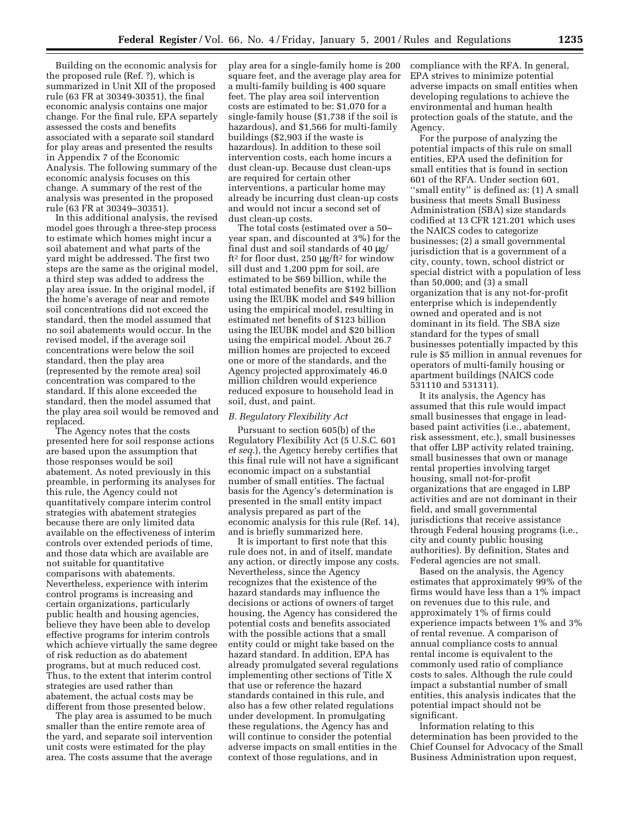Building on the economic analysis for the proposed rule (Ref. ?), which is summarized in Unit XII of the proposed rule (63 FR at 30349-30351), the final economic analysis contains one major change. For the final rule, EPA separtely assessed the costs and benefits associated with a separate soil standard for play areas and presented the results in Appendix 7 of the Economic Analysis. The following summary of the economic analysis focuses on this change. A summary of the rest of the analysis was presented in the proposed rule (63 FR at 30349–30351).

In this additional analysis, the revised model goes through a three-step process to estimate which homes might incur a soil abatement and what parts of the yard might be addressed. The first two steps are the same as the original model, a third step was added to address the play area issue. In the original model, if the home's average of near and remote soil concentrations did not exceed the standard, then the model assumed that no soil abatements would occur. In the revised model, if the average soil concentrations were below the soil standard, then the play area (represented by the remote area) soil concentration was compared to the standard. If this alone exceeded the standard, then the model assumed that the play area soil would be removed and replaced.

The Agency notes that the costs presented here for soil response actions are based upon the assumption that those responses would be soil abatement. As noted previously in this preamble, in performing its analyses for this rule, the Agency could not quantitatively compare interim control strategies with abatement strategies because there are only limited data available on the effectiveness of interim controls over extended periods of time, and those data which are available are not suitable for quantitative comparisons with abatements. Nevertheless, experience with interim control programs is increasing and certain organizations, particularly public health and housing agencies, believe they have been able to develop effective programs for interim controls which achieve virtually the same degree of risk reduction as do abatement programs, but at much reduced cost. Thus, to the extent that interim control strategies are used rather than abatement, the actual costs may be different from those presented below.

The play area is assumed to be much smaller than the entire remote area of the yard, and separate soil intervention unit costs were estimated for the play area. The costs assume that the average play area for a single-family home is 200 square feet, and the average play area for a multi-family building is 400 square feet. The play area soil intervention costs are estimated to be: \$1,070 for a single-family house (\$1,738 if the soil is hazardous), and \$1,566 for multi-family buildings (\$2,903 if the waste is hazardous). In addition to these soil intervention costs, each home incurs a dust clean-up. Because dust clean-ups are required for certain other interventions, a particular home may already be incurring dust clean-up costs and would not incur a second set of dust clean-up costs.

The total costs (estimated over a 50– year span, and discounted at 3%) for the final dust and soil standards of 40 µg/ ft2 for floor dust, 250 µg/ft2 for window sill dust and 1,200 ppm for soil, are estimated to be \$69 billion, while the total estimated benefits are \$192 billion using the IEUBK model and \$49 billion using the empirical model, resulting in estimated net benefits of \$123 billion using the IEUBK model and \$20 billion using the empirical model. About 26.7 million homes are projected to exceed one or more of the standards, and the Agency projected approximately 46.0 million children would experience reduced exposure to household lead in soil, dust, and paint.

# *B. Regulatory Flexibility Act*

Pursuant to section 605(b) of the Regulatory Flexibility Act (5 U.S.C. 601 *et seq*.), the Agency hereby certifies that this final rule will not have a significant economic impact on a substantial number of small entities. The factual basis for the Agency's determination is presented in the small entity impact analysis prepared as part of the economic analysis for this rule (Ref. 14), and is briefly summarized here.

It is important to first note that this rule does not, in and of itself, mandate any action, or directly impose any costs. Nevertheless, since the Agency recognizes that the existence of the hazard standards may influence the decisions or actions of owners of target housing, the Agency has considered the potential costs and benefits associated with the possible actions that a small entity could or might take based on the hazard standard. In addition, EPA has already promulgated several regulations implementing other sections of Title X that use or reference the hazard standards contained in this rule, and also has a few other related regulations under development. In promulgating these regulations, the Agency has and will continue to consider the potential adverse impacts on small entities in the context of those regulations, and in

compliance with the RFA. In general, EPA strives to minimize potential adverse impacts on small entities when developing regulations to achieve the environmental and human health protection goals of the statute, and the Agency.

For the purpose of analyzing the potential impacts of this rule on small entities, EPA used the definition for small entities that is found in section 601 of the RFA. Under section 601, ''small entity'' is defined as: (1) A small business that meets Small Business Administration (SBA) size standards codified at 13 CFR 121.201 which uses the NAICS codes to categorize businesses; (2) a small governmental jurisdiction that is a government of a city, county, town, school district or special district with a population of less than 50,000; and (3) a small organization that is any not-for-profit enterprise which is independently owned and operated and is not dominant in its field. The SBA size standard for the types of small businesses potentially impacted by this rule is \$5 million in annual revenues for operators of multi-family housing or apartment buildings (NAICS code 531110 and 531311).

It its analysis, the Agency has assumed that this rule would impact small businesses that engage in leadbased paint activities (i.e., abatement, risk assessment, etc.), small businesses that offer LBP activity related training, small businesses that own or manage rental properties involving target housing, small not-for-profit organizations that are engaged in LBP activities and are not dominant in their field, and small governmental jurisdictions that receive assistance through Federal housing programs (i.e., city and county public housing authorities). By definition, States and Federal agencies are not small.

Based on the analysis, the Agency estimates that approximately 99% of the firms would have less than a 1% impact on revenues due to this rule, and approximately 1% of firms could experience impacts between 1% and 3% of rental revenue. A comparison of annual compliance costs to annual rental income is equivalent to the commonly used ratio of compliance costs to sales. Although the rule could impact a substantial number of small entities, this analysis indicates that the potential impact should not be significant.

Information relating to this determination has been provided to the Chief Counsel for Advocacy of the Small Business Administration upon request,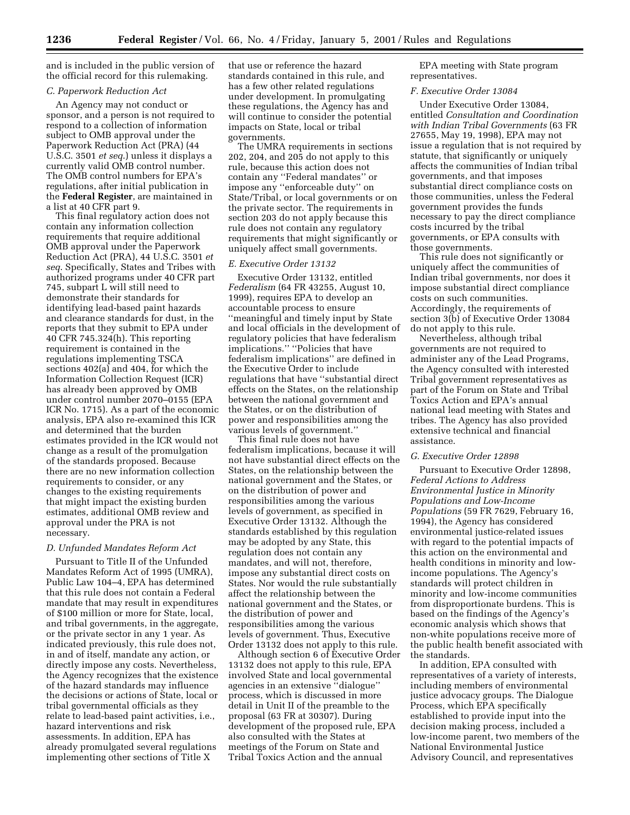and is included in the public version of the official record for this rulemaking.

# *C. Paperwork Reduction Act*

An Agency may not conduct or sponsor, and a person is not required to respond to a collection of information subject to OMB approval under the Paperwork Reduction Act (PRA) (44 U.S.C. 3501 *et seq*.) unless it displays a currently valid OMB control number. The OMB control numbers for EPA's regulations, after initial publication in the **Federal Register**, are maintained in a list at 40 CFR part 9.

This final regulatory action does not contain any information collection requirements that require additional OMB approval under the Paperwork Reduction Act (PRA), 44 U.S.C. 3501 *et seq*. Specifically, States and Tribes with authorized programs under 40 CFR part 745, subpart L will still need to demonstrate their standards for identifying lead-based paint hazards and clearance standards for dust, in the reports that they submit to EPA under 40 CFR 745.324(h). This reporting requirement is contained in the regulations implementing TSCA sections 402(a) and 404, for which the Information Collection Request (ICR) has already been approved by OMB under control number 2070–0155 (EPA ICR No. 1715). As a part of the economic analysis, EPA also re-examined this ICR and determined that the burden estimates provided in the ICR would not change as a result of the promulgation of the standards proposed. Because there are no new information collection requirements to consider, or any changes to the existing requirements that might impact the existing burden estimates, additional OMB review and approval under the PRA is not necessary.

#### *D. Unfunded Mandates Reform Act*

Pursuant to Title II of the Unfunded Mandates Reform Act of 1995 (UMRA), Public Law 104–4, EPA has determined that this rule does not contain a Federal mandate that may result in expenditures of \$100 million or more for State, local, and tribal governments, in the aggregate, or the private sector in any 1 year. As indicated previously, this rule does not, in and of itself, mandate any action, or directly impose any costs. Nevertheless, the Agency recognizes that the existence of the hazard standards may influence the decisions or actions of State, local or tribal governmental officials as they relate to lead-based paint activities, i.e., hazard interventions and risk assessments. In addition, EPA has already promulgated several regulations implementing other sections of Title X

that use or reference the hazard standards contained in this rule, and has a few other related regulations under development. In promulgating these regulations, the Agency has and will continue to consider the potential impacts on State, local or tribal governments.

The UMRA requirements in sections 202, 204, and 205 do not apply to this rule, because this action does not contain any ''Federal mandates'' or impose any ''enforceable duty'' on State/Tribal, or local governments or on the private sector. The requirements in section 203 do not apply because this rule does not contain any regulatory requirements that might significantly or uniquely affect small governments.

# *E. Executive Order 13132*

Executive Order 13132, entitled *Federalism* (64 FR 43255, August 10, 1999), requires EPA to develop an accountable process to ensure ''meaningful and timely input by State and local officials in the development of regulatory policies that have federalism implications.'' ''Policies that have federalism implications'' are defined in the Executive Order to include regulations that have ''substantial direct effects on the States, on the relationship between the national government and the States, or on the distribution of power and responsibilities among the various levels of government.''

This final rule does not have federalism implications, because it will not have substantial direct effects on the States, on the relationship between the national government and the States, or on the distribution of power and responsibilities among the various levels of government, as specified in Executive Order 13132. Although the standards established by this regulation may be adopted by any State, this regulation does not contain any mandates, and will not, therefore, impose any substantial direct costs on States. Nor would the rule substantially affect the relationship between the national government and the States, or the distribution of power and responsibilities among the various levels of government. Thus, Executive Order 13132 does not apply to this rule.

Although section 6 of Executive Order 13132 does not apply to this rule, EPA involved State and local governmental agencies in an extensive ''dialogue'' process, which is discussed in more detail in Unit II of the preamble to the proposal (63 FR at 30307). During development of the proposed rule, EPA also consulted with the States at meetings of the Forum on State and Tribal Toxics Action and the annual

EPA meeting with State program representatives.

#### *F. Executive Order 13084*

Under Executive Order 13084, entitled *Consultation and Coordination with Indian Tribal Governments* (63 FR 27655, May 19, 1998), EPA may not issue a regulation that is not required by statute, that significantly or uniquely affects the communities of Indian tribal governments, and that imposes substantial direct compliance costs on those communities, unless the Federal government provides the funds necessary to pay the direct compliance costs incurred by the tribal governments, or EPA consults with those governments.

This rule does not significantly or uniquely affect the communities of Indian tribal governments, nor does it impose substantial direct compliance costs on such communities. Accordingly, the requirements of section 3(b) of Executive Order 13084 do not apply to this rule.

Nevertheless, although tribal governments are not required to administer any of the Lead Programs, the Agency consulted with interested Tribal government representatives as part of the Forum on State and Tribal Toxics Action and EPA's annual national lead meeting with States and tribes. The Agency has also provided extensive technical and financial assistance.

#### *G. Executive Order 12898*

Pursuant to Executive Order 12898, *Federal Actions to Address Environmental Justice in Minority Populations and Low-Income Populations* (59 FR 7629, February 16, 1994), the Agency has considered environmental justice-related issues with regard to the potential impacts of this action on the environmental and health conditions in minority and lowincome populations. The Agency's standards will protect children in minority and low-income communities from disproportionate burdens. This is based on the findings of the Agency's economic analysis which shows that non-white populations receive more of the public health benefit associated with the standards.

In addition, EPA consulted with representatives of a variety of interests, including members of environmental justice advocacy groups. The Dialogue Process, which EPA specifically established to provide input into the decision making process, included a low-income parent, two members of the National Environmental Justice Advisory Council, and representatives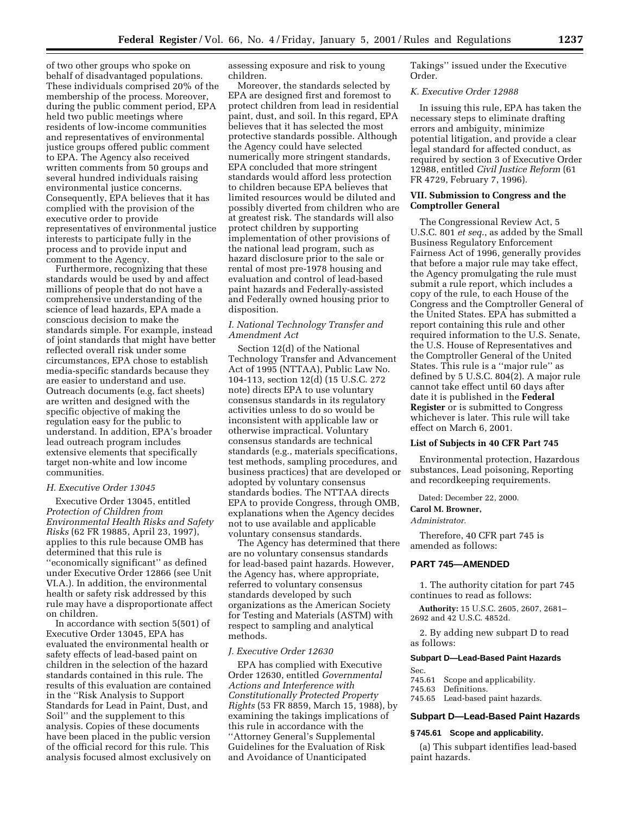of two other groups who spoke on behalf of disadvantaged populations. These individuals comprised 20% of the membership of the process. Moreover, during the public comment period, EPA held two public meetings where residents of low-income communities and representatives of environmental justice groups offered public comment to EPA. The Agency also received written comments from 50 groups and several hundred individuals raising environmental justice concerns. Consequently, EPA believes that it has complied with the provision of the executive order to provide representatives of environmental justice interests to participate fully in the process and to provide input and comment to the Agency.

Furthermore, recognizing that these standards would be used by and affect millions of people that do not have a comprehensive understanding of the science of lead hazards, EPA made a conscious decision to make the standards simple. For example, instead of joint standards that might have better reflected overall risk under some circumstances, EPA chose to establish media-specific standards because they are easier to understand and use. Outreach documents (e.g, fact sheets) are written and designed with the specific objective of making the regulation easy for the public to understand. In addition, EPA's broader lead outreach program includes extensive elements that specifically target non-white and low income communities.

# *H. Executive Order 13045*

Executive Order 13045, entitled *Protection of Children from Environmental Health Risks and Safety Risks* (62 FR 19885, April 23, 1997), applies to this rule because OMB has determined that this rule is ''economically significant'' as defined under Executive Order 12866 (see Unit VI.A.). In addition, the environmental health or safety risk addressed by this rule may have a disproportionate affect on children.

In accordance with section 5(501) of Executive Order 13045, EPA has evaluated the environmental health or safety effects of lead-based paint on children in the selection of the hazard standards contained in this rule. The results of this evaluation are contained in the ''Risk Analysis to Support Standards for Lead in Paint, Dust, and Soil'' and the supplement to this analysis. Copies of these documents have been placed in the public version of the official record for this rule. This analysis focused almost exclusively on

assessing exposure and risk to young children.

Moreover, the standards selected by EPA are designed first and foremost to protect children from lead in residential paint, dust, and soil. In this regard, EPA believes that it has selected the most protective standards possible. Although the Agency could have selected numerically more stringent standards, EPA concluded that more stringent standards would afford less protection to children because EPA believes that limited resources would be diluted and possibly diverted from children who are at greatest risk. The standards will also protect children by supporting implementation of other provisions of the national lead program, such as hazard disclosure prior to the sale or rental of most pre-1978 housing and evaluation and control of lead-based paint hazards and Federally-assisted and Federally owned housing prior to disposition.

# *I. National Technology Transfer and Amendment Act*

Section 12(d) of the National Technology Transfer and Advancement Act of 1995 (NTTAA), Public Law No. 104-113, section 12(d) (15 U.S.C. 272 note) directs EPA to use voluntary consensus standards in its regulatory activities unless to do so would be inconsistent with applicable law or otherwise impractical. Voluntary consensus standards are technical standards (e.g., materials specifications, test methods, sampling procedures, and business practices) that are developed or adopted by voluntary consensus standards bodies. The NTTAA directs EPA to provide Congress, through OMB, explanations when the Agency decides not to use available and applicable voluntary consensus standards.

The Agency has determined that there are no voluntary consensus standards for lead-based paint hazards. However, the Agency has, where appropriate, referred to voluntary consensus standards developed by such organizations as the American Society for Testing and Materials (ASTM) with respect to sampling and analytical methods.

# *J. Executive Order 12630*

EPA has complied with Executive Order 12630, entitled *Governmental Actions and Interference with Constitutionally Protected Property Rights* (53 FR 8859, March 15, 1988), by examining the takings implications of this rule in accordance with the ''Attorney General's Supplemental Guidelines for the Evaluation of Risk and Avoidance of Unanticipated

Takings'' issued under the Executive Order.

# *K. Executive Order 12988*

In issuing this rule, EPA has taken the necessary steps to eliminate drafting errors and ambiguity, minimize potential litigation, and provide a clear legal standard for affected conduct, as required by section 3 of Executive Order 12988, entitled *Civil Justice Reform* (61 FR 4729, February 7, 1996).

# **VII. Submission to Congress and the Comptroller General**

The Congressional Review Act, 5 U.S.C. 801 *et seq*., as added by the Small Business Regulatory Enforcement Fairness Act of 1996, generally provides that before a major rule may take effect, the Agency promulgating the rule must submit a rule report, which includes a copy of the rule, to each House of the Congress and the Comptroller General of the United States. EPA has submitted a report containing this rule and other required information to the U.S. Senate, the U.S. House of Representatives and the Comptroller General of the United States. This rule is a ''major rule'' as defined by 5 U.S.C. 804(2). A major rule cannot take effect until 60 days after date it is published in the **Federal Register** or is submitted to Congress whichever is later. This rule will take effect on March 6, 2001.

#### **List of Subjects in 40 CFR Part 745**

Environmental protection, Hazardous substances, Lead poisoning, Reporting and recordkeeping requirements.

Dated: December 22, 2000.

**Carol M. Browner,**

#### *Administrator.*

Therefore, 40 CFR part 745 is amended as follows:

# **PART 745—AMENDED**

1. The authority citation for part 745 continues to read as follows:

**Authority:** 15 U.S.C. 2605, 2607, 2681– 2692 and 42 U.S.C. 4852d.

2. By adding new subpart D to read as follows:

#### **Subpart D—Lead-Based Paint Hazards**

- 
- Sec.<br>745.61 Scope and applicability.

745.63 Definitions.

745.65 Lead-based paint hazards.

# **Subpart D—Lead-Based Paint Hazards**

# **§ 745.61 Scope and applicability.**

(a) This subpart identifies lead-based paint hazards.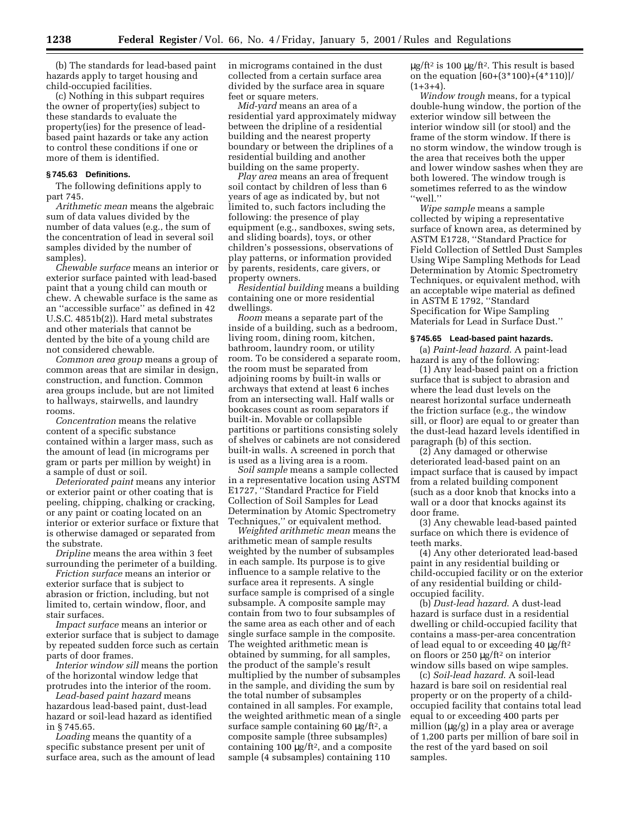(b) The standards for lead-based paint hazards apply to target housing and child-occupied facilities.

(c) Nothing in this subpart requires the owner of property(ies) subject to these standards to evaluate the property(ies) for the presence of leadbased paint hazards or take any action to control these conditions if one or more of them is identified.

# **§ 745.63 Definitions.**

The following definitions apply to part 745.

*Arithmetic mean* means the algebraic sum of data values divided by the number of data values (e.g., the sum of the concentration of lead in several soil samples divided by the number of samples).

*Chewable surface* means an interior or exterior surface painted with lead-based paint that a young child can mouth or chew. A chewable surface is the same as an ''accessible surface'' as defined in 42 U.S.C. 4851b(2)). Hard metal substrates and other materials that cannot be dented by the bite of a young child are not considered chewable.

*Common area group* means a group of common areas that are similar in design, construction, and function. Common area groups include, but are not limited to hallways, stairwells, and laundry rooms.

*Concentration* means the relative content of a specific substance contained within a larger mass, such as the amount of lead (in micrograms per gram or parts per million by weight) in a sample of dust or soil.

*Deteriorated paint* means any interior or exterior paint or other coating that is peeling, chipping, chalking or cracking, or any paint or coating located on an interior or exterior surface or fixture that is otherwise damaged or separated from the substrate.

*Dripline* means the area within 3 feet surrounding the perimeter of a building.

*Friction surface* means an interior or exterior surface that is subject to abrasion or friction, including, but not limited to, certain window, floor, and stair surfaces.

*Impact surface* means an interior or exterior surface that is subject to damage by repeated sudden force such as certain parts of door frames.

*Interior window sill* means the portion of the horizontal window ledge that protrudes into the interior of the room.

*Lead-based paint hazard* means hazardous lead-based paint, dust-lead hazard or soil-lead hazard as identified in § 745.65.

*Loading* means the quantity of a specific substance present per unit of surface area, such as the amount of lead in micrograms contained in the dust collected from a certain surface area divided by the surface area in square feet or square meters.

*Mid-yard* means an area of a residential yard approximately midway between the dripline of a residential building and the nearest property boundary or between the driplines of a residential building and another building on the same property.

*Play area* means an area of frequent soil contact by children of less than 6 years of age as indicated by, but not limited to, such factors including the following: the presence of play equipment (e.g., sandboxes, swing sets, and sliding boards), toys, or other children's possessions, observations of play patterns, or information provided by parents, residents, care givers, or property owners.

*Residential building* means a building containing one or more residential dwellings.

*Room* means a separate part of the inside of a building, such as a bedroom, living room, dining room, kitchen, bathroom, laundry room, or utility room. To be considered a separate room, the room must be separated from adjoining rooms by built-in walls or archways that extend at least 6 inches from an intersecting wall. Half walls or bookcases count as room separators if built-in. Movable or collapsible partitions or partitions consisting solely of shelves or cabinets are not considered built-in walls. A screened in porch that is used as a living area is a room.

*Soil sample* means a sample collected in a representative location using ASTM E1727, ''Standard Practice for Field Collection of Soil Samples for Lead Determination by Atomic Spectrometry Techniques,'' or equivalent method.

*Weighted arithmetic mean* means the arithmetic mean of sample results weighted by the number of subsamples in each sample. Its purpose is to give influence to a sample relative to the surface area it represents. A single surface sample is comprised of a single subsample. A composite sample may contain from two to four subsamples of the same area as each other and of each single surface sample in the composite. The weighted arithmetic mean is obtained by summing, for all samples, the product of the sample's result multiplied by the number of subsamples in the sample, and dividing the sum by the total number of subsamples contained in all samples. For example, the weighted arithmetic mean of a single surface sample containing 60 µg/ft2, a composite sample (three subsamples) containing 100  $\mu$ g/ft<sup>2</sup>, and a composite sample (4 subsamples) containing 110

 $\mu$ g/ft<sup>2</sup> is 100  $\mu$ g/ft<sup>2</sup>. This result is based on the equation  $[60+(3*100)+(4*110)]/$  $(1+3+4)$ .

*Window trough* means, for a typical double-hung window, the portion of the exterior window sill between the interior window sill (or stool) and the frame of the storm window. If there is no storm window, the window trough is the area that receives both the upper and lower window sashes when they are both lowered. The window trough is sometimes referred to as the window ''well.''

*Wipe sample* means a sample collected by wiping a representative surface of known area, as determined by ASTM E1728, ''Standard Practice for Field Collection of Settled Dust Samples Using Wipe Sampling Methods for Lead Determination by Atomic Spectrometry Techniques, or equivalent method, with an acceptable wipe material as defined in ASTM E 1792, ''Standard Specification for Wipe Sampling Materials for Lead in Surface Dust.''

#### **§ 745.65 Lead-based paint hazards.**

(a) *Paint-lead hazard*. A paint-lead hazard is any of the following:

(1) Any lead-based paint on a friction surface that is subject to abrasion and where the lead dust levels on the nearest horizontal surface underneath the friction surface (e.g., the window sill, or floor) are equal to or greater than the dust-lead hazard levels identified in paragraph (b) of this section.

(2) Any damaged or otherwise deteriorated lead-based paint on an impact surface that is caused by impact from a related building component (such as a door knob that knocks into a wall or a door that knocks against its door frame.

(3) Any chewable lead-based painted surface on which there is evidence of teeth marks.

(4) Any other deteriorated lead-based paint in any residential building or child-occupied facility or on the exterior of any residential building or childoccupied facility.

(b) *Dust-lead hazard*. A dust-lead hazard is surface dust in a residential dwelling or child-occupied facility that contains a mass-per-area concentration of lead equal to or exceeding 40 µg/ft2 on floors or 250 µg/ft2 on interior window sills based on wipe samples.

(c) *Soil-lead hazard*. A soil-lead hazard is bare soil on residential real property or on the property of a childoccupied facility that contains total lead equal to or exceeding 400 parts per million  $(\mu g/g)$  in a play area or average of 1,200 parts per million of bare soil in the rest of the yard based on soil samples.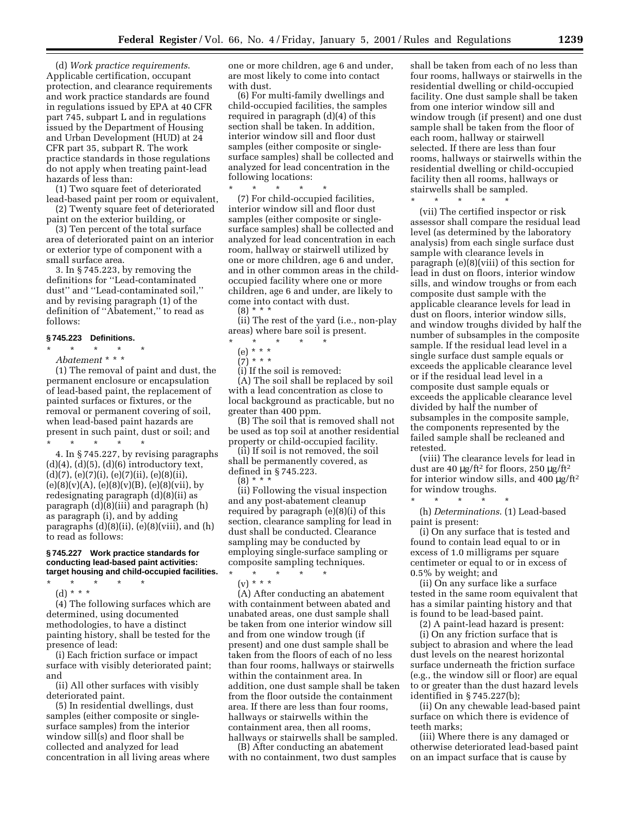(d) *Work practice requirements*. Applicable certification, occupant protection, and clearance requirements and work practice standards are found in regulations issued by EPA at 40 CFR part 745, subpart L and in regulations issued by the Department of Housing and Urban Development (HUD) at 24 CFR part 35, subpart R. The work practice standards in those regulations do not apply when treating paint-lead hazards of less than:

(1) Two square feet of deteriorated lead-based paint per room or equivalent,

(2) Twenty square feet of deteriorated paint on the exterior building, or

(3) Ten percent of the total surface area of deteriorated paint on an interior or exterior type of component with a small surface area.

3. In § 745.223, by removing the definitions for ''Lead-contaminated dust'' and ''Lead-contaminated soil,'' and by revising paragraph (1) of the definition of ''Abatement,'' to read as follows:

# **§ 745.223 Definitions.**

\* \* \* \* \*

*Abatement* \* \* \*

(1) The removal of paint and dust, the permanent enclosure or encapsulation of lead-based paint, the replacement of painted surfaces or fixtures, or the removal or permanent covering of soil, when lead-based paint hazards are present in such paint, dust or soil; and \* \* \* \* \*

4. In § 745.227, by revising paragraphs  $(d)(4)$ ,  $(d)(5)$ ,  $(d)(6)$  introductory text,  $(d)(7), (e)(7)(i), (e)(7)(ii), (e)(8)(ii),$  $(e)(8)(v)(A), (e)(8)(v)(B), (e)(8)(vii), by$ redesignating paragraph (d)(8)(ii) as paragraph (d)(8)(iii) and paragraph (h) as paragraph (i), and by adding paragraphs (d)(8)(ii), (e)(8)(viii), and (h) to read as follows:

# **§ 745.227 Work practice standards for conducting lead-based paint activities: target housing and child-occupied facilities.**

\* \* \* \* \* (d) \* \* \*

(4) The following surfaces which are determined, using documented methodologies, to have a distinct painting history, shall be tested for the presence of lead:

(i) Each friction surface or impact surface with visibly deteriorated paint; and

(ii) All other surfaces with visibly deteriorated paint.

(5) In residential dwellings, dust samples (either composite or singlesurface samples) from the interior window sill(s) and floor shall be collected and analyzed for lead concentration in all living areas where one or more children, age 6 and under, are most likely to come into contact with dust.

(6) For multi-family dwellings and child-occupied facilities, the samples required in paragraph (d)(4) of this section shall be taken. In addition, interior window sill and floor dust samples (either composite or singlesurface samples) shall be collected and analyzed for lead concentration in the following locations:

\* \* \* \* \*

(7) For child-occupied facilities, interior window sill and floor dust samples (either composite or singlesurface samples) shall be collected and analyzed for lead concentration in each room, hallway or stairwell utilized by one or more children, age 6 and under, and in other common areas in the childoccupied facility where one or more children, age 6 and under, are likely to come into contact with dust.  $(8) * * * *$ 

(ii) The rest of the yard (i.e., non-play areas) where bare soil is present.

- \* \* \* \* \*
- (e) \* \* \*

 $(7)^*$  \* \* \*

(i) If the soil is removed: (A) The soil shall be replaced by soil with a lead concentration as close to local background as practicable, but no greater than 400 ppm.

(B) The soil that is removed shall not be used as top soil at another residential property or child-occupied facility.

(ii) If soil is not removed, the soil shall be permanently covered, as defined in § 745.223.

(8) \* \* \*

(ii) Following the visual inspection and any post-abatement cleanup required by paragraph (e)(8)(i) of this section, clearance sampling for lead in dust shall be conducted. Clearance sampling may be conducted by employing single-surface sampling or composite sampling techniques.

\* \* \* \* \*

 $(v) * * * *$ 

(A) After conducting an abatement with containment between abated and unabated areas, one dust sample shall be taken from one interior window sill and from one window trough (if present) and one dust sample shall be taken from the floors of each of no less than four rooms, hallways or stairwells within the containment area. In addition, one dust sample shall be taken from the floor outside the containment area. If there are less than four rooms, hallways or stairwells within the containment area, then all rooms, hallways or stairwells shall be sampled.

(B) After conducting an abatement with no containment, two dust samples

shall be taken from each of no less than four rooms, hallways or stairwells in the residential dwelling or child-occupied facility. One dust sample shall be taken from one interior window sill and window trough (if present) and one dust sample shall be taken from the floor of each room, hallway or stairwell selected. If there are less than four rooms, hallways or stairwells within the residential dwelling or child-occupied facility then all rooms, hallways or stairwells shall be sampled.

\* \* \* \* \*

(vii) The certified inspector or risk assessor shall compare the residual lead level (as determined by the laboratory analysis) from each single surface dust sample with clearance levels in paragraph (e)(8)(viii) of this section for lead in dust on floors, interior window sills, and window troughs or from each composite dust sample with the applicable clearance levels for lead in dust on floors, interior window sills, and window troughs divided by half the number of subsamples in the composite sample. If the residual lead level in a single surface dust sample equals or exceeds the applicable clearance level or if the residual lead level in a composite dust sample equals or exceeds the applicable clearance level divided by half the number of subsamples in the composite sample, the components represented by the failed sample shall be recleaned and retested.

(viii) The clearance levels for lead in dust are 40  $\mu$ g/ft<sup>2</sup> for floors, 250  $\mu$ g/ft<sup>2</sup> for interior window sills, and 400  $\mu$ g/ft<sup>2</sup> for window troughs.

\* \* \* \* \* (h) *Determinations*. (1) Lead-based paint is present:

(i) On any surface that is tested and found to contain lead equal to or in excess of 1.0 milligrams per square centimeter or equal to or in excess of 0.5% by weight; and

(ii) On any surface like a surface tested in the same room equivalent that has a similar painting history and that is found to be lead-based paint.

(2) A paint-lead hazard is present: (i) On any friction surface that is subject to abrasion and where the lead dust levels on the nearest horizontal surface underneath the friction surface (e.g., the window sill or floor) are equal to or greater than the dust hazard levels identified in § 745.227(b);

(ii) On any chewable lead-based paint surface on which there is evidence of teeth marks;

(iii) Where there is any damaged or otherwise deteriorated lead-based paint on an impact surface that is cause by